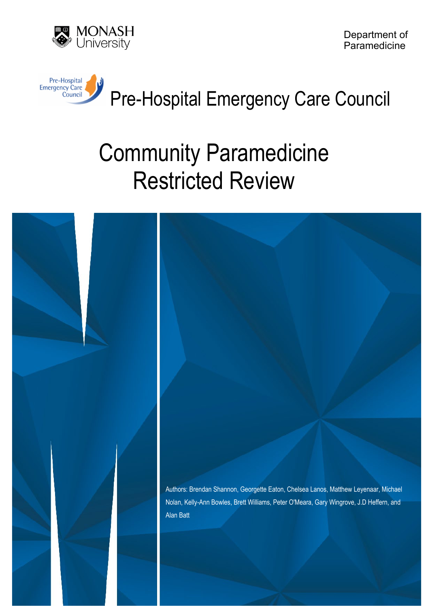

Department of Paramedicine



# Pre-Hospital Emergency Care Council

# Community Paramedicine Restricted Review

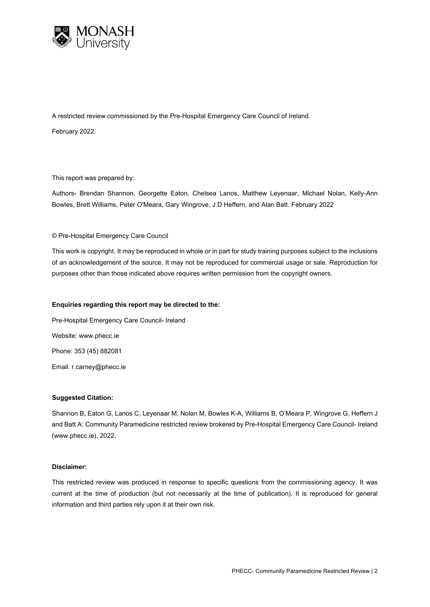

A restricted review commissioned by the Pre-Hospital Emergency Care Council of Ireland.

February 2022.

This report was prepared by:

Authors- Brendan Shannon, Georgette Eaton, Chelsea Lanos, Matthew Leyenaar, Michael Nolan, Kelly-Ann Bowles, Brett Williams, Peter O'Meara, Gary Wingrove, J.D Heffern, and Alan Batt. February 2022

#### © Pre-Hospital Emergency Care Council

This work is copyright. It may be reproduced in whole or in part for study training purposes subject to the inclusions of an acknowledgement of the source. It may not be reproduced for commercial usage or sale. Reproduction for purposes other than those indicated above requires written permission from the copyright owners.

#### **Enquiries regarding this report may be directed to the:**

Pre-Hospital Emergency Care Council- Ireland Website: www.phecc.ie Phone: 353 (45) 882081 Email: r.carney@phecc.ie

#### **Suggested Citation:**

Shannon B, Eaton G, Lanos C, Leyenaar M, Nolan M, Bowles K-A, Williams B, O'Meara P, Wingrove G, Heffern J and Batt A: Community Paramedicine restricted review brokered by Pre-Hospital Emergency Care Council- Ireland (www.phecc.ie), 2022.

#### **Disclaimer:**

This restricted review was produced in response to specific questions from the commissioning agency. It was current at the time of production (but not necessarily at the time of publication). It is reproduced for general information and third parties rely upon it at their own risk.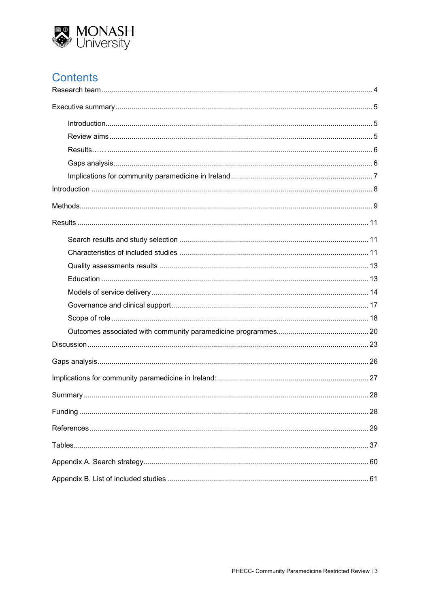

# **Contents**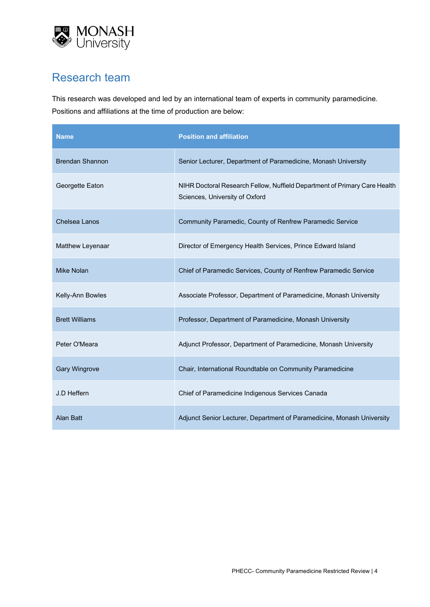

# <span id="page-3-0"></span>Research team

This research was developed and led by an international team of experts in community paramedicine. Positions and affiliations at the time of production are below:

| <b>Name</b>            | <b>Position and affiliation</b>                                                                             |
|------------------------|-------------------------------------------------------------------------------------------------------------|
| <b>Brendan Shannon</b> | Senior Lecturer, Department of Paramedicine, Monash University                                              |
| Georgette Eaton        | NIHR Doctoral Research Fellow, Nuffield Department of Primary Care Health<br>Sciences, University of Oxford |
| Chelsea Lanos          | Community Paramedic, County of Renfrew Paramedic Service                                                    |
| Matthew Leyenaar       | Director of Emergency Health Services, Prince Edward Island                                                 |
| <b>Mike Nolan</b>      | Chief of Paramedic Services, County of Renfrew Paramedic Service                                            |
| Kelly-Ann Bowles       | Associate Professor, Department of Paramedicine, Monash University                                          |
| <b>Brett Williams</b>  | Professor, Department of Paramedicine, Monash University                                                    |
| Peter O'Meara          | Adjunct Professor, Department of Paramedicine, Monash University                                            |
| <b>Gary Wingrove</b>   | Chair, International Roundtable on Community Paramedicine                                                   |
| J.D Heffern            | Chief of Paramedicine Indigenous Services Canada                                                            |
| <b>Alan Batt</b>       | Adjunct Senior Lecturer, Department of Paramedicine, Monash University                                      |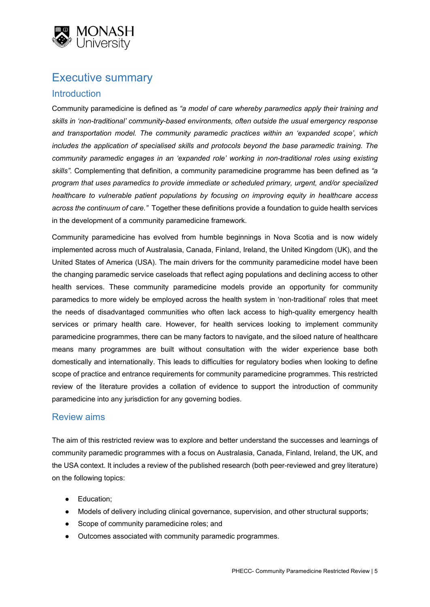

# <span id="page-4-0"></span>Executive summary

## <span id="page-4-1"></span>**Introduction**

Community paramedicine is defined as *"a model of care whereby paramedics apply their training and skills in 'non-traditional' community-based environments, often outside the usual emergency response and transportation model. The community paramedic practices within an 'expanded scope', which includes the application of specialised skills and protocols beyond the base paramedic training. The community paramedic engages in an 'expanded role' working in non-traditional roles using existing skills".* Complementing that definition, a community paramedicine programme has been defined as *"a program that uses paramedics to provide immediate or scheduled primary, urgent, and/or specialized healthcare to vulnerable patient populations by focusing on improving equity in healthcare access across the continuum of care."* Together these definitions provide a foundation to guide health services in the development of a community paramedicine framework.

Community paramedicine has evolved from humble beginnings in Nova Scotia and is now widely implemented across much of Australasia, Canada, Finland, Ireland, the United Kingdom (UK), and the United States of America (USA). The main drivers for the community paramedicine model have been the changing paramedic service caseloads that reflect aging populations and declining access to other health services. These community paramedicine models provide an opportunity for community paramedics to more widely be employed across the health system in 'non-traditional' roles that meet the needs of disadvantaged communities who often lack access to high-quality emergency health services or primary health care. However, for health services looking to implement community paramedicine programmes, there can be many factors to navigate, and the siloed nature of healthcare means many programmes are built without consultation with the wider experience base both domestically and internationally. This leads to difficulties for regulatory bodies when looking to define scope of practice and entrance requirements for community paramedicine programmes. This restricted review of the literature provides a collation of evidence to support the introduction of community paramedicine into any jurisdiction for any governing bodies.

## <span id="page-4-2"></span>Review aims

The aim of this restricted review was to explore and better understand the successes and learnings of community paramedic programmes with a focus on Australasia, Canada, Finland, Ireland, the UK, and the USA context. It includes a review of the published research (both peer-reviewed and grey literature) on the following topics:

- Education;
- Models of delivery including clinical governance, supervision, and other structural supports;
- Scope of community paramedicine roles; and
- Outcomes associated with community paramedic programmes.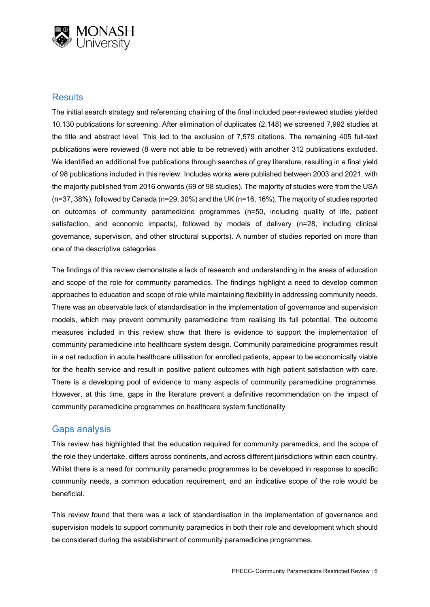

## <span id="page-5-0"></span>**Results**

The initial search strategy and referencing chaining of the final included peer-reviewed studies yielded 10,130 publications for screening. After elimination of duplicates (2,148) we screened 7,992 studies at the title and abstract level. This led to the exclusion of 7,579 citations. The remaining 405 full-text publications were reviewed (8 were not able to be retrieved) with another 312 publications excluded. We identified an additional five publications through searches of grey literature, resulting in a final yield of 98 publications included in this review. Includes works were published between 2003 and 2021, with the majority published from 2016 onwards (69 of 98 studies). The majority of studies were from the USA (n=37, 38%), followed by Canada (n=29, 30%) and the UK (n=16, 16%). The majority of studies reported on outcomes of community paramedicine programmes (n=50, including quality of life, patient satisfaction, and economic impacts), followed by models of delivery (n=28, including clinical governance, supervision, and other structural supports). A number of studies reported on more than one of the descriptive categories

The findings of this review demonstrate a lack of research and understanding in the areas of education and scope of the role for community paramedics. The findings highlight a need to develop common approaches to education and scope of role while maintaining flexibility in addressing community needs. There was an observable lack of standardisation in the implementation of governance and supervision models, which may prevent community paramedicine from realising its full potential. The outcome measures included in this review show that there is evidence to support the implementation of community paramedicine into healthcare system design. Community paramedicine programmes result in a net reduction in acute healthcare utilisation for enrolled patients, appear to be economically viable for the health service and result in positive patient outcomes with high patient satisfaction with care. There is a developing pool of evidence to many aspects of community paramedicine programmes. However, at this time, gaps in the literature prevent a definitive recommendation on the impact of community paramedicine programmes on healthcare system functionality

## <span id="page-5-1"></span>Gaps analysis

This review has highlighted that the education required for community paramedics, and the scope of the role they undertake, differs across continents, and across different jurisdictions within each country. Whilst there is a need for community paramedic programmes to be developed in response to specific community needs, a common education requirement, and an indicative scope of the role would be beneficial.

This review found that there was a lack of standardisation in the implementation of governance and supervision models to support community paramedics in both their role and development which should be considered during the establishment of community paramedicine programmes.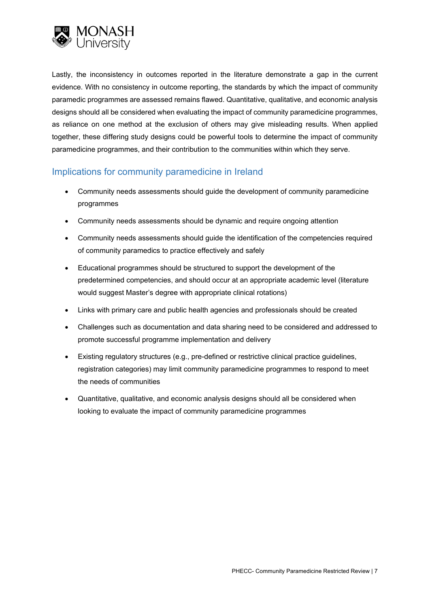

Lastly, the inconsistency in outcomes reported in the literature demonstrate a gap in the current evidence. With no consistency in outcome reporting, the standards by which the impact of community paramedic programmes are assessed remains flawed. Quantitative, qualitative, and economic analysis designs should all be considered when evaluating the impact of community paramedicine programmes, as reliance on one method at the exclusion of others may give misleading results. When applied together, these differing study designs could be powerful tools to determine the impact of community paramedicine programmes, and their contribution to the communities within which they serve.

## <span id="page-6-0"></span>Implications for community paramedicine in Ireland

- Community needs assessments should guide the development of community paramedicine programmes
- Community needs assessments should be dynamic and require ongoing attention
- Community needs assessments should guide the identification of the competencies required of community paramedics to practice effectively and safely
- Educational programmes should be structured to support the development of the predetermined competencies, and should occur at an appropriate academic level (literature would suggest Master's degree with appropriate clinical rotations)
- Links with primary care and public health agencies and professionals should be created
- Challenges such as documentation and data sharing need to be considered and addressed to promote successful programme implementation and delivery
- Existing regulatory structures (e.g., pre-defined or restrictive clinical practice guidelines, registration categories) may limit community paramedicine programmes to respond to meet the needs of communities
- Quantitative, qualitative, and economic analysis designs should all be considered when looking to evaluate the impact of community paramedicine programmes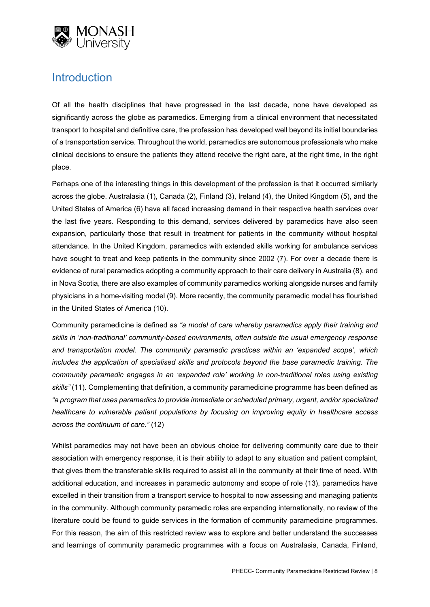

# <span id="page-7-0"></span>**Introduction**

Of all the health disciplines that have progressed in the last decade, none have developed as significantly across the globe as paramedics. Emerging from a clinical environment that necessitated transport to hospital and definitive care, the profession has developed well beyond its initial boundaries of a transportation service. Throughout the world, paramedics are autonomous professionals who make clinical decisions to ensure the patients they attend receive the right care, at the right time, in the right place.

Perhaps one of the interesting things in this development of the profession is that it occurred similarly across the globe. Australasia (1), Canada (2), Finland (3), Ireland (4), the United Kingdom (5), and the United States of America (6) have all faced increasing demand in their respective health services over the last five years. Responding to this demand, services delivered by paramedics have also seen expansion, particularly those that result in treatment for patients in the community without hospital attendance. In the United Kingdom, paramedics with extended skills working for ambulance services have sought to treat and keep patients in the community since 2002 (7). For over a decade there is evidence of rural paramedics adopting a community approach to their care delivery in Australia (8), and in Nova Scotia, there are also examples of community paramedics working alongside nurses and family physicians in a home-visiting model (9). More recently, the community paramedic model has flourished in the United States of America (10).

Community paramedicine is defined as *"a model of care whereby paramedics apply their training and skills in 'non-traditional' community-based environments, often outside the usual emergency response and transportation model. The community paramedic practices within an 'expanded scope', which includes the application of specialised skills and protocols beyond the base paramedic training. The community paramedic engages in an 'expanded role' working in non-traditional roles using existing skills"* (11)*.* Complementing that definition, a community paramedicine programme has been defined as *"a program that uses paramedics to provide immediate or scheduled primary, urgent, and/or specialized healthcare to vulnerable patient populations by focusing on improving equity in healthcare access across the continuum of care."* (12)

Whilst paramedics may not have been an obvious choice for delivering community care due to their association with emergency response, it is their ability to adapt to any situation and patient complaint, that gives them the transferable skills required to assist all in the community at their time of need. With additional education, and increases in paramedic autonomy and scope of role (13), paramedics have excelled in their transition from a transport service to hospital to now assessing and managing patients in the community. Although community paramedic roles are expanding internationally, no review of the literature could be found to guide services in the formation of community paramedicine programmes. For this reason, the aim of this restricted review was to explore and better understand the successes and learnings of community paramedic programmes with a focus on Australasia, Canada, Finland,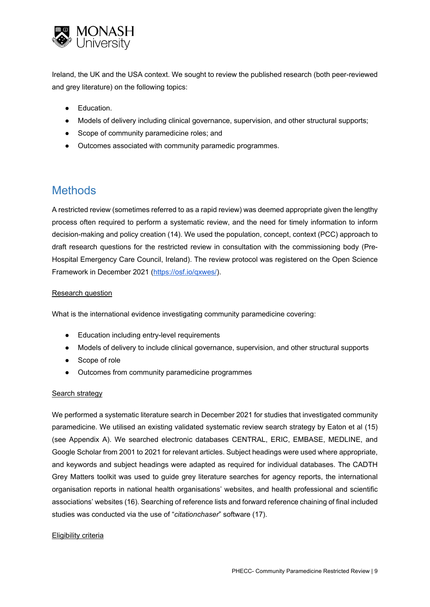

Ireland, the UK and the USA context. We sought to review the published research (both peer-reviewed and grey literature) on the following topics:

- Education.
- Models of delivery including clinical governance, supervision, and other structural supports;
- Scope of community paramedicine roles; and
- Outcomes associated with community paramedic programmes.

# <span id="page-8-0"></span>**Methods**

A restricted review (sometimes referred to as a rapid review) was deemed appropriate given the lengthy process often required to perform a systematic review, and the need for timely information to inform decision-making and policy creation (14). We used the population, concept, context (PCC) approach to draft research questions for the restricted review in consultation with the commissioning body (Pre-Hospital Emergency Care Council, Ireland). The review protocol was registered on the Open Science Framework in December 2021 [\(https://osf.io/qxwes/\)](https://osf.io/qxwes/).

#### Research question

What is the international evidence investigating community paramedicine covering:

- Education including entry-level requirements
- Models of delivery to include clinical governance, supervision, and other structural supports
- Scope of role
- Outcomes from community paramedicine programmes

#### Search strategy

We performed a systematic literature search in December 2021 for studies that investigated community paramedicine. We utilised an existing validated systematic review search strategy by Eaton et al (15) (see Appendix A). We searched electronic databases CENTRAL, ERIC, EMBASE, MEDLINE, and Google Scholar from 2001 to 2021 for relevant articles. Subject headings were used where appropriate, and keywords and subject headings were adapted as required for individual databases. The CADTH Grey Matters toolkit was used to guide grey literature searches for agency reports, the international organisation reports in national health organisations' websites, and health professional and scientific associations' websites (16). Searching of reference lists and forward reference chaining of final included studies was conducted via the use of "*citationchaser*" software (17).

#### Eligibility criteria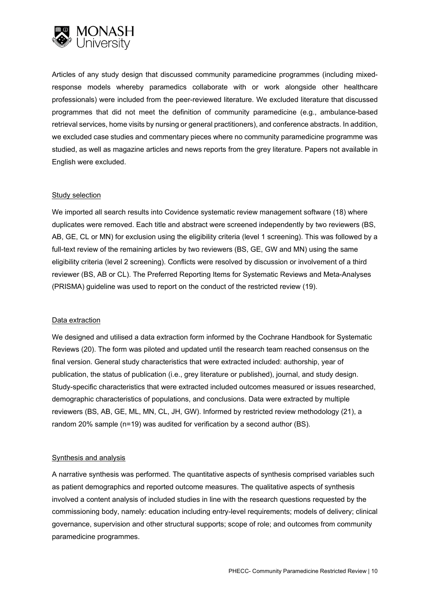

Articles of any study design that discussed community paramedicine programmes (including mixedresponse models whereby paramedics collaborate with or work alongside other healthcare professionals) were included from the peer-reviewed literature. We excluded literature that discussed programmes that did not meet the definition of community paramedicine (e.g., ambulance-based retrieval services, home visits by nursing or general practitioners), and conference abstracts. In addition, we excluded case studies and commentary pieces where no community paramedicine programme was studied, as well as magazine articles and news reports from the grey literature. Papers not available in English were excluded.

#### Study selection

We imported all search results into Covidence systematic review management software (18) where duplicates were removed. Each title and abstract were screened independently by two reviewers (BS, AB, GE, CL or MN) for exclusion using the eligibility criteria (level 1 screening). This was followed by a full-text review of the remaining articles by two reviewers (BS, GE, GW and MN) using the same eligibility criteria (level 2 screening). Conflicts were resolved by discussion or involvement of a third reviewer (BS, AB or CL). The Preferred Reporting Items for Systematic Reviews and Meta-Analyses (PRISMA) guideline was used to report on the conduct of the restricted review (19).

#### Data extraction

We designed and utilised a data extraction form informed by the Cochrane Handbook for Systematic Reviews (20). The form was piloted and updated until the research team reached consensus on the final version. General study characteristics that were extracted included: authorship, year of publication, the status of publication (i.e., grey literature or published), journal, and study design. Study-specific characteristics that were extracted included outcomes measured or issues researched, demographic characteristics of populations, and conclusions. Data were extracted by multiple reviewers (BS, AB, GE, ML, MN, CL, JH, GW). Informed by restricted review methodology (21), a random 20% sample (n=19) was audited for verification by a second author (BS).

#### Synthesis and analysis

A narrative synthesis was performed. The quantitative aspects of synthesis comprised variables such as patient demographics and reported outcome measures. The qualitative aspects of synthesis involved a content analysis of included studies in line with the research questions requested by the commissioning body, namely: education including entry-level requirements; models of delivery; clinical governance, supervision and other structural supports; scope of role; and outcomes from community paramedicine programmes.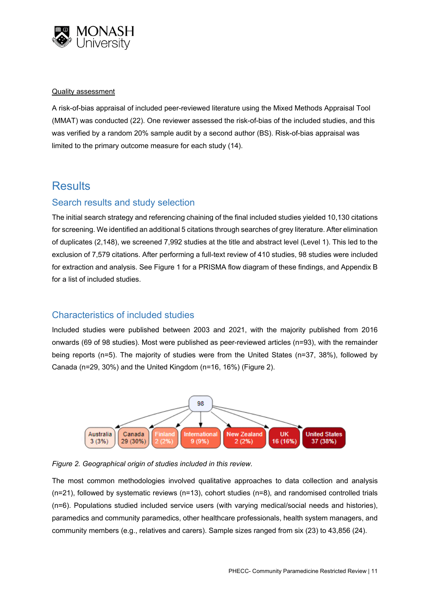

#### Quality assessment

A risk-of-bias appraisal of included peer-reviewed literature using the Mixed Methods Appraisal Tool (MMAT) was conducted (22). One reviewer assessed the risk-of-bias of the included studies, and this was verified by a random 20% sample audit by a second author (BS). Risk-of-bias appraisal was limited to the primary outcome measure for each study (14).

# <span id="page-10-0"></span>**Results**

## <span id="page-10-1"></span>Search results and study selection

The initial search strategy and referencing chaining of the final included studies yielded 10,130 citations for screening. We identified an additional 5 citations through searches of grey literature. After elimination of duplicates (2,148), we screened 7,992 studies at the title and abstract level (Level 1). This led to the exclusion of 7,579 citations. After performing a full-text review of 410 studies, 98 studies were included for extraction and analysis. See Figure 1 for a PRISMA flow diagram of these findings, and Appendix B for a list of included studies.

## <span id="page-10-2"></span>Characteristics of included studies

Included studies were published between 2003 and 2021, with the majority published from 2016 onwards (69 of 98 studies). Most were published as peer-reviewed articles (n=93), with the remainder being reports (n=5). The majority of studies were from the United States (n=37, 38%), followed by Canada (n=29, 30%) and the United Kingdom (n=16, 16%) (Figure 2).





The most common methodologies involved qualitative approaches to data collection and analysis (n=21), followed by systematic reviews (n=13), cohort studies (n=8), and randomised controlled trials (n=6). Populations studied included service users (with varying medical/social needs and histories), paramedics and community paramedics, other healthcare professionals, health system managers, and community members (e.g., relatives and carers). Sample sizes ranged from six (23) to 43,856 (24).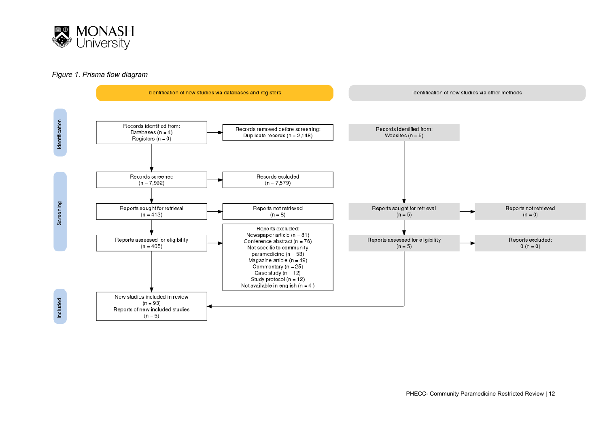

#### *Figure 1. Prisma flow diagram*



PHECC- Community Paramedicine Restricted Review | 12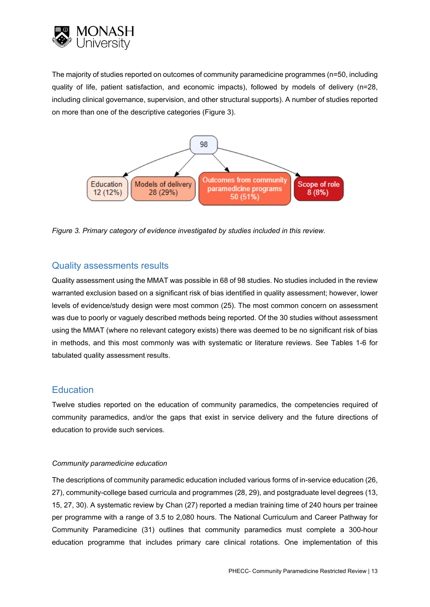

The majority of studies reported on outcomes of community paramedicine programmes (n=50, including quality of life, patient satisfaction, and economic impacts), followed by models of delivery (n=28, including clinical governance, supervision, and other structural supports). A number of studies reported on more than one of the descriptive categories (Figure 3).



*Figure 3. Primary category of evidence investigated by studies included in this review.*

## <span id="page-12-0"></span>Quality assessments results

Quality assessment using the MMAT was possible in 68 of 98 studies. No studies included in the review warranted exclusion based on a significant risk of bias identified in quality assessment; however, lower levels of evidence/study design were most common (25). The most common concern on assessment was due to poorly or vaguely described methods being reported. Of the 30 studies without assessment using the MMAT (where no relevant category exists) there was deemed to be no significant risk of bias in methods, and this most commonly was with systematic or literature reviews. See Tables 1-6 for tabulated quality assessment results.

## <span id="page-12-1"></span>**Education**

Twelve studies reported on the education of community paramedics, the competencies required of community paramedics, and/or the gaps that exist in service delivery and the future directions of education to provide such services.

#### *Community paramedicine education*

The descriptions of community paramedic education included various forms of in-service education (26, 27), community-college based curricula and programmes (28, 29), and postgraduate level degrees (13, 15, 27, 30). A systematic review by Chan (27) reported a median training time of 240 hours per trainee per programme with a range of 3.5 to 2,080 hours. The National Curriculum and Career Pathway for Community Paramedicine (31) outlines that community paramedics must complete a 300-hour education programme that includes primary care clinical rotations. One implementation of this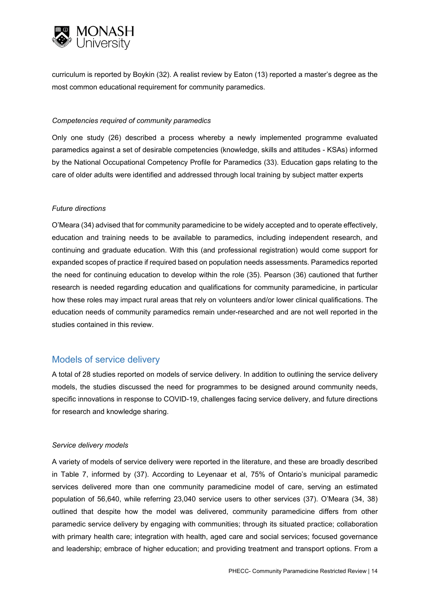

curriculum is reported by Boykin (32). A realist review by Eaton (13) reported a master's degree as the most common educational requirement for community paramedics.

#### *Competencies required of community paramedics*

Only one study (26) described a process whereby a newly implemented programme evaluated paramedics against a set of desirable competencies (knowledge, skills and attitudes - KSAs) informed by the National Occupational Competency Profile for Paramedics (33). Education gaps relating to the care of older adults were identified and addressed through local training by subject matter experts

#### *Future directions*

O'Meara (34) advised that for community paramedicine to be widely accepted and to operate effectively, education and training needs to be available to paramedics, including independent research, and continuing and graduate education. With this (and professional registration) would come support for expanded scopes of practice if required based on population needs assessments. Paramedics reported the need for continuing education to develop within the role (35). Pearson (36) cautioned that further research is needed regarding education and qualifications for community paramedicine, in particular how these roles may impact rural areas that rely on volunteers and/or lower clinical qualifications. The education needs of community paramedics remain under-researched and are not well reported in the studies contained in this review.

## <span id="page-13-0"></span>Models of service delivery

A total of 28 studies reported on models of service delivery. In addition to outlining the service delivery models, the studies discussed the need for programmes to be designed around community needs, specific innovations in response to COVID-19, challenges facing service delivery, and future directions for research and knowledge sharing.

#### *Service delivery models*

A variety of models of service delivery were reported in the literature, and these are broadly described in Table 7, informed by (37). According to Leyenaar et al, 75% of Ontario's municipal paramedic services delivered more than one community paramedicine model of care, serving an estimated population of 56,640, while referring 23,040 service users to other services (37). O'Meara (34, 38) outlined that despite how the model was delivered, community paramedicine differs from other paramedic service delivery by engaging with communities; through its situated practice; collaboration with primary health care; integration with health, aged care and social services; focused governance and leadership; embrace of higher education; and providing treatment and transport options. From a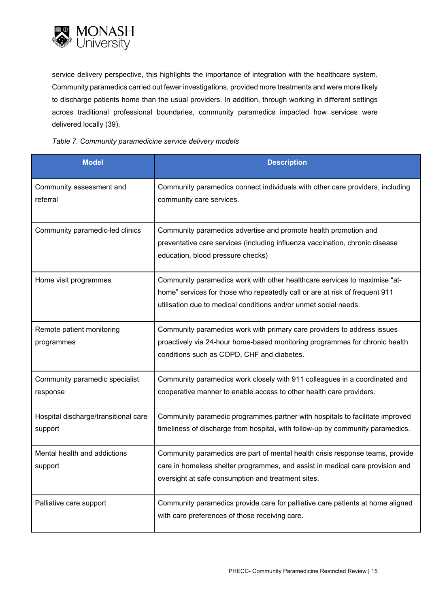

service delivery perspective, this highlights the importance of integration with the healthcare system. Community paramedics carried out fewer investigations, provided more treatments and were more likely to discharge patients home than the usual providers. In addition, through working in different settings across traditional professional boundaries, community paramedics impacted how services were delivered locally (39).

#### *Table 7. Community paramedicine service delivery models*

| <b>Model</b>                                    | <b>Description</b>                                                                                                                                                                                                           |
|-------------------------------------------------|------------------------------------------------------------------------------------------------------------------------------------------------------------------------------------------------------------------------------|
| Community assessment and<br>referral            | Community paramedics connect individuals with other care providers, including<br>community care services.                                                                                                                    |
| Community paramedic-led clinics                 | Community paramedics advertise and promote health promotion and<br>preventative care services (including influenza vaccination, chronic disease<br>education, blood pressure checks)                                         |
| Home visit programmes                           | Community paramedics work with other healthcare services to maximise "at-<br>home" services for those who repeatedly call or are at risk of frequent 911<br>utilisation due to medical conditions and/or unmet social needs. |
| Remote patient monitoring<br>programmes         | Community paramedics work with primary care providers to address issues<br>proactively via 24-hour home-based monitoring programmes for chronic health<br>conditions such as COPD, CHF and diabetes.                         |
| Community paramedic specialist<br>response      | Community paramedics work closely with 911 colleagues in a coordinated and<br>cooperative manner to enable access to other health care providers.                                                                            |
| Hospital discharge/transitional care<br>support | Community paramedic programmes partner with hospitals to facilitate improved<br>timeliness of discharge from hospital, with follow-up by community paramedics.                                                               |
| Mental health and addictions<br>support         | Community paramedics are part of mental health crisis response teams, provide<br>care in homeless shelter programmes, and assist in medical care provision and<br>oversight at safe consumption and treatment sites.         |
| Palliative care support                         | Community paramedics provide care for palliative care patients at home aligned<br>with care preferences of those receiving care.                                                                                             |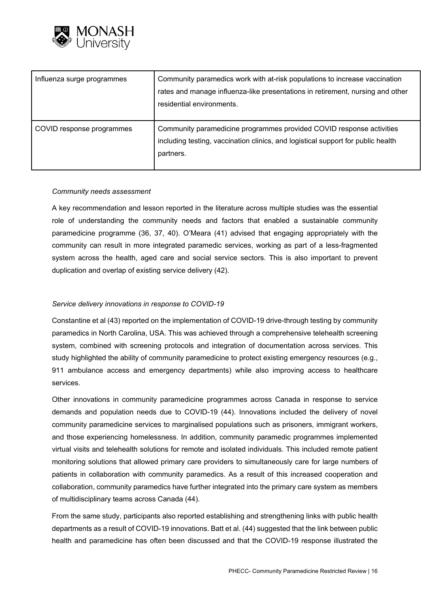

| Influenza surge programmes | Community paramedics work with at-risk populations to increase vaccination<br>rates and manage influenza-like presentations in retirement, nursing and other<br>residential environments. |
|----------------------------|-------------------------------------------------------------------------------------------------------------------------------------------------------------------------------------------|
| COVID response programmes  | Community paramedicine programmes provided COVID response activities<br>including testing, vaccination clinics, and logistical support for public health<br>partners.                     |

#### *Community needs assessment*

A key recommendation and lesson reported in the literature across multiple studies was the essential role of understanding the community needs and factors that enabled a sustainable community paramedicine programme (36, 37, 40). O'Meara (41) advised that engaging appropriately with the community can result in more integrated paramedic services, working as part of a less-fragmented system across the health, aged care and social service sectors. This is also important to prevent duplication and overlap of existing service delivery (42).

#### *Service delivery innovations in response to COVID-19*

Constantine et al (43) reported on the implementation of COVID-19 drive-through testing by community paramedics in North Carolina, USA. This was achieved through a comprehensive telehealth screening system, combined with screening protocols and integration of documentation across services. This study highlighted the ability of community paramedicine to protect existing emergency resources (e.g., 911 ambulance access and emergency departments) while also improving access to healthcare services.

Other innovations in community paramedicine programmes across Canada in response to service demands and population needs due to COVID-19 (44). Innovations included the delivery of novel community paramedicine services to marginalised populations such as prisoners, immigrant workers, and those experiencing homelessness. In addition, community paramedic programmes implemented virtual visits and telehealth solutions for remote and isolated individuals. This included remote patient monitoring solutions that allowed primary care providers to simultaneously care for large numbers of patients in collaboration with community paramedics. As a result of this increased cooperation and collaboration, community paramedics have further integrated into the primary care system as members of multidisciplinary teams across Canada (44).

From the same study, participants also reported establishing and strengthening links with public health departments as a result of COVID-19 innovations. Batt et al. (44) suggested that the link between public health and paramedicine has often been discussed and that the COVID-19 response illustrated the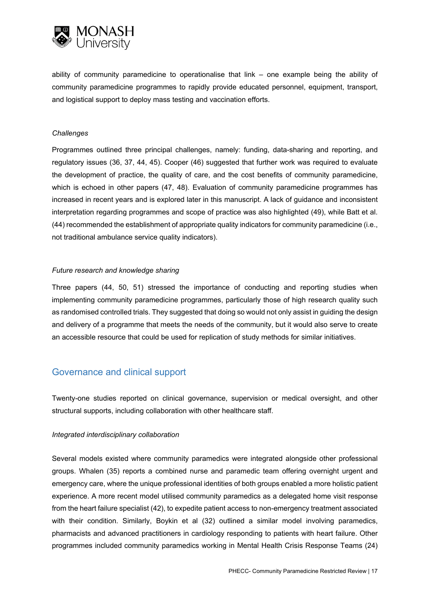

ability of community paramedicine to operationalise that link – one example being the ability of community paramedicine programmes to rapidly provide educated personnel, equipment, transport, and logistical support to deploy mass testing and vaccination efforts.

#### *Challenges*

Programmes outlined three principal challenges, namely: funding, data-sharing and reporting, and regulatory issues (36, 37, 44, 45). Cooper (46) suggested that further work was required to evaluate the development of practice, the quality of care, and the cost benefits of community paramedicine, which is echoed in other papers (47, 48). Evaluation of community paramedicine programmes has increased in recent years and is explored later in this manuscript. A lack of guidance and inconsistent interpretation regarding programmes and scope of practice was also highlighted (49), while Batt et al. (44) recommended the establishment of appropriate quality indicators for community paramedicine (i.e., not traditional ambulance service quality indicators).

#### *Future research and knowledge sharing*

Three papers (44, 50, 51) stressed the importance of conducting and reporting studies when implementing community paramedicine programmes, particularly those of high research quality such as randomised controlled trials. They suggested that doing so would not only assist in guiding the design and delivery of a programme that meets the needs of the community, but it would also serve to create an accessible resource that could be used for replication of study methods for similar initiatives.

## <span id="page-16-0"></span>Governance and clinical support

Twenty-one studies reported on clinical governance, supervision or medical oversight, and other structural supports, including collaboration with other healthcare staff.

#### *Integrated interdisciplinary collaboration*

Several models existed where community paramedics were integrated alongside other professional groups. Whalen (35) reports a combined nurse and paramedic team offering overnight urgent and emergency care, where the unique professional identities of both groups enabled a more holistic patient experience. A more recent model utilised community paramedics as a delegated home visit response from the heart failure specialist (42), to expedite patient access to non-emergency treatment associated with their condition. Similarly, Boykin et al (32) outlined a similar model involving paramedics, pharmacists and advanced practitioners in cardiology responding to patients with heart failure. Other programmes included community paramedics working in Mental Health Crisis Response Teams (24)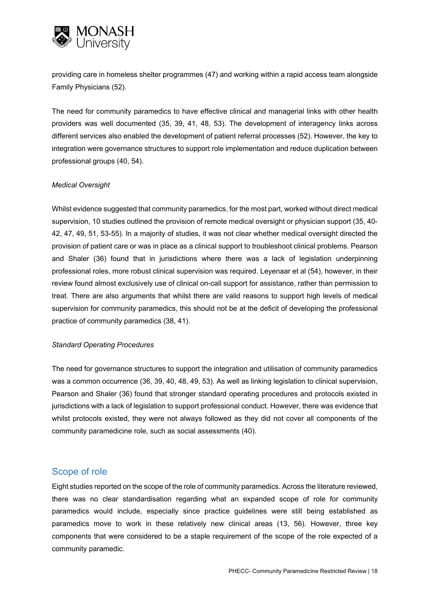

providing care in homeless shelter programmes (47) and working within a rapid access team alongside Family Physicians (52).

The need for community paramedics to have effective clinical and managerial links with other health providers was well documented (35, 39, 41, 48, 53). The development of interagency links across different services also enabled the development of patient referral processes (52). However, the key to integration were governance structures to support role implementation and reduce duplication between professional groups (40, 54).

#### *Medical Oversight*

Whilst evidence suggested that community paramedics, for the most part, worked without direct medical supervision, 10 studies outlined the provision of remote medical oversight or physician support (35, 40- 42, 47, 49, 51, 53-55). In a majority of studies, it was not clear whether medical oversight directed the provision of patient care or was in place as a clinical support to troubleshoot clinical problems. Pearson and Shaler (36) found that in jurisdictions where there was a lack of legislation underpinning professional roles, more robust clinical supervision was required. Leyenaar et al (54), however, in their review found almost exclusively use of clinical on-call support for assistance, rather than permission to treat. There are also arguments that whilst there are valid reasons to support high levels of medical supervision for community paramedics, this should not be at the deficit of developing the professional practice of community paramedics (38, 41).

#### *Standard Operating Procedures*

The need for governance structures to support the integration and utilisation of community paramedics was a common occurrence (36, 39, 40, 48, 49, 53). As well as linking legislation to clinical supervision, Pearson and Shaler (36) found that stronger standard operating procedures and protocols existed in jurisdictions with a lack of legislation to support professional conduct. However, there was evidence that whilst protocols existed, they were not always followed as they did not cover all components of the community paramedicine role, such as social assessments (40).

#### <span id="page-17-0"></span>Scope of role

Eight studies reported on the scope of the role of community paramedics. Across the literature reviewed, there was no clear standardisation regarding what an expanded scope of role for community paramedics would include, especially since practice guidelines were still being established as paramedics move to work in these relatively new clinical areas (13, 56). However, three key components that were considered to be a staple requirement of the scope of the role expected of a community paramedic.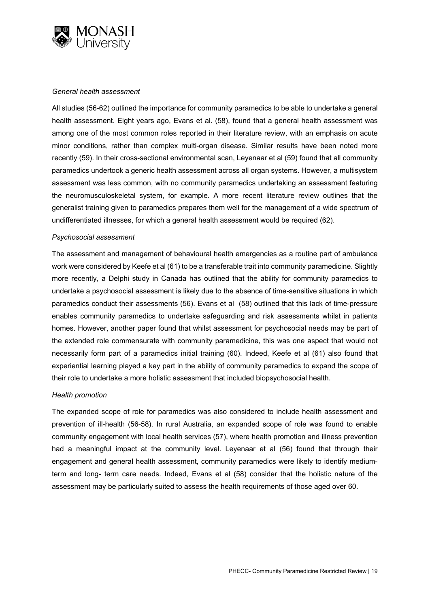

#### *General health assessment*

All studies (56-62) outlined the importance for community paramedics to be able to undertake a general health assessment. Eight years ago, Evans et al. (58), found that a general health assessment was among one of the most common roles reported in their literature review, with an emphasis on acute minor conditions, rather than complex multi-organ disease. Similar results have been noted more recently (59). In their cross-sectional environmental scan, Leyenaar et al (59) found that all community paramedics undertook a generic health assessment across all organ systems. However, a multisystem assessment was less common, with no community paramedics undertaking an assessment featuring the neuromusculoskeletal system, for example. A more recent literature review outlines that the generalist training given to paramedics prepares them well for the management of a wide spectrum of undifferentiated illnesses, for which a general health assessment would be required (62).

#### *Psychosocial assessment*

The assessment and management of behavioural health emergencies as a routine part of ambulance work were considered by Keefe et al (61) to be a transferable trait into community paramedicine. Slightly more recently, a Delphi study in Canada has outlined that the ability for community paramedics to undertake a psychosocial assessment is likely due to the absence of time-sensitive situations in which paramedics conduct their assessments (56). Evans et al (58) outlined that this lack of time-pressure enables community paramedics to undertake safeguarding and risk assessments whilst in patients homes. However, another paper found that whilst assessment for psychosocial needs may be part of the extended role commensurate with community paramedicine, this was one aspect that would not necessarily form part of a paramedics initial training (60). Indeed, Keefe et al (61) also found that experiential learning played a key part in the ability of community paramedics to expand the scope of their role to undertake a more holistic assessment that included biopsychosocial health.

#### *Health promotion*

The expanded scope of role for paramedics was also considered to include health assessment and prevention of ill-health (56-58). In rural Australia, an expanded scope of role was found to enable community engagement with local health services (57), where health promotion and illness prevention had a meaningful impact at the community level. Leyenaar et al (56) found that through their engagement and general health assessment, community paramedics were likely to identify mediumterm and long- term care needs. Indeed, Evans et al (58) consider that the holistic nature of the assessment may be particularly suited to assess the health requirements of those aged over 60.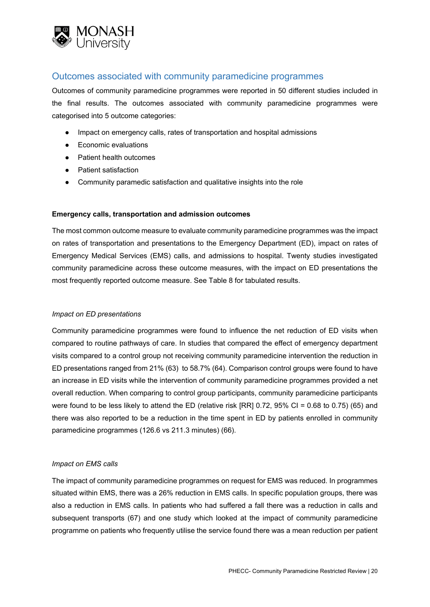

## <span id="page-19-0"></span>Outcomes associated with community paramedicine programmes

Outcomes of community paramedicine programmes were reported in 50 different studies included in the final results. The outcomes associated with community paramedicine programmes were categorised into 5 outcome categories:

- Impact on emergency calls, rates of transportation and hospital admissions
- Economic evaluations
- Patient health outcomes
- Patient satisfaction
- Community paramedic satisfaction and qualitative insights into the role

#### **Emergency calls, transportation and admission outcomes**

The most common outcome measure to evaluate community paramedicine programmes was the impact on rates of transportation and presentations to the Emergency Department (ED), impact on rates of Emergency Medical Services (EMS) calls, and admissions to hospital. Twenty studies investigated community paramedicine across these outcome measures, with the impact on ED presentations the most frequently reported outcome measure. See Table 8 for tabulated results.

#### *Impact on ED presentations*

Community paramedicine programmes were found to influence the net reduction of ED visits when compared to routine pathways of care. In studies that compared the effect of emergency department visits compared to a control group not receiving community paramedicine intervention the reduction in ED presentations ranged from 21% (63) to 58.7% (64). Comparison control groups were found to have an increase in ED visits while the intervention of community paramedicine programmes provided a net overall reduction. When comparing to control group participants, community paramedicine participants were found to be less likely to attend the ED (relative risk [RR] 0.72, 95% CI = 0.68 to 0.75) (65) and there was also reported to be a reduction in the time spent in ED by patients enrolled in community paramedicine programmes (126.6 vs 211.3 minutes) (66).

#### *Impact on EMS calls*

The impact of community paramedicine programmes on request for EMS was reduced. In programmes situated within EMS, there was a 26% reduction in EMS calls. In specific population groups, there was also a reduction in EMS calls. In patients who had suffered a fall there was a reduction in calls and subsequent transports (67) and one study which looked at the impact of community paramedicine programme on patients who frequently utilise the service found there was a mean reduction per patient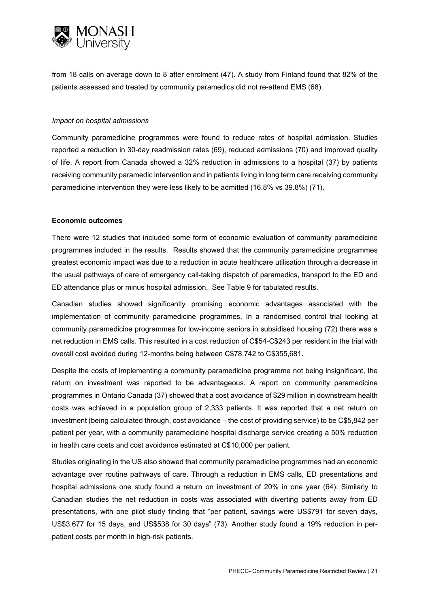

from 18 calls on average down to 8 after enrolment (47). A study from Finland found that 82% of the patients assessed and treated by community paramedics did not re-attend EMS (68).

#### *Impact on hospital admissions*

Community paramedicine programmes were found to reduce rates of hospital admission. Studies reported a reduction in 30-day readmission rates (69), reduced admissions (70) and improved quality of life. A report from Canada showed a 32% reduction in admissions to a hospital (37) by patients receiving community paramedic intervention and in patients living in long term care receiving community paramedicine intervention they were less likely to be admitted (16.8% vs 39.8%) (71).

#### **Economic outcomes**

There were 12 studies that included some form of economic evaluation of community paramedicine programmes included in the results. Results showed that the community paramedicine programmes greatest economic impact was due to a reduction in acute healthcare utilisation through a decrease in the usual pathways of care of emergency call-taking dispatch of paramedics, transport to the ED and ED attendance plus or minus hospital admission. See Table 9 for tabulated results.

Canadian studies showed significantly promising economic advantages associated with the implementation of community paramedicine programmes. In a randomised control trial looking at community paramedicine programmes for low-income seniors in subsidised housing (72) there was a net reduction in EMS calls. This resulted in a cost reduction of C\$54-C\$243 per resident in the trial with overall cost avoided during 12-months being between C\$78,742 to C\$355,681.

Despite the costs of implementing a community paramedicine programme not being insignificant, the return on investment was reported to be advantageous. A report on community paramedicine programmes in Ontario Canada (37) showed that a cost avoidance of \$29 million in downstream health costs was achieved in a population group of 2,333 patients. It was reported that a net return on investment (being calculated through, cost avoidance – the cost of providing service) to be C\$5,842 per patient per year, with a community paramedicine hospital discharge service creating a 50% reduction in health care costs and cost avoidance estimated at C\$10,000 per patient.

Studies originating in the US also showed that community paramedicine programmes had an economic advantage over routine pathways of care. Through a reduction in EMS calls, ED presentations and hospital admissions one study found a return on investment of 20% in one year (64). Similarly to Canadian studies the net reduction in costs was associated with diverting patients away from ED presentations, with one pilot study finding that "per patient, savings were US\$791 for seven days, US\$3,677 for 15 days, and US\$538 for 30 days" (73). Another study found a 19% reduction in perpatient costs per month in high-risk patients.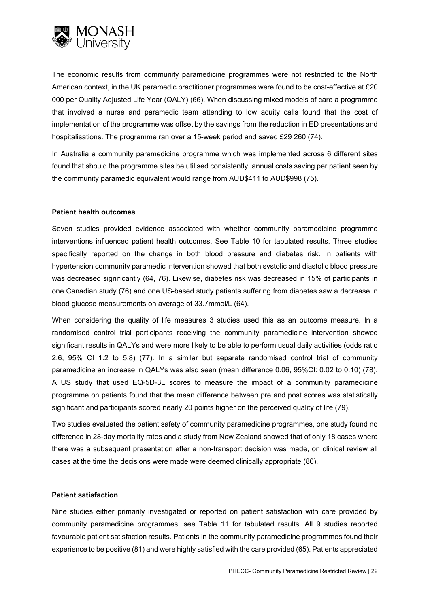

The economic results from community paramedicine programmes were not restricted to the North American context, in the UK paramedic practitioner programmes were found to be cost-effective at £20 000 per Quality Adjusted Life Year (QALY) (66). When discussing mixed models of care a programme that involved a nurse and paramedic team attending to low acuity calls found that the cost of implementation of the programme was offset by the savings from the reduction in ED presentations and hospitalisations. The programme ran over a 15-week period and saved £29 260 (74).

In Australia a community paramedicine programme which was implemented across 6 different sites found that should the programme sites be utilised consistently, annual costs saving per patient seen by the community paramedic equivalent would range from AUD\$411 to AUD\$998 (75).

#### **Patient health outcomes**

Seven studies provided evidence associated with whether community paramedicine programme interventions influenced patient health outcomes. See Table 10 for tabulated results. Three studies specifically reported on the change in both blood pressure and diabetes risk. In patients with hypertension community paramedic intervention showed that both systolic and diastolic blood pressure was decreased significantly (64, 76). Likewise, diabetes risk was decreased in 15% of participants in one Canadian study (76) and one US-based study patients suffering from diabetes saw a decrease in blood glucose measurements on average of 33.7mmol/L (64).

When considering the quality of life measures 3 studies used this as an outcome measure. In a randomised control trial participants receiving the community paramedicine intervention showed significant results in QALYs and were more likely to be able to perform usual daily activities (odds ratio 2.6, 95% CI 1.2 to 5.8) (77). In a similar but separate randomised control trial of community paramedicine an increase in QALYs was also seen (mean difference 0.06, 95%CI: 0.02 to 0.10) (78). A US study that used EQ-5D-3L scores to measure the impact of a community paramedicine programme on patients found that the mean difference between pre and post scores was statistically significant and participants scored nearly 20 points higher on the perceived quality of life (79).

Two studies evaluated the patient safety of community paramedicine programmes, one study found no difference in 28-day mortality rates and a study from New Zealand showed that of only 18 cases where there was a subsequent presentation after a non-transport decision was made, on clinical review all cases at the time the decisions were made were deemed clinically appropriate (80).

#### **Patient satisfaction**

Nine studies either primarily investigated or reported on patient satisfaction with care provided by community paramedicine programmes, see Table 11 for tabulated results. All 9 studies reported favourable patient satisfaction results. Patients in the community paramedicine programmes found their experience to be positive (81) and were highly satisfied with the care provided (65). Patients appreciated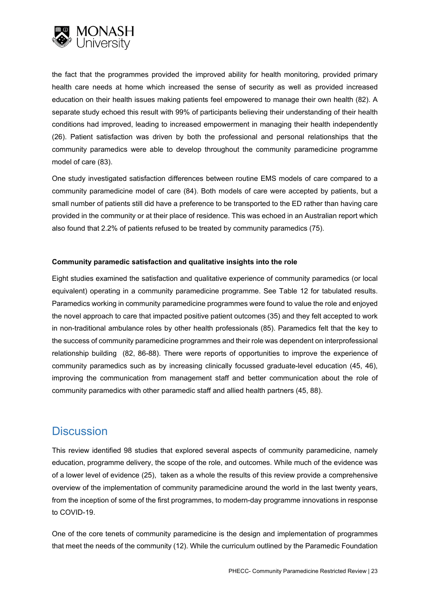

the fact that the programmes provided the improved ability for health monitoring, provided primary health care needs at home which increased the sense of security as well as provided increased education on their health issues making patients feel empowered to manage their own health (82). A separate study echoed this result with 99% of participants believing their understanding of their health conditions had improved, leading to increased empowerment in managing their health independently (26). Patient satisfaction was driven by both the professional and personal relationships that the community paramedics were able to develop throughout the community paramedicine programme model of care (83).

One study investigated satisfaction differences between routine EMS models of care compared to a community paramedicine model of care (84). Both models of care were accepted by patients, but a small number of patients still did have a preference to be transported to the ED rather than having care provided in the community or at their place of residence. This was echoed in an Australian report which also found that 2.2% of patients refused to be treated by community paramedics (75).

#### **Community paramedic satisfaction and qualitative insights into the role**

Eight studies examined the satisfaction and qualitative experience of community paramedics (or local equivalent) operating in a community paramedicine programme. See Table 12 for tabulated results. Paramedics working in community paramedicine programmes were found to value the role and enjoyed the novel approach to care that impacted positive patient outcomes (35) and they felt accepted to work in non-traditional ambulance roles by other health professionals (85). Paramedics felt that the key to the success of community paramedicine programmes and their role was dependent on interprofessional relationship building (82, 86-88). There were reports of opportunities to improve the experience of community paramedics such as by increasing clinically focussed graduate-level education (45, 46), improving the communication from management staff and better communication about the role of community paramedics with other paramedic staff and allied health partners (45, 88).

## <span id="page-22-0"></span>**Discussion**

This review identified 98 studies that explored several aspects of community paramedicine, namely education, programme delivery, the scope of the role, and outcomes. While much of the evidence was of a lower level of evidence (25), taken as a whole the results of this review provide a comprehensive overview of the implementation of community paramedicine around the world in the last twenty years, from the inception of some of the first programmes, to modern-day programme innovations in response to COVID-19.

One of the core tenets of community paramedicine is the design and implementation of programmes that meet the needs of the community (12). While the curriculum outlined by the Paramedic Foundation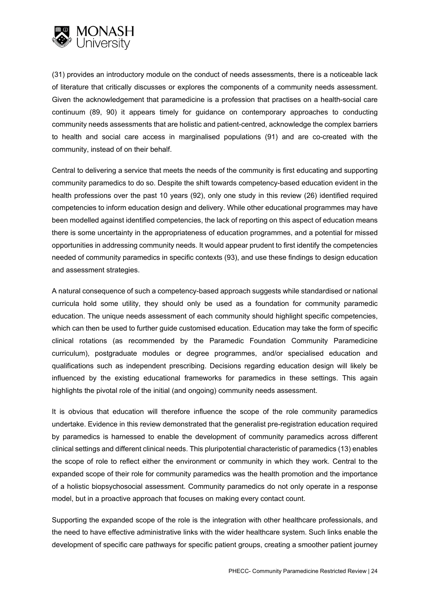

(31) provides an introductory module on the conduct of needs assessments, there is a noticeable lack of literature that critically discusses or explores the components of a community needs assessment. Given the acknowledgement that paramedicine is a profession that practises on a health-social care continuum (89, 90) it appears timely for guidance on contemporary approaches to conducting community needs assessments that are holistic and patient-centred, acknowledge the complex barriers to health and social care access in marginalised populations (91) and are co-created with the community, instead of on their behalf.

Central to delivering a service that meets the needs of the community is first educating and supporting community paramedics to do so. Despite the shift towards competency-based education evident in the health professions over the past 10 years (92), only one study in this review (26) identified required competencies to inform education design and delivery. While other educational programmes may have been modelled against identified competencies, the lack of reporting on this aspect of education means there is some uncertainty in the appropriateness of education programmes, and a potential for missed opportunities in addressing community needs. It would appear prudent to first identify the competencies needed of community paramedics in specific contexts (93), and use these findings to design education and assessment strategies.

A natural consequence of such a competency-based approach suggests while standardised or national curricula hold some utility, they should only be used as a foundation for community paramedic education. The unique needs assessment of each community should highlight specific competencies, which can then be used to further guide customised education. Education may take the form of specific clinical rotations (as recommended by the Paramedic Foundation Community Paramedicine curriculum), postgraduate modules or degree programmes, and/or specialised education and qualifications such as independent prescribing. Decisions regarding education design will likely be influenced by the existing educational frameworks for paramedics in these settings. This again highlights the pivotal role of the initial (and ongoing) community needs assessment.

It is obvious that education will therefore influence the scope of the role community paramedics undertake. Evidence in this review demonstrated that the generalist pre-registration education required by paramedics is harnessed to enable the development of community paramedics across different clinical settings and different clinical needs. This pluripotential characteristic of paramedics (13) enables the scope of role to reflect either the environment or community in which they work. Central to the expanded scope of their role for community paramedics was the health promotion and the importance of a holistic biopsychosocial assessment. Community paramedics do not only operate in a response model, but in a proactive approach that focuses on making every contact count.

Supporting the expanded scope of the role is the integration with other healthcare professionals, and the need to have effective administrative links with the wider healthcare system. Such links enable the development of specific care pathways for specific patient groups, creating a smoother patient journey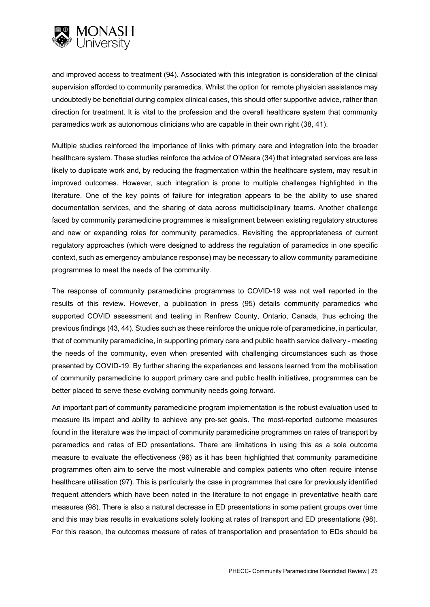

and improved access to treatment (94). Associated with this integration is consideration of the clinical supervision afforded to community paramedics. Whilst the option for remote physician assistance may undoubtedly be beneficial during complex clinical cases, this should offer supportive advice, rather than direction for treatment. It is vital to the profession and the overall healthcare system that community paramedics work as autonomous clinicians who are capable in their own right (38, 41).

Multiple studies reinforced the importance of links with primary care and integration into the broader healthcare system. These studies reinforce the advice of O'Meara (34) that integrated services are less likely to duplicate work and, by reducing the fragmentation within the healthcare system, may result in improved outcomes. However, such integration is prone to multiple challenges highlighted in the literature. One of the key points of failure for integration appears to be the ability to use shared documentation services, and the sharing of data across multidisciplinary teams. Another challenge faced by community paramedicine programmes is misalignment between existing regulatory structures and new or expanding roles for community paramedics. Revisiting the appropriateness of current regulatory approaches (which were designed to address the regulation of paramedics in one specific context, such as emergency ambulance response) may be necessary to allow community paramedicine programmes to meet the needs of the community.

The response of community paramedicine programmes to COVID-19 was not well reported in the results of this review. However, a publication in press (95) details community paramedics who supported COVID assessment and testing in Renfrew County, Ontario, Canada, thus echoing the previous findings (43, 44). Studies such as these reinforce the unique role of paramedicine, in particular, that of community paramedicine, in supporting primary care and public health service delivery - meeting the needs of the community, even when presented with challenging circumstances such as those presented by COVID-19. By further sharing the experiences and lessons learned from the mobilisation of community paramedicine to support primary care and public health initiatives, programmes can be better placed to serve these evolving community needs going forward.

An important part of community paramedicine program implementation is the robust evaluation used to measure its impact and ability to achieve any pre-set goals. The most-reported outcome measures found in the literature was the impact of community paramedicine programmes on rates of transport by paramedics and rates of ED presentations. There are limitations in using this as a sole outcome measure to evaluate the effectiveness (96) as it has been highlighted that community paramedicine programmes often aim to serve the most vulnerable and complex patients who often require intense healthcare utilisation (97). This is particularly the case in programmes that care for previously identified frequent attenders which have been noted in the literature to not engage in preventative health care measures (98). There is also a natural decrease in ED presentations in some patient groups over time and this may bias results in evaluations solely looking at rates of transport and ED presentations (98). For this reason, the outcomes measure of rates of transportation and presentation to EDs should be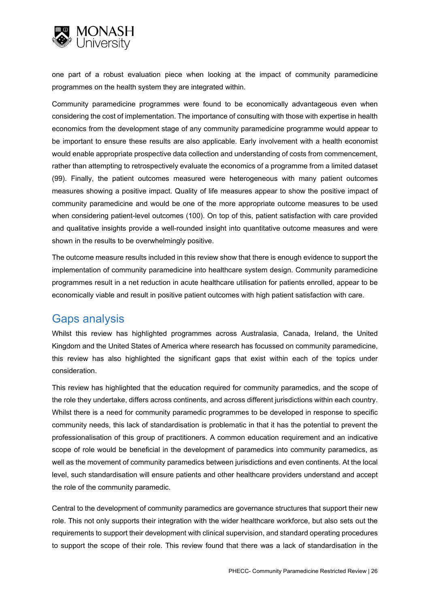

one part of a robust evaluation piece when looking at the impact of community paramedicine programmes on the health system they are integrated within.

Community paramedicine programmes were found to be economically advantageous even when considering the cost of implementation. The importance of consulting with those with expertise in health economics from the development stage of any community paramedicine programme would appear to be important to ensure these results are also applicable. Early involvement with a health economist would enable appropriate prospective data collection and understanding of costs from commencement, rather than attempting to retrospectively evaluate the economics of a programme from a limited dataset (99). Finally, the patient outcomes measured were heterogeneous with many patient outcomes measures showing a positive impact. Quality of life measures appear to show the positive impact of community paramedicine and would be one of the more appropriate outcome measures to be used when considering patient-level outcomes (100). On top of this, patient satisfaction with care provided and qualitative insights provide a well-rounded insight into quantitative outcome measures and were shown in the results to be overwhelmingly positive.

The outcome measure results included in this review show that there is enough evidence to support the implementation of community paramedicine into healthcare system design. Community paramedicine programmes result in a net reduction in acute healthcare utilisation for patients enrolled, appear to be economically viable and result in positive patient outcomes with high patient satisfaction with care.

# <span id="page-25-0"></span>Gaps analysis

Whilst this review has highlighted programmes across Australasia, Canada, Ireland, the United Kingdom and the United States of America where research has focussed on community paramedicine, this review has also highlighted the significant gaps that exist within each of the topics under consideration.

This review has highlighted that the education required for community paramedics, and the scope of the role they undertake, differs across continents, and across different jurisdictions within each country. Whilst there is a need for community paramedic programmes to be developed in response to specific community needs, this lack of standardisation is problematic in that it has the potential to prevent the professionalisation of this group of practitioners. A common education requirement and an indicative scope of role would be beneficial in the development of paramedics into community paramedics, as well as the movement of community paramedics between jurisdictions and even continents. At the local level, such standardisation will ensure patients and other healthcare providers understand and accept the role of the community paramedic.

Central to the development of community paramedics are governance structures that support their new role. This not only supports their integration with the wider healthcare workforce, but also sets out the requirements to support their development with clinical supervision, and standard operating procedures to support the scope of their role. This review found that there was a lack of standardisation in the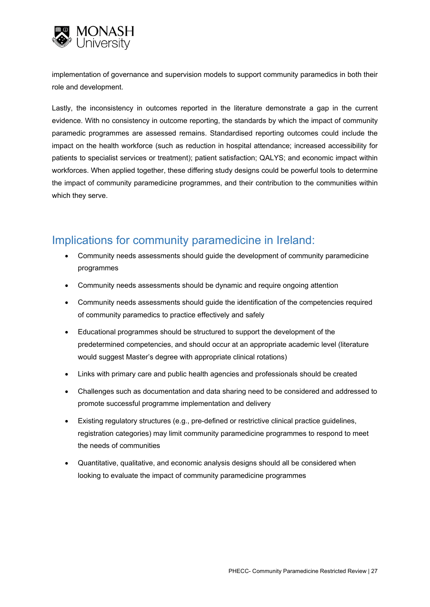

implementation of governance and supervision models to support community paramedics in both their role and development.

Lastly, the inconsistency in outcomes reported in the literature demonstrate a gap in the current evidence. With no consistency in outcome reporting, the standards by which the impact of community paramedic programmes are assessed remains. Standardised reporting outcomes could include the impact on the health workforce (such as reduction in hospital attendance; increased accessibility for patients to specialist services or treatment); patient satisfaction; QALYS; and economic impact within workforces. When applied together, these differing study designs could be powerful tools to determine the impact of community paramedicine programmes, and their contribution to the communities within which they serve.

# <span id="page-26-0"></span>Implications for community paramedicine in Ireland:

- Community needs assessments should guide the development of community paramedicine programmes
- Community needs assessments should be dynamic and require ongoing attention
- Community needs assessments should guide the identification of the competencies required of community paramedics to practice effectively and safely
- Educational programmes should be structured to support the development of the predetermined competencies, and should occur at an appropriate academic level (literature would suggest Master's degree with appropriate clinical rotations)
- Links with primary care and public health agencies and professionals should be created
- Challenges such as documentation and data sharing need to be considered and addressed to promote successful programme implementation and delivery
- Existing regulatory structures (e.g., pre-defined or restrictive clinical practice guidelines, registration categories) may limit community paramedicine programmes to respond to meet the needs of communities
- Quantitative, qualitative, and economic analysis designs should all be considered when looking to evaluate the impact of community paramedicine programmes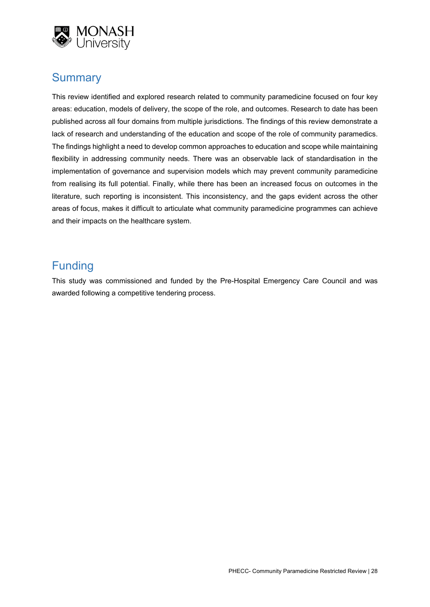

# <span id="page-27-0"></span>**Summary**

This review identified and explored research related to community paramedicine focused on four key areas: education, models of delivery, the scope of the role, and outcomes. Research to date has been published across all four domains from multiple jurisdictions. The findings of this review demonstrate a lack of research and understanding of the education and scope of the role of community paramedics. The findings highlight a need to develop common approaches to education and scope while maintaining flexibility in addressing community needs. There was an observable lack of standardisation in the implementation of governance and supervision models which may prevent community paramedicine from realising its full potential. Finally, while there has been an increased focus on outcomes in the literature, such reporting is inconsistent. This inconsistency, and the gaps evident across the other areas of focus, makes it difficult to articulate what community paramedicine programmes can achieve and their impacts on the healthcare system.

# <span id="page-27-1"></span>Funding

This study was commissioned and funded by the Pre-Hospital Emergency Care Council and was awarded following a competitive tendering process.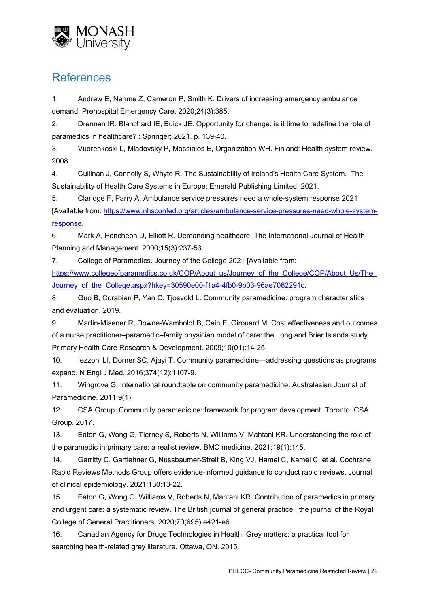

# <span id="page-28-0"></span>References

1. Andrew E, Nehme Z, Cameron P, Smith K. Drivers of increasing emergency ambulance demand. Prehospital Emergency Care. 2020;24(3):385.

2. Drennan IR, Blanchard IE, Buick JE. Opportunity for change: is it time to redefine the role of paramedics in healthcare? : Springer; 2021. p. 139-40.

3. Vuorenkoski L, Mladovsky P, Mossialos E, Organization WH. Finland: Health system review. 2008.

4. Cullinan J, Connolly S, Whyte R. The Sustainability of Ireland's Health Care System. The Sustainability of Health Care Systems in Europe: Emerald Publishing Limited; 2021.

5. Claridge F, Parry A. Ambulance service pressures need a whole-system response 2021 [Available from: [https://www.nhsconfed.org/articles/ambulance-service-pressures-need-whole-system](https://www.nhsconfed.org/articles/ambulance-service-pressures-need-whole-system-response)[response.](https://www.nhsconfed.org/articles/ambulance-service-pressures-need-whole-system-response)

6. Mark A, Pencheon D, Elliott R. Demanding healthcare. The International Journal of Health Planning and Management. 2000;15(3):237-53.

7. College of Paramedics. Journey of the College 2021 [Available from: https://www.collegeofparamedics.co.uk/COP/About\_us/Journey\_of\_the\_College/COP/About\_Us/The Journey of the College.aspx?hkey=30590e00-f1a4-4fb0-9b03-96ae7062291c.

8. Guo B, Corabian P, Yan C, Tjosvold L. Community paramedicine: program characteristics and evaluation. 2019.

9. Martin-Misener R, Downe-Wamboldt B, Cain E, Girouard M. Cost effectiveness and outcomes of a nurse practitioner–paramedic–family physician model of care: the Long and Brier Islands study. Primary Health Care Research & Development. 2009;10(01):14-25.

10. Iezzoni LI, Dorner SC, Ajayi T. Community paramedicine—addressing questions as programs expand. N Engl J Med. 2016;374(12):1107-9.

11. Wingrove G. International roundtable on community paramedicine. Australasian Journal of Paramedicine. 2011;9(1).

12. CSA Group. Community paramedicine: framework for program development. Toronto: CSA Group. 2017.

13. Eaton G, Wong G, Tierney S, Roberts N, Williams V, Mahtani KR. Understanding the role of the paramedic in primary care: a realist review. BMC medicine. 2021;19(1):145.

14. Garritty C, Gartlehner G, Nussbaumer-Streit B, King VJ, Hamel C, Kamel C, et al. Cochrane Rapid Reviews Methods Group offers evidence-informed guidance to conduct rapid reviews. Journal of clinical epidemiology. 2021;130:13-22.

15. Eaton G, Wong G, Williams V, Roberts N, Mahtani KR. Contribution of paramedics in primary and urgent care: a systematic review. The British journal of general practice : the journal of the Royal College of General Practitioners. 2020;70(695):e421-e6.

16. Canadian Agency for Drugs Technologies in Health. Grey matters: a practical tool for searching health-related grey literature. Ottawa, ON. 2015.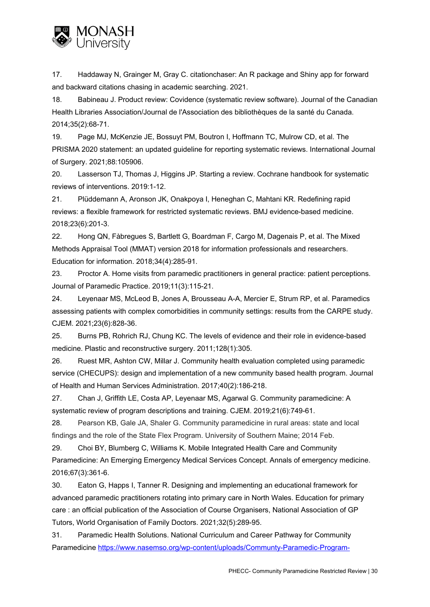

17. Haddaway N, Grainger M, Gray C. citationchaser: An R package and Shiny app for forward and backward citations chasing in academic searching. 2021.

18. Babineau J. Product review: Covidence (systematic review software). Journal of the Canadian Health Libraries Association/Journal de l'Association des bibliothèques de la santé du Canada. 2014;35(2):68-71.

19. Page MJ, McKenzie JE, Bossuyt PM, Boutron I, Hoffmann TC, Mulrow CD, et al. The PRISMA 2020 statement: an updated guideline for reporting systematic reviews. International Journal of Surgery. 2021;88:105906.

20. Lasserson TJ, Thomas J, Higgins JP. Starting a review. Cochrane handbook for systematic reviews of interventions. 2019:1-12.

21. Plüddemann A, Aronson JK, Onakpoya I, Heneghan C, Mahtani KR. Redefining rapid reviews: a flexible framework for restricted systematic reviews. BMJ evidence-based medicine. 2018;23(6):201-3.

22. Hong QN, Fàbregues S, Bartlett G, Boardman F, Cargo M, Dagenais P, et al. The Mixed Methods Appraisal Tool (MMAT) version 2018 for information professionals and researchers. Education for information. 2018;34(4):285-91.

23. Proctor A. Home visits from paramedic practitioners in general practice: patient perceptions. Journal of Paramedic Practice. 2019;11(3):115-21.

24. Leyenaar MS, McLeod B, Jones A, Brousseau A-A, Mercier E, Strum RP, et al. Paramedics assessing patients with complex comorbidities in community settings: results from the CARPE study. CJEM. 2021;23(6):828-36.

25. Burns PB, Rohrich RJ, Chung KC. The levels of evidence and their role in evidence-based medicine. Plastic and reconstructive surgery. 2011;128(1):305.

26. Ruest MR, Ashton CW, Millar J. Community health evaluation completed using paramedic service (CHECUPS): design and implementation of a new community based health program. Journal of Health and Human Services Administration. 2017;40(2):186-218.

27. Chan J, Griffith LE, Costa AP, Leyenaar MS, Agarwal G. Community paramedicine: A systematic review of program descriptions and training. CJEM. 2019;21(6):749-61.

28. Pearson KB, Gale JA, Shaler G. Community paramedicine in rural areas: state and local findings and the role of the State Flex Program. University of Southern Maine; 2014 Feb.

29. Choi BY, Blumberg C, Williams K. Mobile Integrated Health Care and Community Paramedicine: An Emerging Emergency Medical Services Concept. Annals of emergency medicine. 2016;67(3):361-6.

30. Eaton G, Happs I, Tanner R. Designing and implementing an educational framework for advanced paramedic practitioners rotating into primary care in North Wales. Education for primary care : an official publication of the Association of Course Organisers, National Association of GP Tutors, World Organisation of Family Doctors. 2021;32(5):289-95.

31. Paramedic Health Solutions. National Curriculum and Career Pathway for Community Paramedicine [https://www.nasemso.org/wp-content/uploads/Communty-Paramedic-Program-](https://www.nasemso.org/wp-content/uploads/Communty-Paramedic-Program-NationalCurrculum-Spring2017.pdf)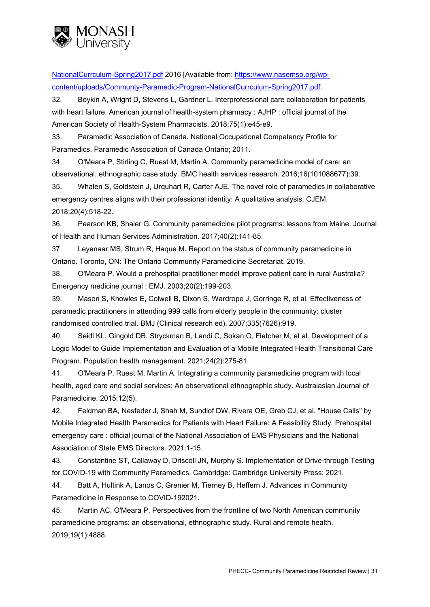

[NationalCurrculum-Spring2017.pdf](https://www.nasemso.org/wp-content/uploads/Communty-Paramedic-Program-NationalCurrculum-Spring2017.pdf) 2016 [Available from: [https://www.nasemso.org/wp](https://www.nasemso.org/wp-content/uploads/Communty-Paramedic-Program-NationalCurrculum-Spring2017.pdf)[content/uploads/Communty-Paramedic-Program-NationalCurrculum-Spring2017.pdf.](https://www.nasemso.org/wp-content/uploads/Communty-Paramedic-Program-NationalCurrculum-Spring2017.pdf)

32. Boykin A, Wright D, Stevens L, Gardner L. Interprofessional care collaboration for patients with heart failure. American journal of health-system pharmacy : AJHP : official journal of the American Society of Health-System Pharmacists. 2018;75(1):e45-e9.

33. Paramedic Association of Canada. National Occupational Competency Profile for Paramedics. Paramedic Association of Canada Ontario; 2011.

34. O'Meara P, Stirling C, Ruest M, Martin A. Community paramedicine model of care: an observational, ethnographic case study. BMC health services research. 2016;16(101088677):39.

35. Whalen S, Goldstein J, Urquhart R, Carter AJE. The novel role of paramedics in collaborative emergency centres aligns with their professional identity: A qualitative analysis. CJEM. 2018;20(4):518-22.

36. Pearson KB, Shaler G. Community paramedicine pilot programs: lessons from Maine. Journal of Health and Human Services Administration. 2017;40(2):141-85.

37. Leyenaar MS, Strum R, Haque M. Report on the status of community paramedicine in Ontario. Toronto, ON: The Ontario Community Paramedicine Secretariat. 2019.

38. O'Meara P. Would a prehospital practitioner model improve patient care in rural Australia? Emergency medicine journal : EMJ. 2003;20(2):199-203.

39. Mason S, Knowles E, Colwell B, Dixon S, Wardrope J, Gorringe R, et al. Effectiveness of paramedic practitioners in attending 999 calls from elderly people in the community: cluster randomised controlled trial. BMJ (Clinical research ed). 2007;335(7626):919.

40. Seidl KL, Gingold DB, Stryckman B, Landi C, Sokan O, Fletcher M, et al. Development of a Logic Model to Guide Implementation and Evaluation of a Mobile Integrated Health Transitional Care Program. Population health management. 2021;24(2):275-81.

41. O'Meara P, Ruest M, Martin A. Integrating a community paramedicine program with local health, aged care and social services: An observational ethnographic study. Australasian Journal of Paramedicine. 2015;12(5).

42. Feldman BA, Nesfeder J, Shah M, Sundlof DW, Rivera OE, Greb CJ, et al. "House Calls" by Mobile Integrated Health Paramedics for Patients with Heart Failure: A Feasibility Study. Prehospital emergency care : official journal of the National Association of EMS Physicians and the National Association of State EMS Directors. 2021:1-15.

43. Constantine ST, Callaway D, Driscoll JN, Murphy S. Implementation of Drive-through Testing for COVID-19 with Community Paramedics. Cambridge: Cambridge University Press; 2021.

44. Batt A, Hultink A, Lanos C, Grenier M, Tierney B, Heffern J. Advances in Community Paramedicine in Response to COVID-192021.

45. Martin AC, O'Meara P. Perspectives from the frontline of two North American community paramedicine programs: an observational, ethnographic study. Rural and remote health. 2019;19(1):4888.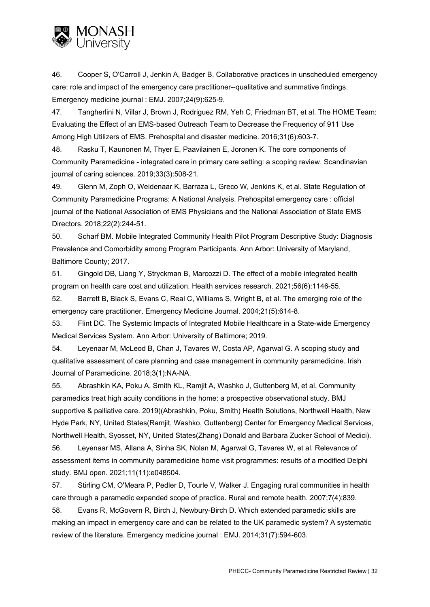

46. Cooper S, O'Carroll J, Jenkin A, Badger B. Collaborative practices in unscheduled emergency care: role and impact of the emergency care practitioner--qualitative and summative findings. Emergency medicine journal : EMJ. 2007;24(9):625-9.

47. Tangherlini N, Villar J, Brown J, Rodriguez RM, Yeh C, Friedman BT, et al. The HOME Team: Evaluating the Effect of an EMS-based Outreach Team to Decrease the Frequency of 911 Use Among High Utilizers of EMS. Prehospital and disaster medicine. 2016;31(6):603-7.

48. Rasku T, Kaunonen M, Thyer E, Paavilainen E, Joronen K. The core components of Community Paramedicine - integrated care in primary care setting: a scoping review. Scandinavian journal of caring sciences. 2019;33(3):508-21.

49. Glenn M, Zoph O, Weidenaar K, Barraza L, Greco W, Jenkins K, et al. State Regulation of Community Paramedicine Programs: A National Analysis. Prehospital emergency care : official journal of the National Association of EMS Physicians and the National Association of State EMS Directors. 2018;22(2):244-51.

50. Scharf BM. Mobile Integrated Community Health Pilot Program Descriptive Study: Diagnosis Prevalence and Comorbidity among Program Participants. Ann Arbor: University of Maryland, Baltimore County; 2017.

51. Gingold DB, Liang Y, Stryckman B, Marcozzi D. The effect of a mobile integrated health program on health care cost and utilization. Health services research. 2021;56(6):1146-55.

52. Barrett B, Black S, Evans C, Real C, Williams S, Wright B, et al. The emerging role of the emergency care practitioner. Emergency Medicine Journal. 2004;21(5):614-8.

53. Flint DC. The Systemic Impacts of Integrated Mobile Healthcare in a State-wide Emergency Medical Services System. Ann Arbor: University of Baltimore; 2019.

54. Leyenaar M, McLeod B, Chan J, Tavares W, Costa AP, Agarwal G. A scoping study and qualitative assessment of care planning and case management in community paramedicine. Irish Journal of Paramedicine. 2018;3(1):NA-NA.

55. Abrashkin KA, Poku A, Smith KL, Ramjit A, Washko J, Guttenberg M, et al. Community paramedics treat high acuity conditions in the home: a prospective observational study. BMJ supportive & palliative care. 2019((Abrashkin, Poku, Smith) Health Solutions, Northwell Health, New Hyde Park, NY, United States(Ramjit, Washko, Guttenberg) Center for Emergency Medical Services, Northwell Health, Syosset, NY, United States(Zhang) Donald and Barbara Zucker School of Medici).

56. Leyenaar MS, Allana A, Sinha SK, Nolan M, Agarwal G, Tavares W, et al. Relevance of assessment items in community paramedicine home visit programmes: results of a modified Delphi study. BMJ open. 2021;11(11):e048504.

57. Stirling CM, O'Meara P, Pedler D, Tourle V, Walker J. Engaging rural communities in health care through a paramedic expanded scope of practice. Rural and remote health. 2007;7(4):839. 58. Evans R, McGovern R, Birch J, Newbury-Birch D. Which extended paramedic skills are

making an impact in emergency care and can be related to the UK paramedic system? A systematic review of the literature. Emergency medicine journal : EMJ. 2014;31(7):594-603.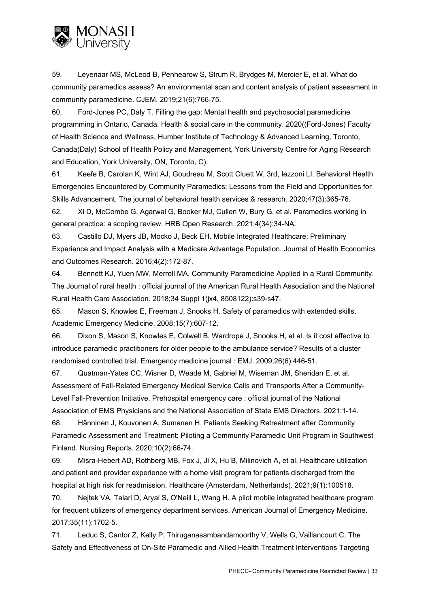

59. Leyenaar MS, McLeod B, Penhearow S, Strum R, Brydges M, Mercier E, et al. What do community paramedics assess? An environmental scan and content analysis of patient assessment in community paramedicine. CJEM. 2019;21(6):766-75.

60. Ford-Jones PC, Daly T. Filling the gap: Mental health and psychosocial paramedicine programming in Ontario, Canada. Health & social care in the community. 2020((Ford-Jones) Faculty of Health Science and Wellness, Humber Institute of Technology & Advanced Learning, Toronto, Canada(Daly) School of Health Policy and Management, York University Centre for Aging Research and Education, York University, ON, Toronto, C).

61. Keefe B, Carolan K, Wint AJ, Goudreau M, Scott Cluett W, 3rd, Iezzoni LI. Behavioral Health Emergencies Encountered by Community Paramedics: Lessons from the Field and Opportunities for Skills Advancement. The journal of behavioral health services & research. 2020;47(3):365-76.

62. Xi D, McCombe G, Agarwal G, Booker MJ, Cullen W, Bury G, et al. Paramedics working in general practice: a scoping review. HRB Open Research. 2021;4(34):34-NA.

63. Castillo DJ, Myers JB, Mocko J, Beck EH. Mobile Integrated Healthcare: Preliminary Experience and Impact Analysis with a Medicare Advantage Population. Journal of Health Economics and Outcomes Research. 2016;4(2):172-87.

64. Bennett KJ, Yuen MW, Merrell MA. Community Paramedicine Applied in a Rural Community. The Journal of rural health : official journal of the American Rural Health Association and the National Rural Health Care Association. 2018;34 Suppl 1(jx4, 8508122):s39-s47.

65. Mason S, Knowles E, Freeman J, Snooks H. Safety of paramedics with extended skills. Academic Emergency Medicine. 2008;15(7):607-12.

66. Dixon S, Mason S, Knowles E, Colwell B, Wardrope J, Snooks H, et al. Is it cost effective to introduce paramedic practitioners for older people to the ambulance service? Results of a cluster randomised controlled trial. Emergency medicine journal : EMJ. 2009;26(6):446-51.

67. Quatman-Yates CC, Wisner D, Weade M, Gabriel M, Wiseman JM, Sheridan E, et al. Assessment of Fall-Related Emergency Medical Service Calls and Transports After a Community-Level Fall-Prevention Initiative. Prehospital emergency care : official journal of the National Association of EMS Physicians and the National Association of State EMS Directors. 2021:1-14.

68. Hänninen J, Kouvonen A, Sumanen H. Patients Seeking Retreatment after Community Paramedic Assessment and Treatment: Piloting a Community Paramedic Unit Program in Southwest Finland. Nursing Reports. 2020;10(2):66-74.

69. Misra-Hebert AD, Rothberg MB, Fox J, Ji X, Hu B, Milinovich A, et al. Healthcare utilization and patient and provider experience with a home visit program for patients discharged from the hospital at high risk for readmission. Healthcare (Amsterdam, Netherlands). 2021;9(1):100518.

70. Nejtek VA, Talari D, Aryal S, O'Neill L, Wang H. A pilot mobile integrated healthcare program for frequent utilizers of emergency department services. American Journal of Emergency Medicine. 2017;35(11):1702-5.

71. Leduc S, Cantor Z, Kelly P, Thiruganasambandamoorthy V, Wells G, Vaillancourt C. The Safety and Effectiveness of On-Site Paramedic and Allied Health Treatment Interventions Targeting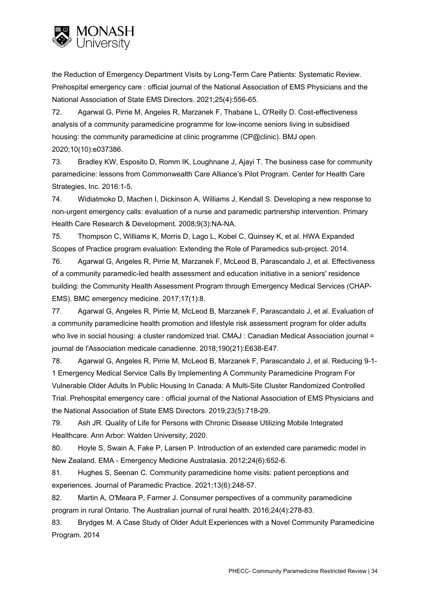

the Reduction of Emergency Department Visits by Long-Term Care Patients: Systematic Review. Prehospital emergency care : official journal of the National Association of EMS Physicians and the National Association of State EMS Directors. 2021;25(4):556-65.

72. Agarwal G, Pirrie M, Angeles R, Marzanek F, Thabane L, O'Reilly D. Cost-effectiveness analysis of a community paramedicine programme for low-income seniors living in subsidised housing: the community paramedicine at clinic programme (CP@clinic). BMJ open. 2020;10(10):e037386.

73. Bradley KW, Esposito D, Romm IK, Loughnane J, Ajayi T. The business case for community paramedicine: lessons from Commonwealth Care Alliance's Pilot Program. Center for Health Care Strategies, Inc. 2016:1-5.

74. Widiatmoko D, Machen I, Dickinson A, Williams J, Kendall S. Developing a new response to non-urgent emergency calls: evaluation of a nurse and paramedic partnership intervention. Primary Health Care Research & Development. 2008;9(3):NA-NA.

75. Thompson C, Williams K, Morris D, Lago L, Kobel C, Quinsey K, et al. HWA Expanded Scopes of Practice program evaluation: Extending the Role of Paramedics sub-project. 2014.

76. Agarwal G, Angeles R, Pirrie M, Marzanek F, McLeod B, Parascandalo J, et al. Effectiveness of a community paramedic-led health assessment and education initiative in a seniors' residence building: the Community Health Assessment Program through Emergency Medical Services (CHAP-EMS). BMC emergency medicine. 2017;17(1):8.

77. Agarwal G, Angeles R, Pirrie M, McLeod B, Marzanek F, Parascandalo J, et al. Evaluation of a community paramedicine health promotion and lifestyle risk assessment program for older adults who live in social housing: a cluster randomized trial. CMAJ : Canadian Medical Association journal = journal de l'Association medicale canadienne. 2018;190(21):E638-E47.

78. Agarwal G, Angeles R, Pirrie M, McLeod B, Marzanek F, Parascandalo J, et al. Reducing 9-1- 1 Emergency Medical Service Calls By Implementing A Community Paramedicine Program For Vulnerable Older Adults In Public Housing In Canada: A Multi-Site Cluster Randomized Controlled Trial. Prehospital emergency care : official journal of the National Association of EMS Physicians and the National Association of State EMS Directors. 2019;23(5):718-29.

79. Ash JR. Quality of Life for Persons with Chronic Disease Utilizing Mobile Integrated Healthcare. Ann Arbor: Walden University; 2020.

80. Hoyle S, Swain A, Fake P, Larsen P. Introduction of an extended care paramedic model in New Zealand. EMA - Emergency Medicine Australasia. 2012;24(6):652-6.

81. Hughes S, Seenan C. Community paramedicine home visits: patient perceptions and experiences. Journal of Paramedic Practice. 2021;13(6):248-57.

82. Martin A, O'Meara P, Farmer J. Consumer perspectives of a community paramedicine program in rural Ontario. The Australian journal of rural health. 2016;24(4):278-83.

83. Brydges M. A Case Study of Older Adult Experiences with a Novel Community Paramedicine Program. 2014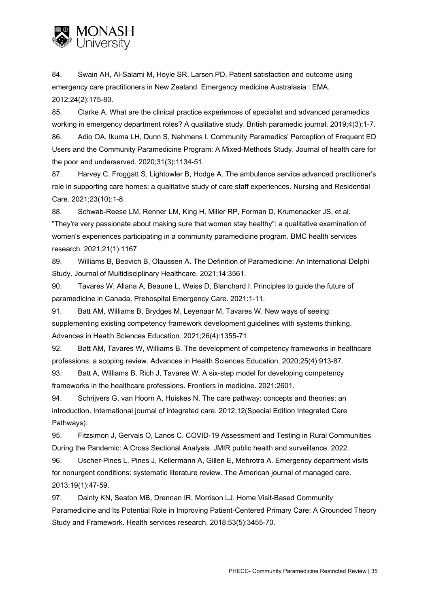

84. Swain AH, Al-Salami M, Hoyle SR, Larsen PD. Patient satisfaction and outcome using emergency care practitioners in New Zealand. Emergency medicine Australasia : EMA. 2012;24(2):175-80.

85. Clarke A. What are the clinical practice experiences of specialist and advanced paramedics working in emergency department roles? A qualitative study. British paramedic journal. 2019;4(3):1-7. 86. Adio OA, Ikuma LH, Dunn S, Nahmens I. Community Paramedics' Perception of Frequent ED Users and the Community Paramedicine Program: A Mixed-Methods Study. Journal of health care for the poor and underserved. 2020;31(3):1134-51.

87. Harvey C, Froggatt S, Lightowler B, Hodge A. The ambulance service advanced practitioner's role in supporting care homes: a qualitative study of care staff experiences. Nursing and Residential Care. 2021;23(10):1-8.

88. Schwab-Reese LM, Renner LM, King H, Miller RP, Forman D, Krumenacker JS, et al. "They're very passionate about making sure that women stay healthy": a qualitative examination of women's experiences participating in a community paramedicine program. BMC health services research. 2021;21(1):1167.

89. Williams B, Beovich B, Olaussen A. The Definition of Paramedicine: An International Delphi Study. Journal of Multidisciplinary Healthcare. 2021;14:3561.

90. Tavares W, Allana A, Beaune L, Weiss D, Blanchard I. Principles to guide the future of paramedicine in Canada. Prehospital Emergency Care. 2021:1-11.

91. Batt AM, Williams B, Brydges M, Leyenaar M, Tavares W. New ways of seeing: supplementing existing competency framework development guidelines with systems thinking. Advances in Health Sciences Education. 2021;26(4):1355-71.

92. Batt AM, Tavares W, Williams B. The development of competency frameworks in healthcare professions: a scoping review. Advances in Health Sciences Education. 2020;25(4):913-87.

93. Batt A, Williams B, Rich J, Tavares W. A six-step model for developing competency frameworks in the healthcare professions. Frontiers in medicine. 2021:2601.

94. Schrijvers G, van Hoorn A, Huiskes N. The care pathway: concepts and theories: an introduction. International journal of integrated care. 2012;12(Special Edition Integrated Care Pathways).

95. Fitzsimon J, Gervais O, Lanos C. COVID-19 Assessment and Testing in Rural Communities During the Pandemic: A Cross Sectional Analysis. JMIR public health and surveillance. 2022.

96. Uscher-Pines L, Pines J, Kellermann A, Gillen E, Mehrotra A. Emergency department visits for nonurgent conditions: systematic literature review. The American journal of managed care. 2013;19(1):47-59.

97. Dainty KN, Seaton MB, Drennan IR, Morrison LJ. Home Visit-Based Community Paramedicine and Its Potential Role in Improving Patient-Centered Primary Care: A Grounded Theory Study and Framework. Health services research. 2018;53(5):3455-70.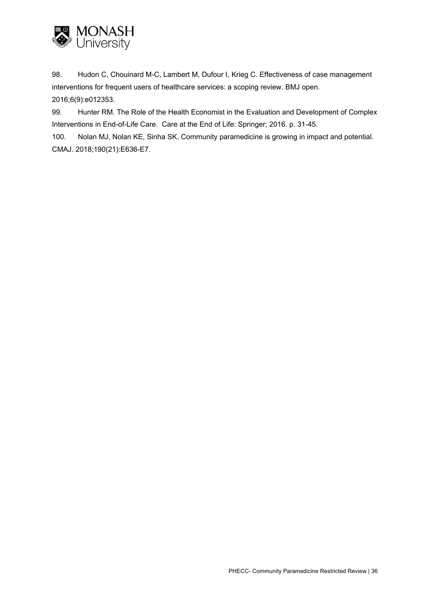

98. Hudon C, Chouinard M-C, Lambert M, Dufour I, Krieg C. Effectiveness of case management interventions for frequent users of healthcare services: a scoping review. BMJ open. 2016;6(9):e012353.

99. Hunter RM. The Role of the Health Economist in the Evaluation and Development of Complex Interventions in End-of-Life Care. Care at the End of Life: Springer; 2016. p. 31-45.

100. Nolan MJ, Nolan KE, Sinha SK. Community paramedicine is growing in impact and potential. CMAJ. 2018;190(21):E636-E7.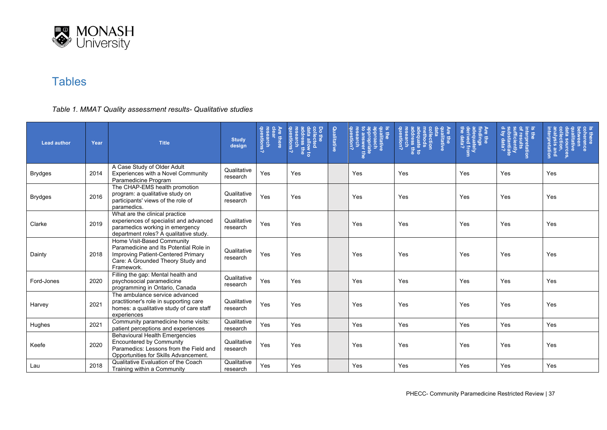

## **Tables**

### *Table 1. MMAT Quality assessment results- Qualitative studies*

| <b>Lead author</b> | Year | <b>Title</b>                                                                                                                                                  | <b>Study</b><br>design  | <b>Are there</b><br>earch<br>estions? | g<br>duestions?<br>$\bar{a}$<br><b>tra allow to</b><br>Idress the<br>ithe<br>liect | Qualitative | question?<br>qualitative<br>appropriate<br>appropriate<br>:o answer the | <b>Sections</b><br>dequate to<br>dequate to<br>estion?<br>e the<br>llection | Are the<br>findings<br>adequately<br>derived from<br>:he data? | terpretation<br>friciently<br>ubstantiate<br>by data? | perence<br>litative<br>s and<br>tation |
|--------------------|------|---------------------------------------------------------------------------------------------------------------------------------------------------------------|-------------------------|---------------------------------------|------------------------------------------------------------------------------------|-------------|-------------------------------------------------------------------------|-----------------------------------------------------------------------------|----------------------------------------------------------------|-------------------------------------------------------|----------------------------------------|
| <b>Brydges</b>     | 2014 | A Case Study of Older Adult<br>Experiences with a Novel Community<br>Paramedicine Program                                                                     | Qualitative<br>research | Yes                                   | Yes                                                                                |             | Yes                                                                     | Yes                                                                         | Yes                                                            | Yes                                                   | Yes                                    |
| <b>Brydges</b>     | 2016 | The CHAP-EMS health promotion<br>program: a qualitative study on<br>participants' views of the role of<br>paramedics.                                         | Qualitative<br>research | Yes                                   | Yes                                                                                |             | Yes                                                                     | Yes                                                                         | Yes                                                            | Yes                                                   | Yes                                    |
| Clarke             | 2019 | What are the clinical practice<br>experiences of specialist and advanced<br>paramedics working in emergency<br>department roles? A qualitative study.         | Qualitative<br>research | Yes                                   | Yes                                                                                |             | Yes                                                                     | Yes                                                                         | Yes                                                            | Yes                                                   | Yes                                    |
| Dainty             | 2018 | Home Visit-Based Community<br>Paramedicine and Its Potential Role in<br>Improving Patient-Centered Primary<br>Care: A Grounded Theory Study and<br>Framework. | Qualitative<br>research | Yes                                   | Yes                                                                                |             | Yes                                                                     | Yes                                                                         | Yes                                                            | Yes                                                   | Yes                                    |
| Ford-Jones         | 2020 | Filling the gap: Mental health and<br>psychosocial paramedicine<br>programming in Ontario, Canada                                                             | Qualitative<br>research | Yes                                   | Yes                                                                                |             | Yes                                                                     | Yes                                                                         | Yes                                                            | Yes                                                   | Yes                                    |
| Harvey             | 2021 | The ambulance service advanced<br>practitioner's role in supporting care<br>homes: a qualitative study of care staff<br>experiences                           | Qualitative<br>research | Yes                                   | Yes                                                                                |             | Yes                                                                     | Yes                                                                         | Yes                                                            | Yes                                                   | Yes                                    |
| Hughes             | 2021 | Community paramedicine home visits:<br>patient perceptions and experiences                                                                                    | Qualitative<br>research | Yes                                   | Yes                                                                                |             | Yes                                                                     | Yes                                                                         | Yes                                                            | Yes                                                   | Yes                                    |
| Keefe              | 2020 | <b>Behavioural Health Emergencies</b><br><b>Encountered by Community</b><br>Paramedics: Lessons from the Field and<br>Opportunities for Skills Advancement.   | Qualitative<br>research | Yes                                   | Yes                                                                                |             | Yes                                                                     | Yes                                                                         | Yes                                                            | Yes                                                   | Yes                                    |
| Lau                | 2018 | Qualitative Evaluation of the Coach<br>Training within a Community                                                                                            | Qualitative<br>research | Yes                                   | Yes                                                                                |             | Yes                                                                     | Yes                                                                         | Yes                                                            | Yes                                                   | Yes                                    |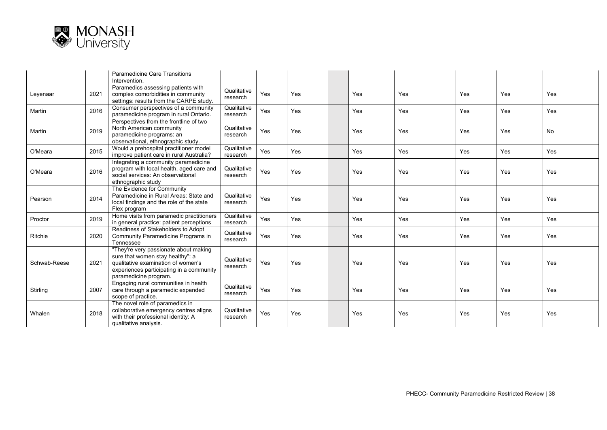

|              |      | Paramedicine Care Transitions<br>Intervention.                                                                                                                                       |                         |     |     |     |     |     |     |     |
|--------------|------|--------------------------------------------------------------------------------------------------------------------------------------------------------------------------------------|-------------------------|-----|-----|-----|-----|-----|-----|-----|
| Leyenaar     | 2021 | Paramedics assessing patients with<br>complex comorbidities in community<br>settings: results from the CARPE study.                                                                  | Qualitative<br>research | Yes | Yes | Yes | Yes | Yes | Yes | Yes |
| Martin       | 2016 | Consumer perspectives of a community<br>paramedicine program in rural Ontario.                                                                                                       | Qualitative<br>research | Yes | Yes | Yes | Yes | Yes | Yes | Yes |
| Martin       | 2019 | Perspectives from the frontline of two<br>North American community<br>paramedicine programs: an<br>observational, ethnographic study.                                                | Qualitative<br>research | Yes | Yes | Yes | Yes | Yes | Yes | No  |
| O'Meara      | 2015 | Would a prehospital practitioner model<br>improve patient care in rural Australia?                                                                                                   | Qualitative<br>research | Yes | Yes | Yes | Yes | Yes | Yes | Yes |
| O'Meara      | 2016 | Integrating a community paramedicine<br>program with local health, aged care and<br>social services: An observational<br>ethnographic study                                          | Qualitative<br>research | Yes | Yes | Yes | Yes | Yes | Yes | Yes |
| Pearson      | 2014 | The Evidence for Community<br>Paramedicine in Rural Areas: State and<br>local findings and the role of the state<br>Flex program                                                     | Qualitative<br>research | Yes | Yes | Yes | Yes | Yes | Yes | Yes |
| Proctor      | 2019 | Home visits from paramedic practitioners<br>in general practice: patient perceptions                                                                                                 | Qualitative<br>research | Yes | Yes | Yes | Yes | Yes | Yes | Yes |
| Ritchie      | 2020 | Readiness of Stakeholders to Adopt<br>Community Paramedicine Programs in<br>Tennessee                                                                                                | Qualitative<br>research | Yes | Yes | Yes | Yes | Yes | Yes | Yes |
| Schwab-Reese | 2021 | "They're very passionate about making<br>sure that women stay healthy": a<br>qualitative examination of women's<br>experiences participating in a community<br>paramedicine program. | Qualitative<br>research | Yes | Yes | Yes | Yes | Yes | Yes | Yes |
| Stirling     | 2007 | Engaging rural communities in health<br>care through a paramedic expanded<br>scope of practice.                                                                                      | Qualitative<br>research | Yes | Yes | Yes | Yes | Yes | Yes | Yes |
| Whalen       | 2018 | The novel role of paramedics in<br>collaborative emergency centres aligns<br>with their professional identity: A<br>qualitative analysis.                                            | Qualitative<br>research | Yes | Yes | Yes | Yes | Yes | Yes | Yes |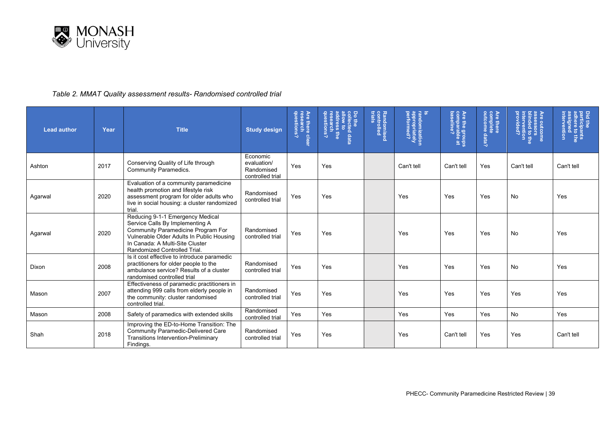

### *Table 2. MMAT Quality assessment results- Randomised controlled trial*

| <b>Lead author</b> | Year | <b>Title</b>                                                                                                                                                                                                                     | <b>Study design</b>                                       | Are there cl<br>  research<br>  questions?<br>clear | Do the<br>collected data<br>aldow to<br>address the<br>research<br>questions? | Randomised<br>controlled<br>trials | randomization<br>  appropriately<br>  performed? | Are the grou <sub>l</sub><br>comparable a<br>baseline?<br>유효 | Are there<br>complete<br>outcome data? | Are outcome<br>assessors<br>blinded to the<br>intervention<br>provided? | Did the<br>participants<br>adhere to the<br>assigned<br>intervention |
|--------------------|------|----------------------------------------------------------------------------------------------------------------------------------------------------------------------------------------------------------------------------------|-----------------------------------------------------------|-----------------------------------------------------|-------------------------------------------------------------------------------|------------------------------------|--------------------------------------------------|--------------------------------------------------------------|----------------------------------------|-------------------------------------------------------------------------|----------------------------------------------------------------------|
| Ashton             | 2017 | Conserving Quality of Life through<br><b>Community Paramedics.</b>                                                                                                                                                               | Economic<br>evaluation/<br>Randomised<br>controlled trial | Yes                                                 | Yes                                                                           |                                    | Can't tell                                       | Can't tell                                                   | Yes                                    | Can't tell                                                              | Can't tell                                                           |
| Agarwal            | 2020 | Evaluation of a community paramedicine<br>health promotion and lifestyle risk<br>assessment program for older adults who<br>live in social housing: a cluster randomized<br>trial.                                               | Randomised<br>controlled trial                            | Yes                                                 | Yes                                                                           |                                    | Yes                                              | Yes                                                          | Yes                                    | No                                                                      | Yes                                                                  |
| Agarwal            | 2020 | Reducing 9-1-1 Emergency Medical<br>Service Calls By Implementing A<br><b>Community Paramedicine Program For</b><br>Vulnerable Older Adults In Public Housing<br>In Canada: A Multi-Site Cluster<br>Randomized Controlled Trial. | Randomised<br>controlled trial                            | Yes                                                 | Yes                                                                           |                                    | Yes                                              | Yes                                                          | Yes                                    | No                                                                      | Yes                                                                  |
| Dixon              | 2008 | Is it cost effective to introduce paramedic<br>practitioners for older people to the<br>ambulance service? Results of a cluster<br>randomised controlled trial                                                                   | Randomised<br>controlled trial                            | Yes                                                 | Yes                                                                           |                                    | Yes                                              | Yes                                                          | Yes                                    | No                                                                      | Yes                                                                  |
| Mason              | 2007 | Effectiveness of paramedic practitioners in<br>attending 999 calls from elderly people in<br>the community: cluster randomised<br>controlled trial.                                                                              | Randomised<br>controlled trial                            | Yes                                                 | Yes                                                                           |                                    | Yes                                              | Yes                                                          | Yes                                    | Yes                                                                     | Yes                                                                  |
| Mason              | 2008 | Safety of paramedics with extended skills                                                                                                                                                                                        | Randomised<br>controlled trial                            | Yes                                                 | Yes                                                                           |                                    | Yes                                              | Yes                                                          | Yes                                    | No                                                                      | Yes                                                                  |
| Shah               | 2018 | Improving the ED-to-Home Transition: The<br><b>Community Paramedic-Delivered Care</b><br><b>Transitions Intervention-Preliminary</b><br>Findings.                                                                                | Randomised<br>controlled trial                            | Yes                                                 | Yes                                                                           |                                    | Yes                                              | Can't tell                                                   | Yes                                    | Yes                                                                     | Can't tell                                                           |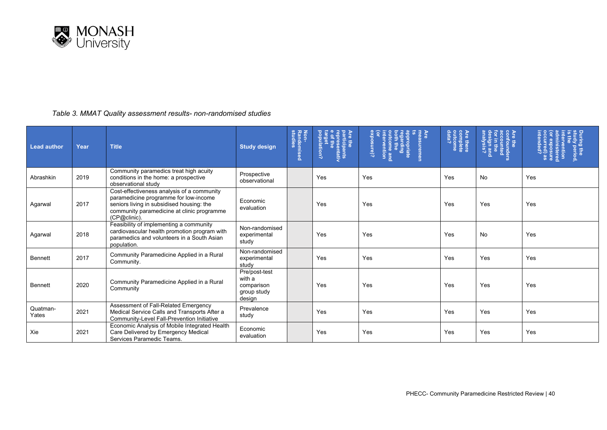

#### *Table 3. MMAT Quality assessment results- non-randomised studies*

| <b>Lead author</b> | Year | <b>Title</b>                                                                                                                                                                                   | <b>Study design</b>                                            | Non-<br>Randomised<br>studies | Are the<br>participal<br>represen'<br>e of the<br>population?<br>pants<br>antativ | <b>Are</b><br>neasuremen<br>egarding<br>egarding<br>¿(ə.msod:<br>oth the<br>ome and<br>/ention | Are there<br>complete<br>complete<br>data? | confounders<br>accounted<br>sign and<br>alysis?<br>in the<br>$\frac{1}{5}$ | ministere<br><b>Prvention</b><br>mg the<br>dy period, |
|--------------------|------|------------------------------------------------------------------------------------------------------------------------------------------------------------------------------------------------|----------------------------------------------------------------|-------------------------------|-----------------------------------------------------------------------------------|------------------------------------------------------------------------------------------------|--------------------------------------------|----------------------------------------------------------------------------|-------------------------------------------------------|
| Abrashkin          | 2019 | Community paramedics treat high acuity<br>conditions in the home: a prospective<br>observational study                                                                                         | Prospective<br>observational                                   |                               | Yes                                                                               | Yes                                                                                            | Yes                                        | No                                                                         | Yes                                                   |
| Agarwal            | 2017 | Cost-effectiveness analysis of a community<br>paramedicine programme for low-income<br>seniors living in subsidised housing: the<br>community paramedicine at clinic programme<br>(CP@clinic). | Economic<br>evaluation                                         |                               | Yes                                                                               | Yes                                                                                            | Yes                                        | Yes                                                                        | Yes                                                   |
| Agarwal            | 2018 | Feasibility of implementing a community<br>cardiovascular health promotion program with<br>paramedics and volunteers in a South Asian<br>population.                                           | Non-randomised<br>experimental<br>study                        |                               | Yes                                                                               | Yes                                                                                            | Yes                                        | No                                                                         | Yes                                                   |
| <b>Bennett</b>     | 2017 | Community Paramedicine Applied in a Rural<br>Community.                                                                                                                                        | Non-randomised<br>experimental<br>studv                        |                               | Yes                                                                               | Yes                                                                                            | Yes                                        | Yes                                                                        | Yes                                                   |
| <b>Bennett</b>     | 2020 | Community Paramedicine Applied in a Rural<br>Community                                                                                                                                         | Pre/post-test<br>with a<br>comparison<br>group study<br>design |                               | Yes                                                                               | Yes                                                                                            | Yes                                        | Yes                                                                        | Yes                                                   |
| Quatman-<br>Yates  | 2021 | Assessment of Fall-Related Emergency<br>Medical Service Calls and Transports After a<br>Community-Level Fall-Prevention Initiative                                                             | Prevalence<br>study                                            |                               | Yes                                                                               | Yes                                                                                            | Yes                                        | Yes                                                                        | Yes                                                   |
| Xie                | 2021 | Economic Analysis of Mobile Integrated Health<br>Care Delivered by Emergency Medical<br>Services Paramedic Teams.                                                                              | Economic<br>evaluation                                         |                               | Yes                                                                               | Yes                                                                                            | Yes                                        | Yes                                                                        | Yes                                                   |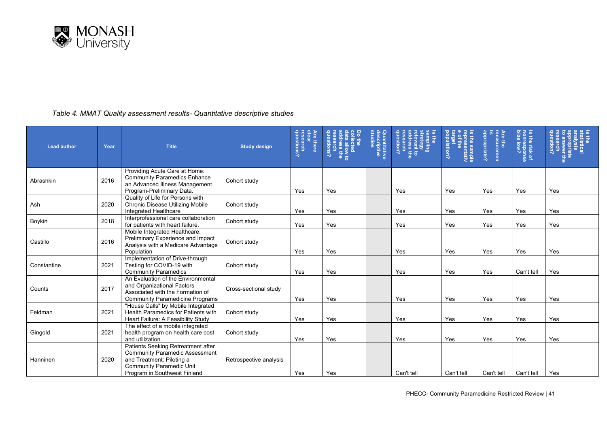

#### *Table 4. MMAT Quality assessment results- Quantitative descriptive studies*

| <b>Lead author</b> | Year | <b>Title</b>                                                                                                                                                                | <b>Study design</b>    | research<br>questions?<br>Are there<br>clear | Do the<br>collected<br>data allow to<br>address the<br>research<br>research<br>questions? | Quantitative<br>descriptive<br>studies | question?<br>sampling<br>strategy<br>relevant to<br>research<br>research<br>₽ | Is the sample<br>representativ<br>e of the<br>target<br>population? | appropriate?<br>Are the<br>measuremen | Is the risk of<br>nonresponse<br>bias low? | dnestion?<br>s the<br>statistical<br>appropriate<br>co answer th<br>co answer th |
|--------------------|------|-----------------------------------------------------------------------------------------------------------------------------------------------------------------------------|------------------------|----------------------------------------------|-------------------------------------------------------------------------------------------|----------------------------------------|-------------------------------------------------------------------------------|---------------------------------------------------------------------|---------------------------------------|--------------------------------------------|----------------------------------------------------------------------------------|
| Abrashkin          | 2016 | Providing Acute Care at Home:<br><b>Community Paramedics Enhance</b><br>an Advanced Illness Management<br>Program-Preliminary Data.                                         | Cohort study           | Yes                                          | Yes                                                                                       |                                        | Yes                                                                           | Yes                                                                 | Yes                                   | Yes                                        | Yes                                                                              |
| Ash                | 2020 | Quality of Life for Persons with<br>Chronic Disease Utilizing Mobile<br>Integrated Healthcare                                                                               | Cohort study           | Yes                                          | Yes                                                                                       |                                        | Yes                                                                           | Yes                                                                 | Yes                                   | Yes                                        | Yes                                                                              |
| Boykin             | 2018 | Interprofessional care collaboration<br>for patients with heart failure.                                                                                                    | Cohort study           | Yes                                          | Yes                                                                                       |                                        | Yes                                                                           | Yes                                                                 | Yes                                   | Yes                                        | Yes                                                                              |
| Castillo           | 2016 | Mobile Integrated Healthcare:<br>Preliminary Experience and Impact<br>Analysis with a Medicare Advantage<br>Population                                                      | Cohort study           | Yes                                          | Yes                                                                                       |                                        | Yes                                                                           | Yes                                                                 | Yes                                   | Yes                                        | Yes                                                                              |
| Constantine        | 2021 | Implementation of Drive-through<br>Testing for COVID-19 with<br><b>Community Paramedics</b>                                                                                 | Cohort study           | Yes                                          | Yes                                                                                       |                                        | Yes                                                                           | Yes                                                                 | Yes                                   | Can't tell                                 | Yes                                                                              |
| Counts             | 2017 | An Evaluation of the Environmental<br>and Organizational Factors<br>Associated with the Formation of<br><b>Community Paramedicine Programs</b>                              | Cross-sectional study  | Yes                                          | Yes                                                                                       |                                        | Yes                                                                           | Yes                                                                 | Yes                                   | Yes                                        | Yes                                                                              |
| Feldman            | 2021 | "House Calls" by Mobile Integrated<br>Health Paramedics for Patients with<br>Heart Failure: A Feasibility Study                                                             | Cohort study           | Yes                                          | Yes                                                                                       |                                        | Yes                                                                           | Yes                                                                 | Yes                                   | Yes                                        | Yes                                                                              |
| Gingold            | 2021 | The effect of a mobile integrated<br>health program on health care cost<br>and utilization.                                                                                 | Cohort study           | Yes                                          | Yes                                                                                       |                                        | Yes                                                                           | Yes                                                                 | Yes                                   | Yes                                        | Yes                                                                              |
| Hanninen           | 2020 | Patients Seeking Retreatment after<br><b>Community Paramedic Assessment</b><br>and Treatment: Piloting a<br><b>Community Paramedic Unit</b><br>Program in Southwest Finland | Retrospective analysis | Yes                                          | Yes                                                                                       |                                        | Can't tell                                                                    | Can't tell                                                          | Can't tell                            | Can't tell                                 | Yes                                                                              |

PHECC- Community Paramedicine Restricted Review | 41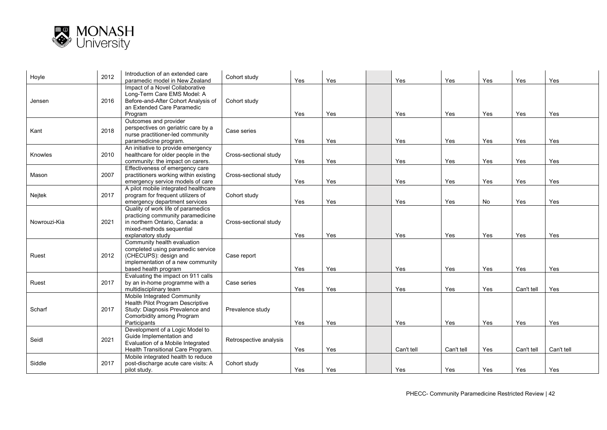

| Hoyle        | 2012 | Introduction of an extended care<br>paramedic model in New Zealand                                                                                         | Cohort study           | Yes | Yes | Yes        | Yes        | Yes | Yes        | Yes        |
|--------------|------|------------------------------------------------------------------------------------------------------------------------------------------------------------|------------------------|-----|-----|------------|------------|-----|------------|------------|
| Jensen       | 2016 | Impact of a Novel Collaborative<br>Long-Term Care EMS Model: A<br>Before-and-After Cohort Analysis of<br>an Extended Care Paramedic<br>Program             | Cohort study           | Yes | Yes | Yes        | Yes        | Yes | Yes        | Yes        |
| Kant         | 2018 | Outcomes and provider<br>perspectives on geriatric care by a<br>nurse practitioner-led community<br>paramedicine program.                                  | Case series            | Yes | Yes | Yes        | Yes        | Yes | Yes        | Yes        |
| Knowles      | 2010 | An initiative to provide emergency<br>healthcare for older people in the<br>community: the impact on carers.                                               | Cross-sectional study  | Yes | Yes | Yes        | Yes        | Yes | Yes        | Yes        |
| Mason        | 2007 | Effectiveness of emergency care<br>practitioners working within existing<br>emergency service models of care                                               | Cross-sectional study  | Yes | Yes | Yes        | Yes        | Yes | Yes        | Yes        |
| Nejtek       | 2017 | A pilot mobile integrated healthcare<br>program for frequent utilizers of<br>emergency department services                                                 | Cohort study           | Yes | Yes | Yes        | Yes        | No  | Yes        | Yes        |
| Nowrouzi-Kia | 2021 | Quality of work life of paramedics<br>practicing community paramedicine<br>in northern Ontario, Canada; a<br>mixed-methods sequential<br>explanatory study | Cross-sectional study  | Yes | Yes | Yes        | Yes        | Yes | Yes        | Yes        |
| Ruest        | 2012 | Community health evaluation<br>completed using paramedic service<br>(CHECUPS): design and<br>implementation of a new community<br>based health program     | Case report            | Yes | Yes | Yes        | Yes        | Yes | Yes        | Yes        |
| Ruest        | 2017 | Evaluating the impact on 911 calls<br>by an in-home programme with a<br>multidisciplinary team                                                             | Case series            | Yes | Yes | Yes        | Yes        | Yes | Can't tell | Yes        |
| Scharf       | 2017 | Mobile Integrated Community<br>Health Pilot Program Descriptive<br>Study: Diagnosis Prevalence and<br>Comorbidity among Program<br>Participants            | Prevalence study       | Yes | Yes | Yes        | Yes        | Yes | Yes        | Yes        |
| Seidl        | 2021 | Development of a Logic Model to<br>Guide Implementation and<br>Evaluation of a Mobile Integrated<br>Health Transitional Care Program.                      | Retrospective analysis | Yes | Yes | Can't tell | Can't tell | Yes | Can't tell | Can't tell |
| Siddle       | 2017 | Mobile integrated health to reduce<br>post-discharge acute care visits: A<br>pilot study.                                                                  | Cohort study           | Yes | Yes | Yes        | Yes        | Yes | Yes        | Yes        |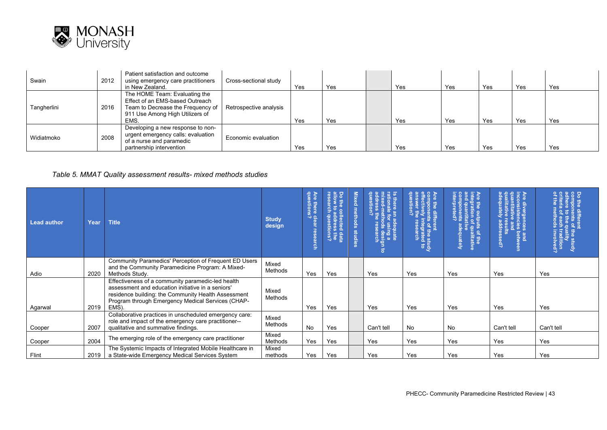

| Swain       | 2012 | Patient satisfaction and outcome<br>using emergency care practitioners<br>in New Zealand.                                                        | Cross-sectional study  | Yes | Yes | Yes | Yes | Yes | Yes | Yes |
|-------------|------|--------------------------------------------------------------------------------------------------------------------------------------------------|------------------------|-----|-----|-----|-----|-----|-----|-----|
| Tangherlini | 2016 | The HOME Team: Evaluating the<br>Effect of an EMS-based Outreach<br>Team to Decrease the Frequency of<br>911 Use Among High Utilizers of<br>EMS. | Retrospective analysis | Yes | Yes | Yes | Yes | Yes | Yes | Yes |
| Widiatmoko  | 2008 | Developing a new response to non-<br>urgent emergency calls: evaluation<br>of a nurse and paramedic<br>partnership intervention                  | Economic evaluation    | Yes | Yes | Yes | Yes | Yes | Yes | Yes |

#### *Table 5. MMAT Quality assessment results- mixed methods studies*

| Lead author | Year | <b>Title</b>                                                                                                                                                                                                                | <b>Study</b><br>design | Are<br>912<br>e there cles<br>stions?<br>earch | Do the co<br><b>L</b> es<br>arch<br>읃<br>cted<br>ced data<br>ress the<br>stions? | Mixed methods<br><b>studies</b> | aadress tr<br>question?<br>asig<br>$\overline{5}$ | :ompoı<br>ffectiv<br>ŝ<br>5 <sup>o</sup><br>gra<br>ear<br>the study<br>grated to<br>earch | $\vec{a}$<br>s of the<br>qualitativ<br>kleately | sand<br>bety<br>sed? | rality<br>tradition<br>involved<br>Study |
|-------------|------|-----------------------------------------------------------------------------------------------------------------------------------------------------------------------------------------------------------------------------|------------------------|------------------------------------------------|----------------------------------------------------------------------------------|---------------------------------|---------------------------------------------------|-------------------------------------------------------------------------------------------|-------------------------------------------------|----------------------|------------------------------------------|
| Adio        | 2020 | Community Paramedics' Perception of Frequent ED Users<br>and the Community Paramedicine Program: A Mixed-<br>Methods Study.                                                                                                 | Mixed<br>Methods       | Yes                                            | Yes                                                                              |                                 | Yes                                               | Yes                                                                                       | Yes                                             | Yes                  | Yes                                      |
| Agarwal     | 2019 | Effectiveness of a community paramedic-led health<br>assessment and education initiative in a seniors'<br>residence building: the Community Health Assessment<br>Program through Emergency Medical Services (CHAP-<br>EMS). | Mixed<br>Methods       | Yes                                            | Yes                                                                              |                                 | Yes                                               | Yes                                                                                       | Yes                                             | Yes                  | Yes                                      |
| Cooper      | 2007 | Collaborative practices in unscheduled emergency care:<br>role and impact of the emergency care practitioner--<br>qualitative and summative findings.                                                                       | Mixed<br>Methods       | No                                             | Yes                                                                              |                                 | Can't tell                                        | No                                                                                        | No                                              | Can't tell           | Can't tell                               |
| Cooper      | 2004 | The emerging role of the emergency care practitioner                                                                                                                                                                        | Mixed<br>Methods       | Yes                                            | Yes                                                                              |                                 | Yes                                               | Yes                                                                                       | Yes                                             | Yes                  | Yes                                      |
| Flint       | 2019 | The Systemic Impacts of Integrated Mobile Healthcare in<br>a State-wide Emergency Medical Services System                                                                                                                   | Mixed<br>methods       | Yes                                            | Yes                                                                              |                                 | Yes                                               | Yes                                                                                       | Yes                                             | Yes                  | Yes                                      |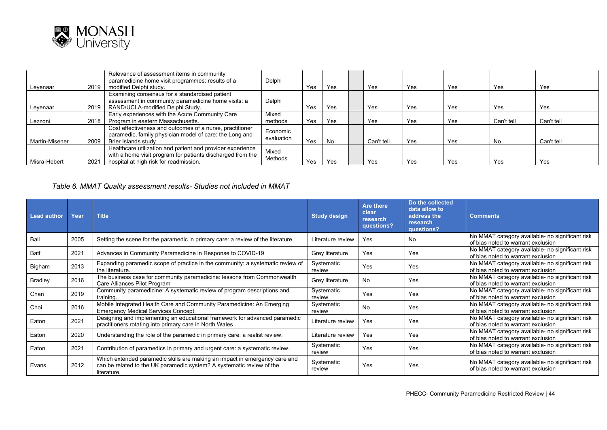

| Leyenaar       | 2019 | Relevance of assessment items in community<br>paramedicine home visit programmes: results of a<br>modified Delphi study.                                           | Delphi                 | Yes | Yes | Yes        | Yes | Yes | Yes        | Yes        |
|----------------|------|--------------------------------------------------------------------------------------------------------------------------------------------------------------------|------------------------|-----|-----|------------|-----|-----|------------|------------|
| Leyenaar       | 2019 | Examining consensus for a standardised patient<br>assessment in community paramedicine home visits: a<br>RAND/UCLA-modified Delphi Study.                          | Delphi                 | Yes | Yes | Yes        | Yes | Yes | Yes        | Yes        |
| Lezzoni        | 2018 | Early experiences with the Acute Community Care<br>Program in eastern Massachusetts.                                                                               | Mixed<br>methods       | Yes | Yes | Yes        | Yes | Yes | Can't tell | Can't tell |
| Martin-Misener | 2009 | Cost effectiveness and outcomes of a nurse, practitioner<br>paramedic, family physician model of care: the Long and<br>Brier Islands study                         | Economic<br>evaluation | Yes | No  | Can't tell | Yes | Yes | No         | Can't tell |
| Misra-Hebert   | 2021 | Healthcare utilization and patient and provider experience<br>with a home visit program for patients discharged from the<br>hospital at high risk for readmission. | Mixed<br>Methods       | Yes | Yes | Yes        | Yes | Yes | Yes        | Yes        |

#### *Table 6. MMAT Quality assessment results- Studies not included in MMAT*

| <b>Lead author</b> | Year | <b>Title</b>                                                                                                                                                       | <b>Study design</b>  | Are there<br>clear<br>research<br>questions? | Do the collected<br>data allow to<br>address the<br>research<br>questions? | <b>Comments</b>                                                                       |
|--------------------|------|--------------------------------------------------------------------------------------------------------------------------------------------------------------------|----------------------|----------------------------------------------|----------------------------------------------------------------------------|---------------------------------------------------------------------------------------|
| Ball               | 2005 | Setting the scene for the paramedic in primary care: a review of the literature.                                                                                   | Literature review    | <b>Yes</b>                                   | No                                                                         | No MMAT category available- no significant risk<br>of bias noted to warrant exclusion |
| <b>Batt</b>        | 2021 | Advances in Community Paramedicine in Response to COVID-19                                                                                                         | Grey literature      | Yes                                          | Yes                                                                        | No MMAT category available- no significant risk<br>of bias noted to warrant exclusion |
| Bigham             | 2013 | Expanding paramedic scope of practice in the community: a systematic review of<br>the literature.                                                                  | Systematic<br>review | Yes                                          | Yes                                                                        | No MMAT category available- no significant risk<br>of bias noted to warrant exclusion |
| <b>Bradley</b>     | 2016 | The business case for community paramedicine: lessons from Commonwealth<br>Care Alliances Pilot Program                                                            | Grey literature      | No.                                          | Yes                                                                        | No MMAT category available- no significant risk<br>of bias noted to warrant exclusion |
| Chan               | 2019 | Community paramedicine: A systematic review of program descriptions and<br>training.                                                                               | Systematic<br>review | Yes                                          | Yes                                                                        | No MMAT category available- no significant risk<br>of bias noted to warrant exclusion |
| Choi               | 2016 | Mobile Integrated Health Care and Community Paramedicine: An Emerging<br><b>Emergency Medical Services Concept.</b>                                                | Systematic<br>review | <b>No</b>                                    | Yes                                                                        | No MMAT category available- no significant risk<br>of bias noted to warrant exclusion |
| Eaton              | 2021 | Designing and implementing an educational framework for advanced paramedic<br>practitioners rotating into primary care in North Wales                              | Literature review    | Yes                                          | Yes                                                                        | No MMAT category available- no significant risk<br>of bias noted to warrant exclusion |
| Eaton              | 2020 | Understanding the role of the paramedic in primary care: a realist review.                                                                                         | Literature review    | Yes                                          | Yes                                                                        | No MMAT category available- no significant risk<br>of bias noted to warrant exclusion |
| Eaton              | 2021 | Contribution of paramedics in primary and urgent care: a systematic review.                                                                                        | Systematic<br>review | Yes                                          | Yes                                                                        | No MMAT category available- no significant risk<br>of bias noted to warrant exclusion |
| Evans              | 2012 | Which extended paramedic skills are making an impact in emergency care and<br>can be related to the UK paramedic system? A systematic review of the<br>literature. | Systematic<br>review | Yes                                          | Yes                                                                        | No MMAT category available- no significant risk<br>of bias noted to warrant exclusion |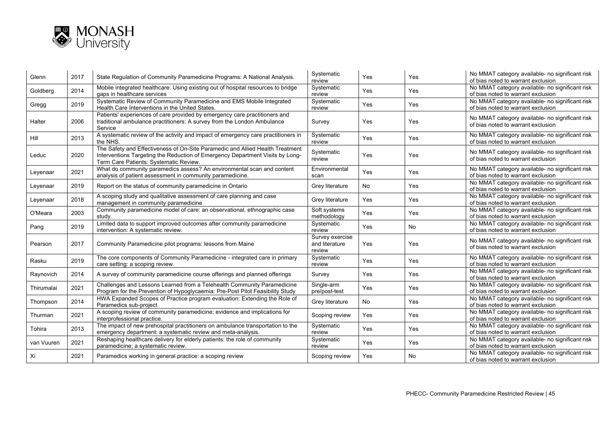

 $\sim$ 

 $\sim$ 

| Glenn      | 2017 | State Regulation of Community Paramedicine Programs: A National Analysis.                                                                                                                                | Systematic<br>review                        | Yes       | Yes       | No MMAT category available- no significant risk<br>of bias noted to warrant exclusion |
|------------|------|----------------------------------------------------------------------------------------------------------------------------------------------------------------------------------------------------------|---------------------------------------------|-----------|-----------|---------------------------------------------------------------------------------------|
| Goldberg   | 2014 | Mobile integrated healthcare: Using existing out of hospital resources to bridge<br>gaps in healthcare services                                                                                          | Systematic<br>review                        | Yes       | Yes       | No MMAT category available- no significant risk<br>of bias noted to warrant exclusion |
| Gregg      | 2019 | Systematic Review of Community Paramedicine and EMS Mobile Integrated<br>Health Care Interventions in the United States.                                                                                 | Systematic<br>review                        | Yes       | Yes       | No MMAT category available- no significant risk<br>of bias noted to warrant exclusion |
| Halter     | 2006 | Patients' experiences of care provided by emergency care practitioners and<br>traditional ambulance practitioners: A survey from the London Ambulance<br>Service                                         | Survey                                      | Yes       | Yes       | No MMAT category available- no significant risk<br>of bias noted to warrant exclusion |
| Hill       | 2013 | A systematic review of the activity and impact of emergency care practitioners in<br>the NHS.                                                                                                            | Systematic<br>review                        | Yes       | Yes       | No MMAT category available- no significant risk<br>of bias noted to warrant exclusion |
| Leduc      | 2020 | The Safety and Effectiveness of On-Site Paramedic and Allied Health Treatment<br>Interventions Targeting the Reduction of Emergency Department Visits by Long-<br>Term Care Patients: Systematic Review. | Systematic<br>review                        | Yes       | Yes       | No MMAT category available- no significant risk<br>of bias noted to warrant exclusion |
| Leyenaar   | 2021 | What do community paramedics assess? An environmental scan and content<br>analysis of patient assessment in community paramedicine.                                                                      | Environmental<br>scan                       | Yes       | Yes       | No MMAT category available- no significant risk<br>of bias noted to warrant exclusion |
| Leyenaar   | 2019 | Report on the status of community paramedicine in Ontario                                                                                                                                                | Grey literature                             | <b>No</b> | Yes       | No MMAT category available- no significant risk<br>of bias noted to warrant exclusion |
| Leyenaar   | 2018 | A scoping study and qualitative assessment of care planning and case<br>management in community paramedicine                                                                                             | Grey literature                             | Yes       | Yes       | No MMAT category available- no significant risk<br>of bias noted to warrant exclusion |
| O'Meara    | 2003 | Community paramedicine model of care: an observational, ethnographic case<br>study.                                                                                                                      | Soft systems<br>methodology                 | Yes       | Yes       | No MMAT category available- no significant risk<br>of bias noted to warrant exclusion |
| Pang       | 2019 | Limited data to support improved outcomes after community paramedicine<br>intervention: A systematic review.                                                                                             | Systematic<br>review                        | Yes       | <b>No</b> | No MMAT category available- no significant risk<br>of bias noted to warrant exclusion |
| Pearson    | 2017 | Community Paramedicine pilot programs: lessons from Maine                                                                                                                                                | Survey exercise<br>and literature<br>review | Yes       | Yes       | No MMAT category available- no significant risk<br>of bias noted to warrant exclusion |
| Rasku      | 2019 | The core components of Community Paramedicine - integrated care in primary<br>care setting: a scoping review.                                                                                            | Systematic<br>review                        | Yes       | Yes       | No MMAT category available- no significant risk<br>of bias noted to warrant exclusion |
| Raynovich  | 2014 | A survey of community paramedicine course offerings and planned offerings                                                                                                                                | Survey                                      | Yes       | Yes       | No MMAT category available- no significant risk<br>of bias noted to warrant exclusion |
| Thirumalai | 2021 | Challenges and Lessons Learned from a Telehealth Community Paramedicine<br>Program for the Prevention of Hypoglycaemia: Pre-Post Pilot Feasibility Study                                                 | Single-arm<br>pre/post-test                 | Yes       | Yes       | No MMAT category available- no significant risk<br>of bias noted to warrant exclusion |
| Thompson   | 2014 | HWA Expanded Scopes of Practice program evaluation: Extending the Role of<br>Paramedics sub-project                                                                                                      | Grey literature                             | No        | Yes       | No MMAT category available- no significant risk<br>of bias noted to warrant exclusion |
| Thurman    | 2021 | A scoping review of community paramedicine: evidence and implications for<br>interprofessional practice.                                                                                                 | Scoping review                              | Yes       | Yes       | No MMAT category available- no significant risk<br>of bias noted to warrant exclusion |
| Tohira     | 2013 | The impact of new prehospital practitioners on ambulance transportation to the<br>emergency department: a systematic review and meta-analysis.                                                           | Systematic<br>review                        | Yes       | Yes       | No MMAT category available- no significant risk<br>of bias noted to warrant exclusion |
| van Vuuren | 2021 | Reshaping healthcare delivery for elderly patients: the role of community<br>paramedicine; a systematic review.                                                                                          | Systematic<br>review                        | Yes       | Yes       | No MMAT category available- no significant risk<br>of bias noted to warrant exclusion |
| Xi         | 2021 | Paramedics working in general practice: a scoping review                                                                                                                                                 | Scoping review                              | Yes       | No        | No MMAT category available- no significant risk<br>of bias noted to warrant exclusion |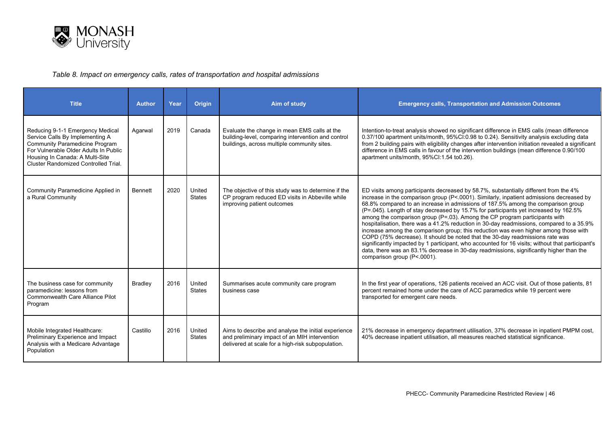

#### *Table 8. Impact on emergency calls, rates of transportation and hospital admissions*

| <b>Title</b>                                                                                                                                                                                                                            | <b>Author</b> | Year | <b>Origin</b>           | Aim of study                                                                                                                                              | <b>Emergency calls, Transportation and Admission Outcomes</b>                                                                                                                                                                                                                                                                                                                                                                                                                                                                                                                                                                                                                                                                                                                                                                                                                                                                                 |
|-----------------------------------------------------------------------------------------------------------------------------------------------------------------------------------------------------------------------------------------|---------------|------|-------------------------|-----------------------------------------------------------------------------------------------------------------------------------------------------------|-----------------------------------------------------------------------------------------------------------------------------------------------------------------------------------------------------------------------------------------------------------------------------------------------------------------------------------------------------------------------------------------------------------------------------------------------------------------------------------------------------------------------------------------------------------------------------------------------------------------------------------------------------------------------------------------------------------------------------------------------------------------------------------------------------------------------------------------------------------------------------------------------------------------------------------------------|
| Reducing 9-1-1 Emergency Medical<br>Service Calls By Implementing A<br><b>Community Paramedicine Program</b><br>For Vulnerable Older Adults In Public<br>Housing In Canada: A Multi-Site<br><b>Cluster Randomized Controlled Trial.</b> | Agarwal       | 2019 | Canada                  | Evaluate the change in mean EMS calls at the<br>building-level, comparing intervention and control<br>buildings, across multiple community sites.         | Intention-to-treat analysis showed no significant difference in EMS calls (mean difference<br>0.37/100 apartment units/month, 95%CI:0.98 to 0.24). Sensitivity analysis excluding data<br>from 2 building pairs with eligibility changes after intervention initiation revealed a significant<br>difference in EMS calls in favour of the intervention buildings (mean difference 0.90/100<br>apartment units/month, 95%Cl:1.54 to0.26).                                                                                                                                                                                                                                                                                                                                                                                                                                                                                                      |
| Community Paramedicine Applied in<br>a Rural Community                                                                                                                                                                                  | Bennett       | 2020 | United<br><b>States</b> | The objective of this study was to determine if the<br>CP program reduced ED visits in Abbeville while<br>improving patient outcomes                      | ED visits among participants decreased by 58.7%, substantially different from the 4%<br>increase in the comparison group (P<.0001). Similarly, inpatient admissions decreased by<br>68.8% compared to an increase in admissions of 187.5% among the comparison group<br>(P=.045). Length of stay decreased by 15.7% for participants yet increased by 162.5%<br>among the comparison group (P=.03). Among the CP program participants with<br>hospitalisation, there was a 41.2% reduction in 30-day readmissions, compared to a 35.9%<br>increase among the comparison group; this reduction was even higher among those with<br>COPD (75% decrease). It should be noted that the 30-day readmissions rate was<br>significantly impacted by 1 participant, who accounted for 16 visits; without that participant's<br>data, there was an 83.1% decrease in 30-day readmissions, significantly higher than the<br>comparison group (P<.0001). |
| The business case for community<br>paramedicine: lessons from<br>Commonwealth Care Alliance Pilot<br>Program                                                                                                                            | Bradley       | 2016 | United<br><b>States</b> | Summarises acute community care program<br>business case                                                                                                  | In the first year of operations, 126 patients received an ACC visit. Out of those patients, 81<br>percent remained home under the care of ACC paramedics while 19 percent were<br>transported for emergent care needs.                                                                                                                                                                                                                                                                                                                                                                                                                                                                                                                                                                                                                                                                                                                        |
| Mobile Integrated Healthcare:<br>Preliminary Experience and Impact<br>Analysis with a Medicare Advantage<br>Population                                                                                                                  | Castillo      | 2016 | United<br><b>States</b> | Aims to describe and analyse the initial experience<br>and preliminary impact of an MIH intervention<br>delivered at scale for a high-risk subpopulation. | 21% decrease in emergency department utilisation, 37% decrease in inpatient PMPM cost,<br>40% decrease inpatient utilisation, all measures reached statistical significance.                                                                                                                                                                                                                                                                                                                                                                                                                                                                                                                                                                                                                                                                                                                                                                  |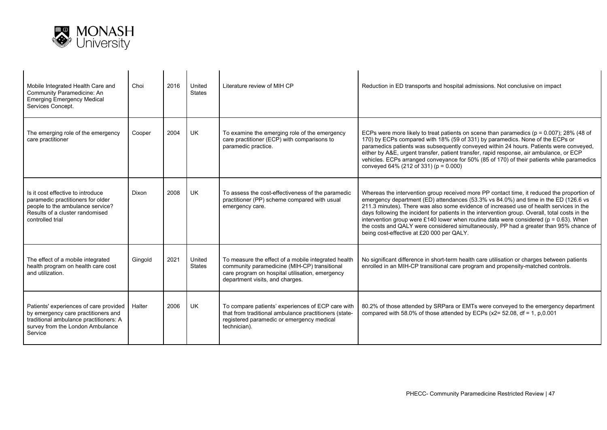

| Mobile Integrated Health Care and<br>Community Paramedicine: An<br><b>Emerging Emergency Medical</b><br>Services Concept.                                              | Choi    | 2016 | United<br>States | Literature review of MIH CP                                                                                                                                                               | Reduction in ED transports and hospital admissions. Not conclusive on impact                                                                                                                                                                                                                                                                                                                                                                                                                                                                                                                                        |  |
|------------------------------------------------------------------------------------------------------------------------------------------------------------------------|---------|------|------------------|-------------------------------------------------------------------------------------------------------------------------------------------------------------------------------------------|---------------------------------------------------------------------------------------------------------------------------------------------------------------------------------------------------------------------------------------------------------------------------------------------------------------------------------------------------------------------------------------------------------------------------------------------------------------------------------------------------------------------------------------------------------------------------------------------------------------------|--|
| The emerging role of the emergency<br>care practitioner                                                                                                                | Cooper  | 2004 | <b>UK</b>        | To examine the emerging role of the emergency<br>care practitioner (ECP) with comparisons to<br>paramedic practice.                                                                       | ECPs were more likely to treat patients on scene than paramedics ( $p = 0.007$ ); 28% (48 of<br>170) by ECPs compared with 18% (59 of 331) by paramedics. None of the ECPs or<br>paramedics patients was subsequently conveyed within 24 hours. Patients were conveyed,<br>either by A&E, urgent transfer, patient transfer, rapid response, air ambulance, or ECP<br>vehicles. ECPs arranged conveyance for 50% (85 of 170) of their patients while paramedics<br>conveyed 64% (212 of 331) (p = 0.000)                                                                                                            |  |
| Is it cost effective to introduce<br>paramedic practitioners for older<br>people to the ambulance service?<br>Results of a cluster randomised<br>controlled trial      | Dixon   | 2008 | <b>UK</b>        | To assess the cost-effectiveness of the paramedic<br>practitioner (PP) scheme compared with usual<br>emergency care.                                                                      | Whereas the intervention group received more PP contact time, it reduced the proportion of<br>emergency department (ED) attendances (53.3% vs 84.0%) and time in the ED (126.6 vs<br>211.3 minutes). There was also some evidence of increased use of health services in the<br>days following the incident for patients in the intervention group. Overall, total costs in the<br>intervention group were £140 lower when routine data were considered ( $p = 0.63$ ). When<br>the costs and QALY were considered simultaneously, PP had a greater than 95% chance of<br>being cost-effective at £20 000 per QALY. |  |
| The effect of a mobile integrated<br>health program on health care cost<br>and utilization.                                                                            | Ginaold | 2021 | United<br>States | To measure the effect of a mobile integrated health<br>community paramedicine (MIH-CP) transitional<br>care program on hospital utilisation, emergency<br>department visits, and charges. | No significant difference in short-term health care utilisation or charges between patients<br>enrolled in an MIH-CP transitional care program and propensity-matched controls.                                                                                                                                                                                                                                                                                                                                                                                                                                     |  |
| Patients' experiences of care provided<br>by emergency care practitioners and<br>traditional ambulance practitioners: A<br>survey from the London Ambulance<br>Service | Halter  | 2006 | <b>UK</b>        | To compare patients' experiences of ECP care with<br>that from traditional ambulance practitioners (state-<br>registered paramedic or emergency medical<br>technician).                   | 80.2% of those attended by SRPara or EMTs were conveyed to the emergency department<br>compared with 58.0% of those attended by ECPs ( $x2 = 52.08$ , df = 1, p,0.001                                                                                                                                                                                                                                                                                                                                                                                                                                               |  |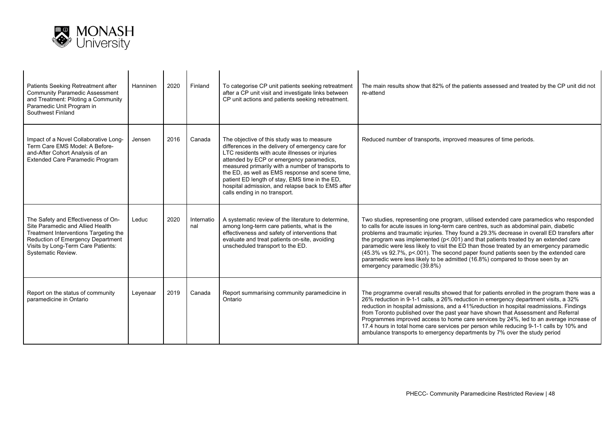

| Patients Seeking Retreatment after<br><b>Community Paramedic Assessment</b><br>and Treatment: Piloting a Community<br>Paramedic Unit Program in<br>Southwest Finland                                              | Hanninen | 2020 | Finland           | To categorise CP unit patients seeking retreatment<br>after a CP unit visit and investigate links between<br>CP unit actions and patients seeking retreatment.                                                                                                                                                                                                                                                                                | The main results show that 82% of the patients assessed and treated by the CP unit did not<br>re-attend                                                                                                                                                                                                                                                                                                                                                                                                                                                                                                                                                                |
|-------------------------------------------------------------------------------------------------------------------------------------------------------------------------------------------------------------------|----------|------|-------------------|-----------------------------------------------------------------------------------------------------------------------------------------------------------------------------------------------------------------------------------------------------------------------------------------------------------------------------------------------------------------------------------------------------------------------------------------------|------------------------------------------------------------------------------------------------------------------------------------------------------------------------------------------------------------------------------------------------------------------------------------------------------------------------------------------------------------------------------------------------------------------------------------------------------------------------------------------------------------------------------------------------------------------------------------------------------------------------------------------------------------------------|
| Impact of a Novel Collaborative Long-<br>Term Care EMS Model: A Before-<br>and-After Cohort Analysis of an<br><b>Extended Care Paramedic Program</b>                                                              | Jensen   | 2016 | Canada            | The objective of this study was to measure<br>differences in the delivery of emergency care for<br>LTC residents with acute illnesses or injuries<br>attended by ECP or emergency paramedics,<br>measured primarily with a number of transports to<br>the ED, as well as EMS response and scene time,<br>patient ED length of stay, EMS time in the ED,<br>hospital admission, and relapse back to EMS after<br>calls ending in no transport. | Reduced number of transports, improved measures of time periods.                                                                                                                                                                                                                                                                                                                                                                                                                                                                                                                                                                                                       |
| The Safety and Effectiveness of On-<br>Site Paramedic and Allied Health<br>Treatment Interventions Targeting the<br>Reduction of Emergency Department<br>Visits by Long-Term Care Patients:<br>Systematic Review. | Leduc    | 2020 | Internatio<br>nal | A systematic review of the literature to determine,<br>among long-term care patients, what is the<br>effectiveness and safety of interventions that<br>evaluate and treat patients on-site, avoiding<br>unscheduled transport to the ED.                                                                                                                                                                                                      | Two studies, representing one program, utilised extended care paramedics who responded<br>to calls for acute issues in long-term care centres, such as abdominal pain, diabetic<br>problems and traumatic injuries. They found a 29.3% decrease in overall ED transfers after<br>the program was implemented (p<.001) and that patients treated by an extended care<br>paramedic were less likely to visit the ED than those treated by an emergency paramedic<br>(45.3% vs 92.7%, p< 001). The second paper found patients seen by the extended care<br>paramedic were less likely to be admitted (16.8%) compared to those seen by an<br>emergency paramedic (39.8%) |
| Report on the status of community<br>paramedicine in Ontario                                                                                                                                                      | Leyenaar | 2019 | Canada            | Report summarising community paramedicine in<br>Ontario                                                                                                                                                                                                                                                                                                                                                                                       | The programme overall results showed that for patients enrolled in the program there was a<br>26% reduction in 9-1-1 calls, a 26% reduction in emergency department visits, a 32%<br>reduction in hospital admissions, and a 41% reduction in hospital readmissions. Findings<br>from Toronto published over the past year have shown that Assessment and Referral<br>Programmes improved access to home care services by 24%, led to an average increase of<br>17.4 hours in total home care services per person while reducing 9-1-1 calls by 10% and<br>ambulance transports to emergency departments by 7% over the study period                                   |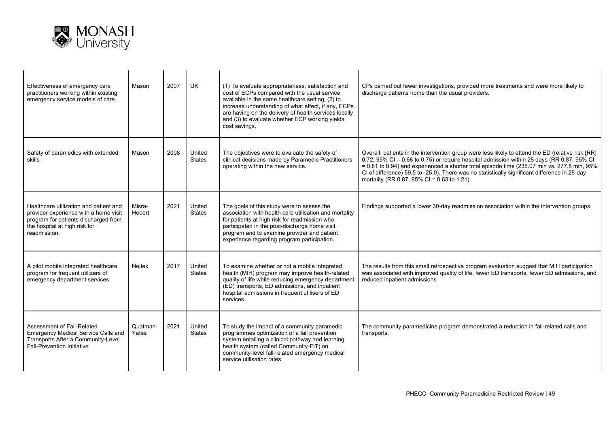

| Effectiveness of emergency care<br>practitioners working within existing<br>emergency service models of care                                                             | Mason             | 2007 | UK                      | (1) To evaluate appropriateness, satisfaction and<br>cost of ECPs compared with the usual service<br>available in the same healthcare setting, (2) to<br>increase understanding of what effect, if any, ECPs<br>are having on the delivery of health services locally<br>and (3) to evaluate whether ECP working yields<br>cost savings. | CPs carried out fewer investigations, provided more treatments and were more likely to<br>discharge patients home than the usual providers.                                                                                                                                                                                                                                                                                                      |
|--------------------------------------------------------------------------------------------------------------------------------------------------------------------------|-------------------|------|-------------------------|------------------------------------------------------------------------------------------------------------------------------------------------------------------------------------------------------------------------------------------------------------------------------------------------------------------------------------------|--------------------------------------------------------------------------------------------------------------------------------------------------------------------------------------------------------------------------------------------------------------------------------------------------------------------------------------------------------------------------------------------------------------------------------------------------|
| Safety of paramedics with extended<br>skills                                                                                                                             | Mason             | 2008 | United<br><b>States</b> | The objectives were to evaluate the safety of<br>clinical decisions made by Paramedic Practitioners<br>operating within the new service.                                                                                                                                                                                                 | Overall, patients in the intervention group were less likely to attend the ED (relative risk [RR]<br>0.72, 95% CI = 0.68 to 0.75) or require hospital admission within 28 days (RR 0.87, 95% CI<br>$= 0.81$ to 0.94) and experienced a shorter total episode time (235.07 min vs. 277.8 min, 95%<br>CI of difference) 59.5 to -25.0). There was no statistically significant difference in 28-day<br>mortality (RR 0.87, 95% CI = 0.63 to 1.21). |
| Healthcare utilization and patient and<br>provider experience with a home visit<br>program for patients discharged from<br>the hospital at high risk for<br>readmission. | Misra-<br>Hebert  | 2021 | United<br>States        | The goals of this study were to assess the<br>association with health care utilisation and mortality<br>for patients at high risk for readmission who<br>participated in the post-discharge home visit<br>program and to examine provider and patient<br>experience regarding program participation.                                     | Findings supported a lower 30-day readmission association within the intervention groups.                                                                                                                                                                                                                                                                                                                                                        |
| A pilot mobile integrated healthcare<br>program for frequent utilizers of<br>emergency department services                                                               | Nejtek            | 2017 | United<br>States        | To examine whether or not a mobile integrated<br>health (MIH) program may improve health-related<br>quality of life while reducing emergency department<br>(ED) transports, ED admissions, and inpatient<br>hospital admissions in frequent utilisers of ED<br>services                                                                  | The results from this small retrospective program evaluation suggest that MIH participation<br>was associated with improved quality of life, fewer ED transports, fewer ED admissions, and<br>reduced inpatient admissions                                                                                                                                                                                                                       |
| Assessment of Fall-Related<br>Emergency Medical Service Calls and<br>Transports After a Community-Level<br><b>Fall-Prevention Initiative</b>                             | Quatman-<br>Yates | 2021 | United<br>States        | To study the impact of a community paramedic<br>programmes optimization of a fall prevention<br>system entailing a clinical pathway and learning<br>health system (called Community-FIT) on<br>community-level fall-related emergency medical<br>service utilisation rates                                                               | The community paramedicine program demonstrated a reduction in fall-related calls and<br>transports.                                                                                                                                                                                                                                                                                                                                             |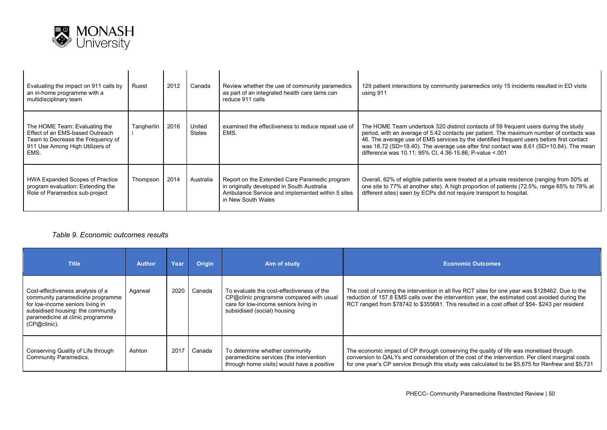

| Evaluating the impact on 911 calls by<br>an in-home programme with a<br>multidisciplinary team                                                   | Ruest      | 2012 | Canada                  | Review whether the use of community paramedics<br>as part of an integrated health care tams can<br>reduce 911 calls                                                   | 129 patient interactions by community paramedics only 15 incidents resulted in ED visits<br>using 911                                                                                                                                                                                                                                                                                                                              |
|--------------------------------------------------------------------------------------------------------------------------------------------------|------------|------|-------------------------|-----------------------------------------------------------------------------------------------------------------------------------------------------------------------|------------------------------------------------------------------------------------------------------------------------------------------------------------------------------------------------------------------------------------------------------------------------------------------------------------------------------------------------------------------------------------------------------------------------------------|
| The HOME Team: Evaluating the<br>Effect of an EMS-based Outreach<br>Team to Decrease the Frequency of<br>911 Use Among High Utilizers of<br>EMS. | Tangherlin | 2016 | United<br><b>States</b> | examined the effectiveness to reduce repeat use of<br>EMS.                                                                                                            | The HOME Team undertook 320 distinct contacts of 59 frequent users during the study<br>period, with an average of 5.42 contacts per patient. The maximum number of contacts was<br>46. The average use of EMS services by the identified frequent users before first contact<br>was 18.72 (SD=19.40). The average use after first contact was 8.61 (SD=10.84). The mean<br>difference was 10.11; 95% CI, 4.36-15.86; P-value < 001 |
| HWA Expanded Scopes of Practice<br>program evaluation: Extending the<br>Role of Paramedics sub-project                                           | Thompson   | 2014 | Australia               | Report on the Extended Care Paramedic program<br>in originally developed in South Australia<br>Ambulance Service and implemented within 5 sites<br>in New South Wales | Overall, 62% of eligible patients were treated at a private residence (ranging from 50% at<br>one site to 77% at another site). A high proportion of patients (72.5%, range 65% to 78% at<br>different sites) seen by ECPs did not require transport to hospital.                                                                                                                                                                  |

#### *Table 9. Economic outcomes results*

| <b>Title</b>                                                                                                                                                                                      | <b>Author</b> | Year | <b>Origin</b> | Aim of study                                                                                                                                                 | <b>Economic Outcomes</b>                                                                                                                                                                                                                                                                              |
|---------------------------------------------------------------------------------------------------------------------------------------------------------------------------------------------------|---------------|------|---------------|--------------------------------------------------------------------------------------------------------------------------------------------------------------|-------------------------------------------------------------------------------------------------------------------------------------------------------------------------------------------------------------------------------------------------------------------------------------------------------|
| Cost-effectiveness analysis of a<br>community paramedicine programme<br>for low-income seniors living in<br>subsidised housing: the community<br>paramedicine at clinic programme<br>(CP@clinic). | Agarwal       | 2020 | Canada        | To evaluate the cost-effectiveness of the<br>CP@clinic programme compared with usual<br>care for low-income seniors living in<br>subsidised (social) housing | The cost of running the intervention in all five RCT sites for one year was \$128462. Due to the<br>reduction of 157.8 EMS calls over the intervention year, the estimated cost avoided during the<br>RCT ranged from \$78742 to \$355681. This resulted in a cost offset of \$54- \$243 per resident |
| Conserving Quality of Life through<br>Community Paramedics.                                                                                                                                       | Ashton        | 2017 | Canada        | To determine whether community<br>paramedicine services (the intervention<br>through home visits) would have a positive                                      | The economic impact of CP through conserving the quality of life was monetised through<br>conversion to QALYs and consideration of the cost of the intervention. Per client marginal costs<br>for one year's CP service through this study was calculated to be \$5,675 for Renfrew and \$5,731       |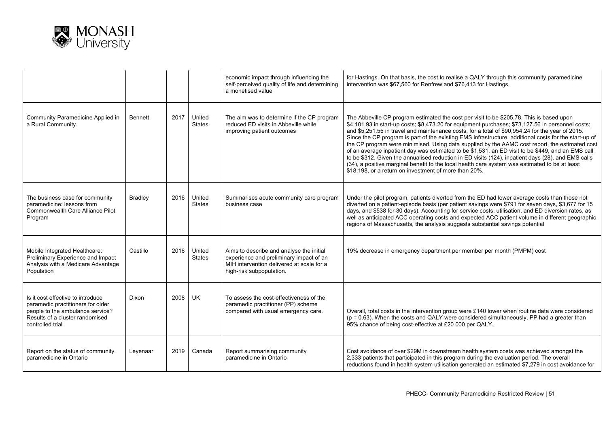

|                                                                                                                                                                   |                |      |                         | economic impact through influencing the<br>self-perceived quality of life and determining<br>a monetised value                                               | for Hastings. On that basis, the cost to realise a QALY through this community paramedicine<br>intervention was \$67,560 for Renfrew and \$76,413 for Hastings.                                                                                                                                                                                                                                                                                                                                                                                                                                                                                                                                                                                                                                                                                                                    |
|-------------------------------------------------------------------------------------------------------------------------------------------------------------------|----------------|------|-------------------------|--------------------------------------------------------------------------------------------------------------------------------------------------------------|------------------------------------------------------------------------------------------------------------------------------------------------------------------------------------------------------------------------------------------------------------------------------------------------------------------------------------------------------------------------------------------------------------------------------------------------------------------------------------------------------------------------------------------------------------------------------------------------------------------------------------------------------------------------------------------------------------------------------------------------------------------------------------------------------------------------------------------------------------------------------------|
| Community Paramedicine Applied in<br>a Rural Community.                                                                                                           | <b>Bennett</b> | 2017 | United<br><b>States</b> | The aim was to determine if the CP program<br>reduced ED visits in Abbeville while<br>improving patient outcomes                                             | The Abbeville CP program estimated the cost per visit to be \$205.78. This is based upon<br>\$4,101.93 in start-up costs; \$8,473.20 for equipment purchases; \$73,127.56 in personnel costs;<br>and \$5,251.55 in travel and maintenance costs, for a total of \$90,954.24 for the year of 2015.<br>Since the CP program is part of the existing EMS infrastructure, additional costs for the start-up of<br>the CP program were minimised. Using data supplied by the AAMC cost report, the estimated cost<br>of an average inpatient day was estimated to be \$1,531, an ED visit to be \$449, and an EMS call<br>to be \$312. Given the annualised reduction in ED visits (124), inpatient days (28), and EMS calls<br>(34), a positive marginal benefit to the local health care system was estimated to be at least<br>\$18,198, or a return on investment of more than 20%. |
| The business case for community<br>paramedicine: lessons from<br>Commonwealth Care Alliance Pilot<br>Program                                                      | <b>Bradley</b> | 2016 | United<br><b>States</b> | Summarises acute community care program<br>business case                                                                                                     | Under the pilot program, patients diverted from the ED had lower average costs than those not<br>diverted on a patient-episode basis (per patient savings were \$791 for seven days, \$3,677 for 15<br>days, and \$538 for 30 days). Accounting for service costs, utilisation, and ED diversion rates, as<br>well as anticipated ACC operating costs and expected ACC patient volume in different geographic<br>regions of Massachusetts, the analysis suggests substantial savings potential                                                                                                                                                                                                                                                                                                                                                                                     |
| Mobile Integrated Healthcare:<br>Preliminary Experience and Impact<br>Analysis with a Medicare Advantage<br>Population                                            | Castillo       | 2016 | United<br><b>States</b> | Aims to describe and analyse the initial<br>experience and preliminary impact of an<br>MIH intervention delivered at scale for a<br>high-risk subpopulation. | 19% decrease in emergency department per member per month (PMPM) cost                                                                                                                                                                                                                                                                                                                                                                                                                                                                                                                                                                                                                                                                                                                                                                                                              |
| Is it cost effective to introduce<br>paramedic practitioners for older<br>people to the ambulance service?<br>Results of a cluster randomised<br>controlled trial | Dixon          | 2008 | UK                      | To assess the cost-effectiveness of the<br>paramedic practitioner (PP) scheme<br>compared with usual emergency care.                                         | Overall, total costs in the intervention group were £140 lower when routine data were considered<br>$(p = 0.63)$ . When the costs and QALY were considered simultaneously, PP had a greater than<br>95% chance of being cost-effective at £20 000 per QALY.                                                                                                                                                                                                                                                                                                                                                                                                                                                                                                                                                                                                                        |
| Report on the status of community<br>paramedicine in Ontario                                                                                                      | Leyenaar       | 2019 | Canada                  | Report summarising community<br>paramedicine in Ontario                                                                                                      | Cost avoidance of over \$29M in downstream health system costs was achieved amongst the<br>2,333 patients that participated in this program during the evaluation period. The overall<br>reductions found in health system utilisation generated an estimated \$7,279 in cost avoidance for                                                                                                                                                                                                                                                                                                                                                                                                                                                                                                                                                                                        |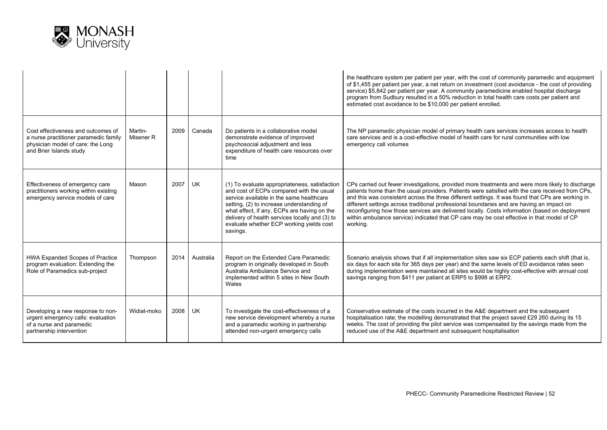

|                                                                                                                                             |                      |      |           |                                                                                                                                                                                                                                                                                                                                             | the healthcare system per patient per year, with the cost of community paramedic and equipment<br>of \$1,455 per patient per year, a net return on investment (cost avoidance - the cost of providing<br>service) \$5,842 per patient per year. A community paramedicine enabled hospital discharge<br>program from Sudbury resulted in a 50% reduction in total health care costs per patient and<br>estimated cost avoidance to be \$10,000 per patient enrolled.                                                                                                                                                |
|---------------------------------------------------------------------------------------------------------------------------------------------|----------------------|------|-----------|---------------------------------------------------------------------------------------------------------------------------------------------------------------------------------------------------------------------------------------------------------------------------------------------------------------------------------------------|--------------------------------------------------------------------------------------------------------------------------------------------------------------------------------------------------------------------------------------------------------------------------------------------------------------------------------------------------------------------------------------------------------------------------------------------------------------------------------------------------------------------------------------------------------------------------------------------------------------------|
| Cost effectiveness and outcomes of<br>a nurse practitioner paramedic family<br>physician model of care: the Long<br>and Brier Islands study | Martin-<br>Misener R | 2009 | Canada    | Do patients in a collaborative model<br>demonstrate evidence of improved<br>psychosocial adjustment and less<br>expenditure of health care resources over<br>time                                                                                                                                                                           | The NP paramedic physician model of primary health care services increases access to health<br>care services and is a cost-effective model of health care for rural communities with low<br>emergency call volumes                                                                                                                                                                                                                                                                                                                                                                                                 |
| Effectiveness of emergency care<br>practitioners working within existing<br>emergency service models of care                                | Mason                | 2007 | <b>UK</b> | (1) To evaluate appropriateness, satisfaction<br>and cost of ECPs compared with the usual<br>service available in the same healthcare<br>setting, (2) to increase understanding of<br>what effect, if any, ECPs are having on the<br>delivery of health services locally and (3) to<br>evaluate whether ECP working yields cost<br>savings. | CPs carried out fewer investigations, provided more treatments and were more likely to discharge<br>patients home than the usual providers. Patients were satisfied with the care received from CPs,<br>and this was consistent across the three different settings. It was found that CPs are working in<br>different settings across traditional professional boundaries and are having an impact on<br>reconfiguring how those services are delivered locally. Costs information (based on deployment<br>within ambulance service) indicated that CP care may be cost effective in that model of CP<br>working. |
| HWA Expanded Scopes of Practice<br>program evaluation: Extending the<br>Role of Paramedics sub-project                                      | Thompson             | 2014 | Australia | Report on the Extended Care Paramedic<br>program in originally developed in South<br>Australia Ambulance Service and<br>implemented within 5 sites in New South<br>Wales                                                                                                                                                                    | Scenario analysis shows that if all implementation sites saw six ECP patients each shift (that is,<br>six days for each site for 365 days per year) and the same levels of ED avoidance rates seen<br>during implementation were maintained all sites would be highly cost-effective with annual cost<br>savings ranging from \$411 per patient at ERP5 to \$998 at ERP2.                                                                                                                                                                                                                                          |
| Developing a new response to non-<br>urgent emergency calls: evaluation<br>of a nurse and paramedic<br>partnership intervention             | Widiat-moko          | 2008 | <b>UK</b> | To investigate the cost-effectiveness of a<br>new service development whereby a nurse<br>and a paramedic working in partnership<br>attended non-urgent emergency calls                                                                                                                                                                      | Conservative estimate of the costs incurred in the A&E department and the subsequent<br>hospitalisation rate; the modelling demonstrated that the project saved £29 260 during its 15<br>weeks. The cost of providing the pilot service was compensated by the savings made from the<br>reduced use of the A&E department and subsequent hospitalisation                                                                                                                                                                                                                                                           |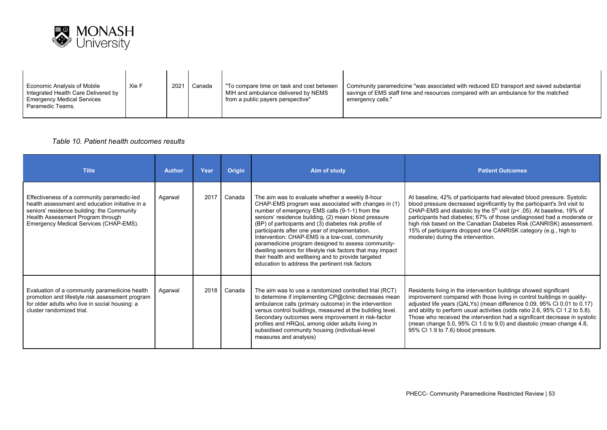

| Economic Analysis of Mobile<br>Integrated Health Care Delivered by<br><b>Emergency Medical Services</b><br>Paramedic Teams. | Xie F | 2021 | Canada | "To compare time on task and cost between<br>MIH and ambulance delivered by NEMS<br>from a public payers perspective" | Community paramedicine "was associated with reduced ED transport and saved substantial<br>savings of EMS staff time and resources compared with an ambulance for the matched<br>emergency calls." |
|-----------------------------------------------------------------------------------------------------------------------------|-------|------|--------|-----------------------------------------------------------------------------------------------------------------------|---------------------------------------------------------------------------------------------------------------------------------------------------------------------------------------------------|
|-----------------------------------------------------------------------------------------------------------------------------|-------|------|--------|-----------------------------------------------------------------------------------------------------------------------|---------------------------------------------------------------------------------------------------------------------------------------------------------------------------------------------------|

#### *Table 10. Patient health outcomes results*

| <b>Title</b>                                                                                                                                                                                                               | <b>Author</b> | Year | <b>Origin</b> | Aim of study                                                                                                                                                                                                                                                                                                                                                                                                                                                                                                                                                                                                 | <b>Patient Outcomes</b>                                                                                                                                                                                                                                                                                                                                                                                                                                                                             |
|----------------------------------------------------------------------------------------------------------------------------------------------------------------------------------------------------------------------------|---------------|------|---------------|--------------------------------------------------------------------------------------------------------------------------------------------------------------------------------------------------------------------------------------------------------------------------------------------------------------------------------------------------------------------------------------------------------------------------------------------------------------------------------------------------------------------------------------------------------------------------------------------------------------|-----------------------------------------------------------------------------------------------------------------------------------------------------------------------------------------------------------------------------------------------------------------------------------------------------------------------------------------------------------------------------------------------------------------------------------------------------------------------------------------------------|
| Effectiveness of a community paramedic-led<br>health assessment and education initiative in a<br>seniors' residence building: the Community<br>Health Assessment Program through<br>Emergency Medical Services (CHAP-EMS). | Agarwal       | 2017 | Canada        | The aim was to evaluate whether a weekly 8-hour<br>CHAP-EMS program was associated with changes in (1)<br>number of emergency EMS calls (9-1-1) from the<br>seniors' residence building, (2) mean blood pressure<br>(BP) of participants and (3) diabetes risk profile of<br>participants after one year of implementation.<br>Intervention: CHAP-EMS is a low-cost, community<br>paramedicine program designed to assess community-<br>dwelling seniors for lifestyle risk factors that may impact<br>their health and wellbeing and to provide targeted<br>education to address the pertinent risk factors | At baseline, 42% of participants had elevated blood pressure. Systolic<br>blood pressure decreased significantly by the participant's 3rd visit to<br>CHAP-EMS and diastolic by the 5 <sup>th</sup> visit (p< .05). At baseline, 19% of<br>participants had diabetes; 67% of those undiagnosed had a moderate or<br>high risk based on the Canadian Diabetes Risk (CANRISK) assessment.<br>15% of participants dropped one CANRISK category (e.g., high to<br>moderate) during the intervention.    |
| Evaluation of a community paramedicine health<br>promotion and lifestyle risk assessment program<br>for older adults who live in social housing: a<br>cluster randomized trial.                                            | Agarwal       | 2018 | Canada        | The aim was to use a randomized controlled trial (RCT)<br>to determine if implementing CP@clinic decreases mean<br>ambulance calls (primary outcome) in the intervention<br>versus control buildings, measured at the building level.<br>Secondary outcomes were improvement in risk-factor<br>profiles and HRQoL among older adults living in<br>subsidised community housing (individual-level<br>measures and analysis)                                                                                                                                                                                   | Residents living in the intervention buildings showed significant<br>improvement compared with those living in control buildings in quality-<br>adjusted life years (QALYs) (mean difference 0.09, 95% CI 0.01 to 0.17)<br>and ability to perform usual activities (odds ratio 2.6, 95% CI 1.2 to 5.8).<br>Those who received the intervention had a significant decrease in systolic<br>(mean change 5.0, 95% CI 1.0 to 9.0) and diastolic (mean change 4.8,<br>95% CI 1.9 to 7.6) blood pressure. |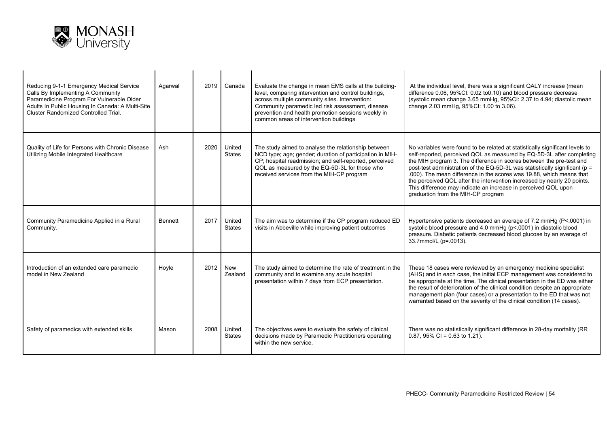

| Reducing 9-1-1 Emergency Medical Service<br>Calls By Implementing A Community<br>Paramedicine Program For Vulnerable Older<br>Adults In Public Housing In Canada: A Multi-Site<br>Cluster Randomized Controlled Trial. | Agarwal        |      | 2019 Canada             | Evaluate the change in mean EMS calls at the building-<br>level, comparing intervention and control buildings,<br>across multiple community sites. Intervention:<br>Community paramedic led risk assessment, disease<br>prevention and health promotion sessions weekly in<br>common areas of intervention buildings | At the individual level, there was a significant QALY increase (mean<br>difference 0.06, 95%CI: 0.02 to0.10) and blood pressure decrease<br>(systolic mean change 3.65 mmHg, 95%CI: 2.37 to 4.94; diastolic mean<br>change 2.03 mmHg, 95%CI: 1.00 to 3.06).                                                                                                                                                                                                                                                                                                             |
|------------------------------------------------------------------------------------------------------------------------------------------------------------------------------------------------------------------------|----------------|------|-------------------------|----------------------------------------------------------------------------------------------------------------------------------------------------------------------------------------------------------------------------------------------------------------------------------------------------------------------|-------------------------------------------------------------------------------------------------------------------------------------------------------------------------------------------------------------------------------------------------------------------------------------------------------------------------------------------------------------------------------------------------------------------------------------------------------------------------------------------------------------------------------------------------------------------------|
| Quality of Life for Persons with Chronic Disease<br>Utilizing Mobile Integrated Healthcare                                                                                                                             | Ash            | 2020 | United<br><b>States</b> | The study aimed to analyse the relationship between<br>NCD type; age; gender; duration of participation in MIH-<br>CP; hospital readmission; and self-reported, perceived<br>QOL as measured by the EQ-5D-3L for those who<br>received services from the MIH-CP program                                              | No variables were found to be related at statistically significant levels to<br>self-reported, perceived QOL as measured by EQ-5D-3L after completing<br>the MIH program 3. The difference in scores between the pre-test and<br>post-test administration of the EQ-5D-3L was statistically significant (p =<br>.000). The mean difference in the scores was 19.88, which means that<br>the perceived QOL after the intervention increased by nearly 20 points.<br>This difference may indicate an increase in perceived QOL upon<br>graduation from the MIH-CP program |
| Community Paramedicine Applied in a Rural<br>Community.                                                                                                                                                                | <b>Bennett</b> | 2017 | United<br><b>States</b> | The aim was to determine if the CP program reduced ED<br>visits in Abbeville while improving patient outcomes                                                                                                                                                                                                        | Hypertensive patients decreased an average of 7.2 mmHg (P<.0001) in<br>systolic blood pressure and 4.0 mmHg (p<.0001) in diastolic blood<br>pressure. Diabetic patients decreased blood glucose by an average of<br>33.7mmol/L (p=.0013).                                                                                                                                                                                                                                                                                                                               |
| Introduction of an extended care paramedic<br>model in New Zealand                                                                                                                                                     | Hoyle          | 2012 | New<br>Zealand          | The study aimed to determine the rate of treatment in the<br>community and to examine any acute hospital<br>presentation within 7 days from ECP presentation.                                                                                                                                                        | These 18 cases were reviewed by an emergency medicine specialist<br>(AHS) and in each case, the initial ECP management was considered to<br>be appropriate at the time. The clinical presentation in the ED was either<br>the result of deterioration of the clinical condition despite an appropriate<br>management plan (four cases) or a presentation to the ED that was not<br>warranted based on the severity of the clinical condition (14 cases).                                                                                                                |
| Safety of paramedics with extended skills                                                                                                                                                                              | Mason          | 2008 | United<br><b>States</b> | The objectives were to evaluate the safety of clinical<br>decisions made by Paramedic Practitioners operating<br>within the new service.                                                                                                                                                                             | There was no statistically significant difference in 28-day mortality (RR<br>$0.87,95\%$ CI = 0.63 to 1.21).                                                                                                                                                                                                                                                                                                                                                                                                                                                            |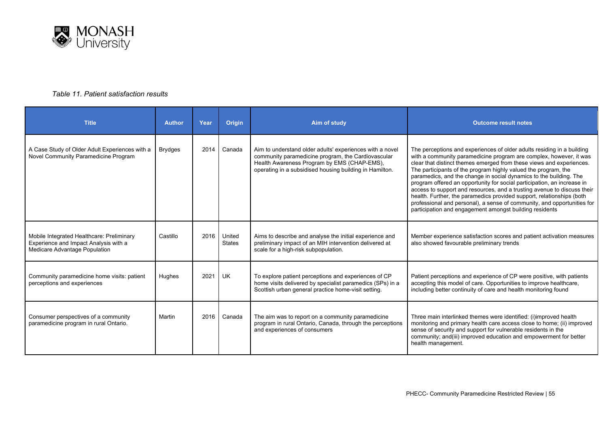

#### *Table 11. Patient satisfaction results*

| <b>Title</b>                                                                                                        | <b>Author</b>  | Year | <b>Origin</b>           | Aim of study                                                                                                                                                                                                             | <b>Outcome result notes</b>                                                                                                                                                                                                                                                                                                                                                                                                                                                                                                                                                                                                                                                                                                       |
|---------------------------------------------------------------------------------------------------------------------|----------------|------|-------------------------|--------------------------------------------------------------------------------------------------------------------------------------------------------------------------------------------------------------------------|-----------------------------------------------------------------------------------------------------------------------------------------------------------------------------------------------------------------------------------------------------------------------------------------------------------------------------------------------------------------------------------------------------------------------------------------------------------------------------------------------------------------------------------------------------------------------------------------------------------------------------------------------------------------------------------------------------------------------------------|
| A Case Study of Older Adult Experiences with a<br>Novel Community Paramedicine Program                              | <b>Brydges</b> | 2014 | Canada                  | Aim to understand older adults' experiences with a novel<br>community paramedicine program, the Cardiovascular<br>Health Awareness Program by EMS (CHAP-EMS),<br>operating in a subsidised housing building in Hamilton. | The perceptions and experiences of older adults residing in a building<br>with a community paramedicine program are complex, however, it was<br>clear that distinct themes emerged from these views and experiences.<br>The participants of the program highly valued the program, the<br>paramedics, and the change in social dynamics to the building. The<br>program offered an opportunity for social participation, an increase in<br>access to support and resources, and a trusting avenue to discuss their<br>health. Further, the paramedics provided support, relationships (both<br>professional and personal), a sense of community, and opportunities for<br>participation and engagement amongst building residents |
| Mobile Integrated Healthcare: Preliminary<br>Experience and Impact Analysis with a<br>Medicare Advantage Population | Castillo       | 2016 | United<br><b>States</b> | Aims to describe and analyse the initial experience and<br>preliminary impact of an MIH intervention delivered at<br>scale for a high-risk subpopulation.                                                                | Member experience satisfaction scores and patient activation measures<br>also showed favourable preliminary trends                                                                                                                                                                                                                                                                                                                                                                                                                                                                                                                                                                                                                |
| Community paramedicine home visits: patient<br>perceptions and experiences                                          | Hughes         | 2021 | <b>UK</b>               | To explore patient perceptions and experiences of CP<br>home visits delivered by specialist paramedics (SPs) in a<br>Scottish urban general practice home-visit setting.                                                 | Patient perceptions and experience of CP were positive, with patients<br>accepting this model of care. Opportunities to improve healthcare,<br>including better continuity of care and health monitoring found                                                                                                                                                                                                                                                                                                                                                                                                                                                                                                                    |
| Consumer perspectives of a community<br>paramedicine program in rural Ontario.                                      | Martin         | 2016 | Canada                  | The aim was to report on a community paramedicine<br>program in rural Ontario, Canada, through the perceptions<br>and experiences of consumers                                                                           | Three main interlinked themes were identified: (i)improved health<br>monitoring and primary health care access close to home; (ii) improved<br>sense of security and support for vulnerable residents in the<br>community; and(iii) improved education and empowerment for better<br>health management.                                                                                                                                                                                                                                                                                                                                                                                                                           |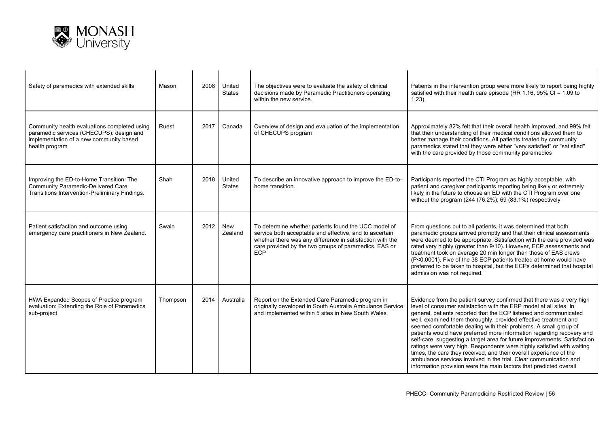

| Safety of paramedics with extended skills                                                                                                             | Mason    | 2008 | United<br><b>States</b> | The objectives were to evaluate the safety of clinical<br>decisions made by Paramedic Practitioners operating<br>within the new service.                                                                                                     | Patients in the intervention group were more likely to report being highly<br>satisfied with their health care episode (RR 1.16, 95% CI = 1.09 to<br>$1.23$ ).                                                                                                                                                                                                                                                                                                                                                                                                                                                                                                                                                                                                                                            |
|-------------------------------------------------------------------------------------------------------------------------------------------------------|----------|------|-------------------------|----------------------------------------------------------------------------------------------------------------------------------------------------------------------------------------------------------------------------------------------|-----------------------------------------------------------------------------------------------------------------------------------------------------------------------------------------------------------------------------------------------------------------------------------------------------------------------------------------------------------------------------------------------------------------------------------------------------------------------------------------------------------------------------------------------------------------------------------------------------------------------------------------------------------------------------------------------------------------------------------------------------------------------------------------------------------|
| Community health evaluations completed using<br>paramedic services (CHECUPS): design and<br>implementation of a new community based<br>health program | Ruest    | 2017 | Canada                  | Overview of design and evaluation of the implementation<br>of CHECUPS program                                                                                                                                                                | Approximately 82% felt that their overall health improved, and 99% felt<br>that their understanding of their medical conditions allowed them to<br>better manage their conditions. All patients treated by community<br>paramedics stated that they were either "very satisfied" or "satisfied"<br>with the care provided by those community paramedics                                                                                                                                                                                                                                                                                                                                                                                                                                                   |
| Improving the ED-to-Home Transition: The<br><b>Community Paramedic-Delivered Care</b><br>Transitions Intervention-Preliminary Findings.               | Shah     | 2018 | United<br><b>States</b> | To describe an innovative approach to improve the ED-to-<br>home transition.                                                                                                                                                                 | Participants reported the CTI Program as highly acceptable, with<br>patient and caregiver participants reporting being likely or extremely<br>likely in the future to choose an ED with the CTI Program over one<br>without the program $(244 (76.2\%)$ ; 69 $(83.1\%)$ respectively                                                                                                                                                                                                                                                                                                                                                                                                                                                                                                                      |
| Patient satisfaction and outcome using<br>emergency care practitioners in New Zealand.                                                                | Swain    | 2012 | New<br>Zealand          | To determine whether patients found the UCC model of<br>service both acceptable and effective, and to ascertain<br>whether there was any difference in satisfaction with the<br>care provided by the two groups of paramedics, EAS or<br>ECP | From questions put to all patients, it was determined that both<br>paramedic groups arrived promptly and that their clinical assessments<br>were deemed to be appropriate. Satisfaction with the care provided was<br>rated very highly (greater than 9/10). However, ECP assessments and<br>treatment took on average 20 min longer than those of EAS crews<br>(P<0.0001). Five of the 38 ECP patients treated at home would have<br>preferred to be taken to hospital, but the ECPs determined that hospital<br>admission was not required.                                                                                                                                                                                                                                                             |
| HWA Expanded Scopes of Practice program<br>evaluation: Extending the Role of Paramedics<br>sub-project                                                | Thompson | 2014 | Australia               | Report on the Extended Care Paramedic program in<br>originally developed in South Australia Ambulance Service<br>and implemented within 5 sites in New South Wales                                                                           | Evidence from the patient survey confirmed that there was a very high<br>level of consumer satisfaction with the ERP model at all sites. In<br>general, patients reported that the ECP listened and communicated<br>well, examined them thoroughly, provided effective treatment and<br>seemed comfortable dealing with their problems. A small group of<br>patients would have preferred more information regarding recovery and<br>self-care, suggesting a target area for future improvements. Satisfaction<br>ratings were very high. Respondents were highly satisfied with waiting<br>times, the care they received, and their overall experience of the<br>ambulance services involved in the trial. Clear communication and<br>information provision were the main factors that predicted overall |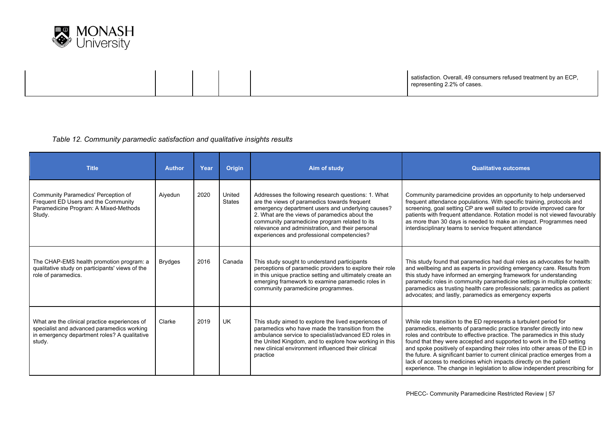

satisfaction. Overall, 49 consumers refused treatment by an ECP, representing 2.2% of cases.

#### *Table 12. Community paramedic satisfaction and qualitative insights results*

| <b>Title</b>                                                                                                                                          | <b>Author</b>  | Year | Origin                  | Aim of study                                                                                                                                                                                                                                                                                                                                                 | <b>Qualitative outcomes</b>                                                                                                                                                                                                                                                                                                                                                                                                                                                                                                                                                                                        |
|-------------------------------------------------------------------------------------------------------------------------------------------------------|----------------|------|-------------------------|--------------------------------------------------------------------------------------------------------------------------------------------------------------------------------------------------------------------------------------------------------------------------------------------------------------------------------------------------------------|--------------------------------------------------------------------------------------------------------------------------------------------------------------------------------------------------------------------------------------------------------------------------------------------------------------------------------------------------------------------------------------------------------------------------------------------------------------------------------------------------------------------------------------------------------------------------------------------------------------------|
| Community Paramedics' Perception of<br>Frequent ED Users and the Community<br>Paramedicine Program: A Mixed-Methods<br>Study.                         | Aiyedun        | 2020 | United<br><b>States</b> | Addresses the following research questions: 1. What<br>are the views of paramedics towards frequent<br>emergency department users and underlying causes?<br>2. What are the views of paramedics about the<br>community paramedicine program related to its<br>relevance and administration, and their personal<br>experiences and professional competencies? | Community paramedicine provides an opportunity to help underserved<br>frequent attendance populations. With specific training, protocols and<br>screening, goal setting CP are well suited to provide improved care for<br>patients with frequent attendance. Rotation model is not viewed favourably<br>as more than 30 days is needed to make an impact. Programmes need<br>interdisciplinary teams to service frequent attendance                                                                                                                                                                               |
| The CHAP-EMS health promotion program: a<br>qualitative study on participants' views of the<br>role of paramedics.                                    | <b>Brydges</b> | 2016 | Canada                  | This study sought to understand participants<br>perceptions of paramedic providers to explore their role<br>in this unique practice setting and ultimately create an<br>emerging framework to examine paramedic roles in<br>community paramedicine programmes.                                                                                               | This study found that paramedics had dual roles as advocates for health<br>and wellbeing and as experts in providing emergency care. Results from<br>this study have informed an emerging framework for understanding<br>paramedic roles in community paramedicine settings in multiple contexts:<br>paramedics as trusting health care professionals; paramedics as patient<br>advocates; and lastly, paramedics as emergency experts                                                                                                                                                                             |
| What are the clinical practice experiences of<br>specialist and advanced paramedics working<br>in emergency department roles? A qualitative<br>study. | Clarke         | 2019 | <b>UK</b>               | This study aimed to explore the lived experiences of<br>paramedics who have made the transition from the<br>ambulance service to specialist/advanced ED roles in<br>the United Kingdom, and to explore how working in this<br>new clinical environment influenced their clinical<br>practice                                                                 | While role transition to the ED represents a turbulent period for<br>paramedics, elements of paramedic practice transfer directly into new<br>roles and contribute to effective practice. The paramedics in this study<br>found that they were accepted and supported to work in the ED setting<br>and spoke positively of expanding their roles into other areas of the ED in<br>the future. A significant barrier to current clinical practice emerges from a<br>lack of access to medicines which impacts directly on the patient<br>experience. The change in legislation to allow independent prescribing for |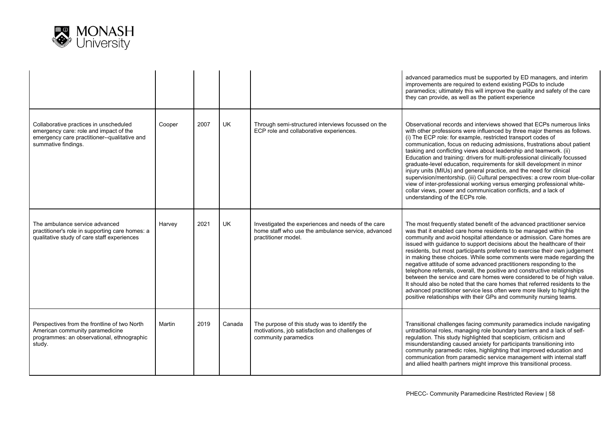

|                                                                                                                                                         |        |      |           |                                                                                                                                 | advanced paramedics must be supported by ED managers, and interim<br>improvements are required to extend existing PGDs to include<br>paramedics; ultimately this will improve the quality and safety of the care<br>they can provide, as well as the patient experience                                                                                                                                                                                                                                                                                                                                                                                                                                                                                                                                                                                                                                              |
|---------------------------------------------------------------------------------------------------------------------------------------------------------|--------|------|-----------|---------------------------------------------------------------------------------------------------------------------------------|----------------------------------------------------------------------------------------------------------------------------------------------------------------------------------------------------------------------------------------------------------------------------------------------------------------------------------------------------------------------------------------------------------------------------------------------------------------------------------------------------------------------------------------------------------------------------------------------------------------------------------------------------------------------------------------------------------------------------------------------------------------------------------------------------------------------------------------------------------------------------------------------------------------------|
| Collaborative practices in unscheduled<br>emergency care: role and impact of the<br>emergency care practitioner--qualitative and<br>summative findings. | Cooper | 2007 | UK        | Through semi-structured interviews focussed on the<br>ECP role and collaborative experiences.                                   | Observational records and interviews showed that ECPs numerous links<br>with other professions were influenced by three major themes as follows.<br>(i) The ECP role: for example, restricted transport codes of<br>communication, focus on reducing admissions, frustrations about patient<br>tasking and conflicting views about leadership and teamwork. (ii)<br>Education and training: drivers for multi-professional clinically focussed<br>graduate-level education, requirements for skill development in minor<br>injury units (MIUs) and general practice, and the need for clinical<br>supervision/mentorship. (iii) Cultural perspectives: a crew room blue-collar<br>view of inter-professional working versus emerging professional white-<br>collar views, power and communication conflicts, and a lack of<br>understanding of the ECPs role.                                                        |
| The ambulance service advanced<br>practitioner's role in supporting care homes: a<br>qualitative study of care staff experiences                        | Harvey | 2021 | <b>UK</b> | Investigated the experiences and needs of the care<br>home staff who use the ambulance service, advanced<br>practitioner model. | The most frequently stated benefit of the advanced practitioner service<br>was that it enabled care home residents to be managed within the<br>community and avoid hospital attendance or admission. Care homes are<br>issued with guidance to support decisions about the healthcare of their<br>residents, but most participants preferred to exercise their own judgement<br>in making these choices. While some comments were made regarding the<br>negative attitude of some advanced practitioners responding to the<br>telephone referrals, overall, the positive and constructive relationships<br>between the service and care homes were considered to be of high value.<br>It should also be noted that the care homes that referred residents to the<br>advanced practitioner service less often were more likely to highlight the<br>positive relationships with their GPs and community nursing teams. |
| Perspectives from the frontline of two North<br>American community paramedicine<br>programmes: an observational, ethnographic<br>study.                 | Martin | 2019 | Canada    | The purpose of this study was to identify the<br>motivations, job satisfaction and challenges of<br>community paramedics        | Transitional challenges facing community paramedics include navigating<br>untraditional roles, managing role boundary barriers and a lack of self-<br>regulation. This study highlighted that scepticism, criticism and<br>misunderstanding caused anxiety for participants transitioning into<br>community paramedic roles, highlighting that improved education and<br>communication from paramedic service management with internal staff<br>and allied health partners might improve this transitional process.                                                                                                                                                                                                                                                                                                                                                                                                  |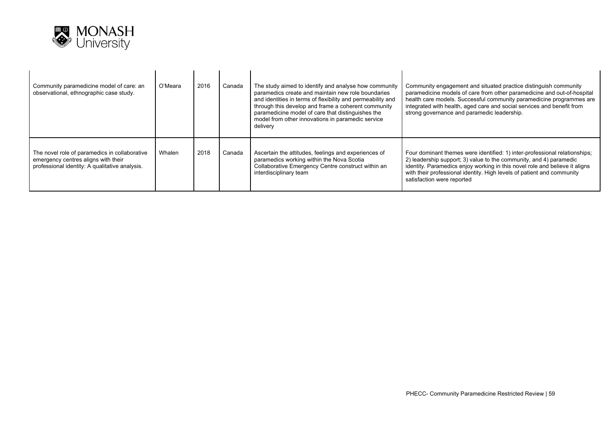

| Community paramedicine model of care: an<br>observational, ethnographic case study.                                                    | O'Meara | 2016 | Canada | The study aimed to identify and analyse how community<br>paramedics create and maintain new role boundaries<br>and identities in terms of flexibility and permeability and<br>through this develop and frame a coherent community<br>paramedicine model of care that distinguishes the<br>model from other innovations in paramedic service<br>delivery | Community engagement and situated practice distinguish community<br>paramedicine models of care from other paramedicine and out-of-hospital<br>health care models. Successful community paramedicine programmes are<br>integrated with health, aged care and social services and benefit from<br>strong governance and paramedic leadership. |
|----------------------------------------------------------------------------------------------------------------------------------------|---------|------|--------|---------------------------------------------------------------------------------------------------------------------------------------------------------------------------------------------------------------------------------------------------------------------------------------------------------------------------------------------------------|----------------------------------------------------------------------------------------------------------------------------------------------------------------------------------------------------------------------------------------------------------------------------------------------------------------------------------------------|
| The novel role of paramedics in collaborative<br>emergency centres aligns with their<br>professional identity: A qualitative analysis. | Whalen  | 2018 | Canada | Ascertain the attitudes, feelings and experiences of<br>paramedics working within the Nova Scotia<br>Collaborative Emergency Centre construct within an<br>interdisciplinary team                                                                                                                                                                       | Four dominant themes were identified: 1) inter-professional relationships;<br>2) leadership support; 3) value to the community, and 4) paramedic<br>identity. Paramedics enjoy working in this novel role and believe it aligns<br>with their professional identity. High levels of patient and community<br>satisfaction were reported      |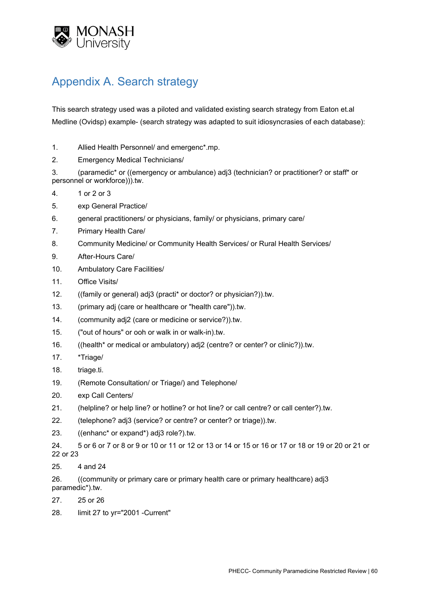

## Appendix A. Search strategy

This search strategy used was a piloted and validated existing search strategy from Eaton et.al Medline (Ovidsp) example- (search strategy was adapted to suit idiosyncrasies of each database):

- 1. Allied Health Personnel/ and emergenc\*.mp.
- 2. Emergency Medical Technicians/

3. (paramedic\* or ((emergency or ambulance) adj3 (technician? or practitioner? or staff\* or personnel or workforce))).tw.

- 4. 1 or 2 or 3
- 5. exp General Practice/
- 6. general practitioners/ or physicians, family/ or physicians, primary care/
- 7. Primary Health Care/
- 8. Community Medicine/ or Community Health Services/ or Rural Health Services/
- 9. After-Hours Care/
- 10. Ambulatory Care Facilities/
- 11. Office Visits/
- 12. ((family or general) adj3 (practi\* or doctor? or physician?)).tw.
- 13. (primary adj (care or healthcare or "health care")).tw.
- 14. (community adj2 (care or medicine or service?)).tw.
- 15. ("out of hours" or ooh or walk in or walk-in).tw.
- 16. ((health\* or medical or ambulatory) adj2 (centre? or center? or clinic?)).tw.
- 17. \*Triage/
- 18. triage.ti.
- 19. (Remote Consultation/ or Triage/) and Telephone/
- 20. exp Call Centers/
- 21. (helpline? or help line? or hotline? or hot line? or call centre? or call center?).tw.
- 22. (telephone? adj3 (service? or centre? or center? or triage)).tw.
- 23. ((enhanc\* or expand\*) adj3 role?).tw.
- 24. 5 or 6 or 7 or 8 or 9 or 10 or 11 or 12 or 13 or 14 or 15 or 16 or 17 or 18 or 19 or 20 or 21 or 22 or 23
- 25. 4 and 24

26. ((community or primary care or primary health care or primary healthcare) adj3 paramedic\*).tw.

- 27. 25 or 26
- 28. limit 27 to yr="2001 -Current"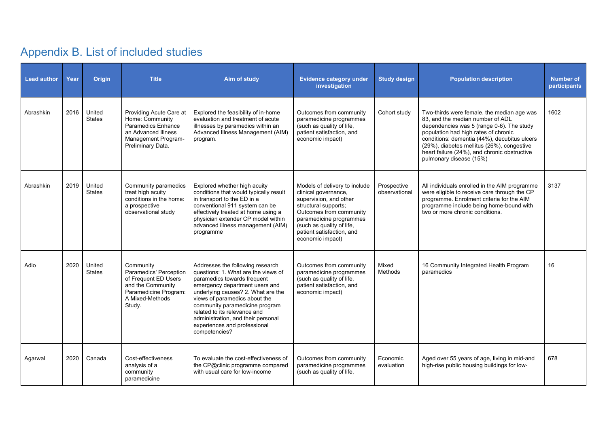# Appendix B. List of included studies

| <b>Lead author</b> | Year | <b>Origin</b>           | <b>Title</b>                                                                                                                           | Aim of study                                                                                                                                                                                                                                                                                                                                                             | <b>Evidence category under</b><br>investigation                                                                                                                                                                                             | <b>Study design</b>          | <b>Population description</b>                                                                                                                                                                                                                                                                                                                | <b>Number of</b><br>participants |
|--------------------|------|-------------------------|----------------------------------------------------------------------------------------------------------------------------------------|--------------------------------------------------------------------------------------------------------------------------------------------------------------------------------------------------------------------------------------------------------------------------------------------------------------------------------------------------------------------------|---------------------------------------------------------------------------------------------------------------------------------------------------------------------------------------------------------------------------------------------|------------------------------|----------------------------------------------------------------------------------------------------------------------------------------------------------------------------------------------------------------------------------------------------------------------------------------------------------------------------------------------|----------------------------------|
| Abrashkin          | 2016 | United<br><b>States</b> | Providing Acute Care at<br>Home: Community<br>Paramedics Enhance<br>an Advanced Illness<br>Management Program-<br>Preliminary Data.    | Explored the feasibility of in-home<br>evaluation and treatment of acute<br>illnesses by paramedics within an<br>Advanced Illness Management (AIM)<br>program.                                                                                                                                                                                                           | Outcomes from community<br>paramedicine programmes<br>(such as quality of life,<br>patient satisfaction, and<br>economic impact)                                                                                                            | Cohort study                 | Two-thirds were female, the median age was<br>83, and the median number of ADL<br>dependencies was 5 (range 0-6). The study<br>population had high rates of chronic<br>conditions: dementia (44%), decubitus ulcers<br>(29%), diabetes mellitus (26%), congestive<br>heart failure (24%), and chronic obstructive<br>pulmonary disease (15%) | 1602                             |
| Abrashkin          | 2019 | United<br><b>States</b> | Community paramedics<br>treat high acuity<br>conditions in the home:<br>a prospective<br>observational study                           | Explored whether high acuity<br>conditions that would typically result<br>in transport to the ED in a<br>conventional 911 system can be<br>effectively treated at home using a<br>physician extender CP model within<br>advanced illness management (AIM)<br>programme                                                                                                   | Models of delivery to include<br>clinical governance,<br>supervision, and other<br>structural supports;<br>Outcomes from community<br>paramedicine programmes<br>(such as quality of life,<br>patient satisfaction, and<br>economic impact) | Prospective<br>observational | All individuals enrolled in the AIM programme<br>were eligible to receive care through the CP<br>programme. Enrolment criteria for the AIM<br>programme include being home-bound with<br>two or more chronic conditions.                                                                                                                     | 3137                             |
| Adio               | 2020 | United<br><b>States</b> | Community<br>Paramedics' Perception<br>of Frequent ED Users<br>and the Community<br>Paramedicine Program:<br>A Mixed-Methods<br>Study. | Addresses the following research<br>questions: 1. What are the views of<br>paramedics towards frequent<br>emergency department users and<br>underlying causes? 2. What are the<br>views of paramedics about the<br>community paramedicine program<br>related to its relevance and<br>administration, and their personal<br>experiences and professional<br>competencies? | Outcomes from community<br>paramedicine programmes<br>(such as quality of life,<br>patient satisfaction, and<br>economic impact)                                                                                                            | Mixed<br>Methods             | 16 Community Integrated Health Program<br>paramedics                                                                                                                                                                                                                                                                                         | 16                               |
| Agarwal            | 2020 | Canada                  | Cost-effectiveness<br>analysis of a<br>community<br>paramedicine                                                                       | To evaluate the cost-effectiveness of<br>the CP@clinic programme compared<br>with usual care for low-income                                                                                                                                                                                                                                                              | Outcomes from community<br>paramedicine programmes<br>(such as quality of life,                                                                                                                                                             | Economic<br>evaluation       | Aged over 55 years of age, living in mid-and<br>high-rise public housing buildings for low-                                                                                                                                                                                                                                                  | 678                              |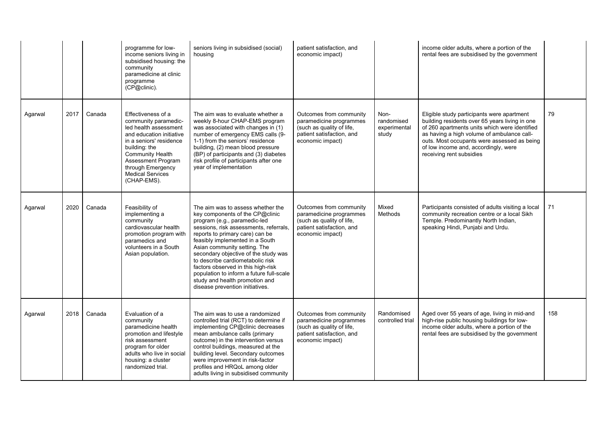|         |      |        | programme for low-<br>income seniors living in<br>subsidised housing: the<br>community<br>paramedicine at clinic<br>programme<br>(CP@clinic).                                                                                                        | seniors living in subsidised (social)<br>housing                                                                                                                                                                                                                                                                                                                                                                                                                                        | patient satisfaction, and<br>economic impact)                                                                                    |                                             | income older adults, where a portion of the<br>rental fees are subsidised by the government                                                                                                                                                                                                                    |     |
|---------|------|--------|------------------------------------------------------------------------------------------------------------------------------------------------------------------------------------------------------------------------------------------------------|-----------------------------------------------------------------------------------------------------------------------------------------------------------------------------------------------------------------------------------------------------------------------------------------------------------------------------------------------------------------------------------------------------------------------------------------------------------------------------------------|----------------------------------------------------------------------------------------------------------------------------------|---------------------------------------------|----------------------------------------------------------------------------------------------------------------------------------------------------------------------------------------------------------------------------------------------------------------------------------------------------------------|-----|
| Agarwal | 2017 | Canada | Effectiveness of a<br>community paramedic-<br>led health assessment<br>and education initiative<br>in a seniors' residence<br>building: the<br><b>Community Health</b><br>Assessment Program<br>through Emergency<br>Medical Services<br>(CHAP-EMS). | The aim was to evaluate whether a<br>weekly 8-hour CHAP-EMS program<br>was associated with changes in (1)<br>number of emergency EMS calls (9-<br>1-1) from the seniors' residence<br>building, (2) mean blood pressure<br>(BP) of participants and (3) diabetes<br>risk profile of participants after one<br>year of implementation                                                                                                                                                    | Outcomes from community<br>paramedicine programmes<br>(such as quality of life,<br>patient satisfaction, and<br>economic impact) | Non-<br>randomised<br>experimental<br>study | Eligible study participants were apartment<br>building residents over 65 years living in one<br>of 260 apartments units which were identified<br>as having a high volume of ambulance call-<br>outs. Most occupants were assessed as being<br>of low income and, accordingly, were<br>receiving rent subsidies | 79  |
| Agarwal | 2020 | Canada | Feasibility of<br>implementing a<br>community<br>cardiovascular health<br>promotion program with<br>paramedics and<br>volunteers in a South<br>Asian population.                                                                                     | The aim was to assess whether the<br>key components of the CP@clinic<br>program (e.g., paramedic-led<br>sessions, risk assessments, referrals,<br>reports to primary care) can be<br>feasibly implemented in a South<br>Asian community setting. The<br>secondary objective of the study was<br>to describe cardiometabolic risk<br>factors observed in this high-risk<br>population to inform a future full-scale<br>study and health promotion and<br>disease prevention initiatives. | Outcomes from community<br>paramedicine programmes<br>(such as quality of life,<br>patient satisfaction, and<br>economic impact) | Mixed<br>Methods                            | Participants consisted of adults visiting a local<br>community recreation centre or a local Sikh<br>Temple. Predominantly North Indian,<br>speaking Hindi, Punjabi and Urdu.                                                                                                                                   | 71  |
| Agarwal | 2018 | Canada | Evaluation of a<br>community<br>paramedicine health<br>promotion and lifestyle<br>risk assessment<br>program for older<br>adults who live in social<br>housing: a cluster<br>randomized trial.                                                       | The aim was to use a randomized<br>controlled trial (RCT) to determine if<br>implementing CP@clinic decreases<br>mean ambulance calls (primary<br>outcome) in the intervention versus<br>control buildings, measured at the<br>building level. Secondary outcomes<br>were improvement in risk-factor<br>profiles and HRQoL among older<br>adults living in subsidised community                                                                                                         | Outcomes from community<br>paramedicine programmes<br>(such as quality of life,<br>patient satisfaction, and<br>economic impact) | Randomised<br>controlled trial              | Aged over 55 years of age, living in mid-and<br>high-rise public housing buildings for low-<br>income older adults, where a portion of the<br>rental fees are subsidised by the government                                                                                                                     | 158 |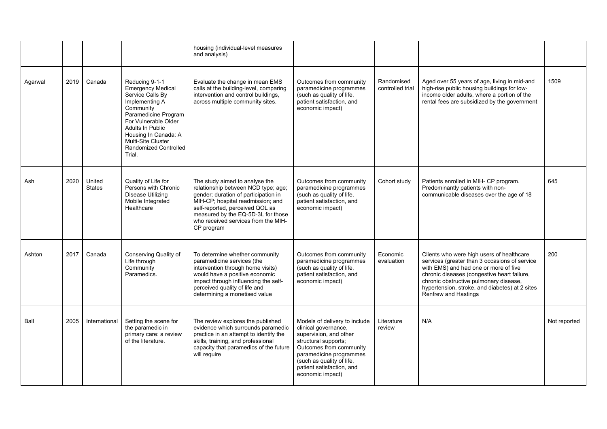|         |      |                         |                                                                                                                                                                                                                                                    | housing (individual-level measures<br>and analysis)                                                                                                                                                                                                                              |                                                                                                                                                                                                                                             |                                |                                                                                                                                                                                                                                                                                                        |              |
|---------|------|-------------------------|----------------------------------------------------------------------------------------------------------------------------------------------------------------------------------------------------------------------------------------------------|----------------------------------------------------------------------------------------------------------------------------------------------------------------------------------------------------------------------------------------------------------------------------------|---------------------------------------------------------------------------------------------------------------------------------------------------------------------------------------------------------------------------------------------|--------------------------------|--------------------------------------------------------------------------------------------------------------------------------------------------------------------------------------------------------------------------------------------------------------------------------------------------------|--------------|
| Agarwal | 2019 | Canada                  | Reducing 9-1-1<br>Emergency Medical<br>Service Calls By<br>Implementing A<br>Community<br>Paramedicine Program<br>For Vulnerable Older<br>Adults In Public<br>Housing In Canada: A<br>Multi-Site Cluster<br><b>Randomized Controlled</b><br>Trial. | Evaluate the change in mean EMS<br>calls at the building-level, comparing<br>intervention and control buildings,<br>across multiple community sites.                                                                                                                             | Outcomes from community<br>paramedicine programmes<br>(such as quality of life,<br>patient satisfaction, and<br>economic impact)                                                                                                            | Randomised<br>controlled trial | Aged over 55 years of age, living in mid-and<br>high-rise public housing buildings for low-<br>income older adults, where a portion of the<br>rental fees are subsidized by the government                                                                                                             | 1509         |
| Ash     | 2020 | United<br><b>States</b> | Quality of Life for<br>Persons with Chronic<br>Disease Utilizing<br>Mobile Integrated<br>Healthcare                                                                                                                                                | The study aimed to analyse the<br>relationship between NCD type; age;<br>gender; duration of participation in<br>MIH-CP; hospital readmission; and<br>self-reported, perceived QOL as<br>measured by the EQ-5D-3L for those<br>who received services from the MIH-<br>CP program | Outcomes from community<br>paramedicine programmes<br>(such as quality of life,<br>patient satisfaction, and<br>economic impact)                                                                                                            | Cohort study                   | Patients enrolled in MIH- CP program.<br>Predominantly patients with non-<br>communicable diseases over the age of 18                                                                                                                                                                                  | 645          |
| Ashton  | 2017 | Canada                  | Conserving Quality of<br>Life through<br>Community<br>Paramedics.                                                                                                                                                                                  | To determine whether community<br>paramedicine services (the<br>intervention through home visits)<br>would have a positive economic<br>impact through influencing the self-<br>perceived quality of life and<br>determining a monetised value                                    | Outcomes from community<br>paramedicine programmes<br>(such as quality of life,<br>patient satisfaction, and<br>economic impact)                                                                                                            | Economic<br>evaluation         | Clients who were high users of healthcare<br>services (greater than 3 occasions of service<br>with EMS) and had one or more of five<br>chronic diseases (congestive heart failure,<br>chronic obstructive pulmonary disease,<br>hypertension, stroke, and diabetes) at 2 sites<br>Renfrew and Hastings | 200          |
| Ball    | 2005 | International           | Setting the scene for<br>the paramedic in<br>primary care: a review<br>of the literature.                                                                                                                                                          | The review explores the published<br>evidence which surrounds paramedic<br>practice in an attempt to identify the<br>skills, training, and professional<br>capacity that paramedics of the future<br>will require                                                                | Models of delivery to include<br>clinical governance,<br>supervision, and other<br>structural supports;<br>Outcomes from community<br>paramedicine programmes<br>(such as quality of life,<br>patient satisfaction, and<br>economic impact) | Literature<br>review           | N/A                                                                                                                                                                                                                                                                                                    | Not reported |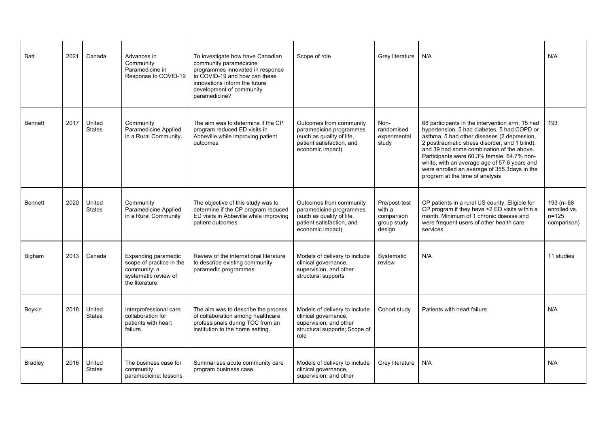| Batt           | 2021 | Canada                  | Advances in<br>Community<br>Paramedicine in<br>Response to COVID-19                                        | To investigate how have Canadian<br>community paramedicine<br>programmes innovated in response<br>to COVID-19 and how can these<br>innovations inform the future<br>development of community<br>paramedicine? | Scope of role                                                                                                                    | Grey literature                                                | N/A                                                                                                                                                                                                                                                                                                                                                                                                                           | N/A                                                   |
|----------------|------|-------------------------|------------------------------------------------------------------------------------------------------------|---------------------------------------------------------------------------------------------------------------------------------------------------------------------------------------------------------------|----------------------------------------------------------------------------------------------------------------------------------|----------------------------------------------------------------|-------------------------------------------------------------------------------------------------------------------------------------------------------------------------------------------------------------------------------------------------------------------------------------------------------------------------------------------------------------------------------------------------------------------------------|-------------------------------------------------------|
| <b>Bennett</b> | 2017 | United<br><b>States</b> | Community<br>Paramedicine Applied<br>in a Rural Community.                                                 | The aim was to determine if the CP<br>program reduced ED visits in<br>Abbeville while improving patient<br>outcomes                                                                                           | Outcomes from community<br>paramedicine programmes<br>(such as quality of life,<br>patient satisfaction, and<br>economic impact) | Non-<br>randomised<br>experimental<br>study                    | 68 participants in the intervention arm, 15 had<br>hypertension, 5 had diabetes, 5 had COPD or<br>asthma, 5 had other diseases (2 depression,<br>2 posttraumatic stress disorder, and 1 blind),<br>and 39 had some combination of the above.<br>Participants were 60.3% female, 64.7% non-<br>white, with an average age of 57.6 years and<br>were enrolled an average of 355.3days in the<br>program at the time of analysis | 193                                                   |
| <b>Bennett</b> | 2020 | United<br><b>States</b> | Community<br>Paramedicine Applied<br>in a Rural Community                                                  | The objective of this study was to<br>determine if the CP program reduced<br>ED visits in Abbeville while improving<br>patient outcomes                                                                       | Outcomes from community<br>paramedicine programmes<br>(such as quality of life,<br>patient satisfaction, and<br>economic impact) | Pre/post-test<br>with a<br>comparison<br>group study<br>design | CP patients in a rural US county. Eligible for<br>CP program if they have >2 ED visits within a<br>month. Minimum of 1 chronic disease and<br>were frequent users of other health care<br>services.                                                                                                                                                                                                                           | 193 (n=68<br>enrolled vs.<br>$n = 125$<br>comparison) |
| Bigham         | 2013 | Canada                  | Expanding paramedic<br>scope of practice in the<br>community: a<br>systematic review of<br>the literature. | Review of the international literature<br>to describe existing community<br>paramedic programmes                                                                                                              | Models of delivery to include<br>clinical governance,<br>supervision, and other<br>structural supports                           | Systematic<br>review                                           | N/A                                                                                                                                                                                                                                                                                                                                                                                                                           | 11 studies                                            |
| Boykin         | 2018 | United<br><b>States</b> | Interprofessional care<br>collaboration for<br>patients with heart<br>failure.                             | The aim was to describe the process<br>of collaboration among healthcare<br>professionals during TOC from an<br>institution to the home setting.                                                              | Models of delivery to include<br>clinical governance,<br>supervision, and other<br>structural supports; Scope of<br>role         | Cohort study                                                   | Patients with heart failure                                                                                                                                                                                                                                                                                                                                                                                                   | N/A                                                   |
| Bradley        | 2016 | United<br><b>States</b> | The business case for<br>community<br>paramedicine: lessons                                                | Summarises acute community care<br>program business case                                                                                                                                                      | Models of delivery to include<br>clinical governance,<br>supervision, and other                                                  | Grey literature                                                | N/A                                                                                                                                                                                                                                                                                                                                                                                                                           | N/A                                                   |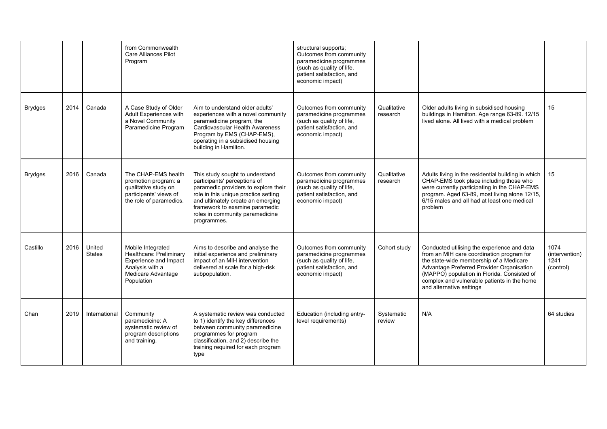|                |      |                         | from Commonwealth<br><b>Care Alliances Pilot</b><br>Program                                                                         |                                                                                                                                                                                                                                                                          | structural supports;<br>Outcomes from community<br>paramedicine programmes<br>(such as quality of life,<br>patient satisfaction, and<br>economic impact) |                         |                                                                                                                                                                                                                                                                                                            |                                             |
|----------------|------|-------------------------|-------------------------------------------------------------------------------------------------------------------------------------|--------------------------------------------------------------------------------------------------------------------------------------------------------------------------------------------------------------------------------------------------------------------------|----------------------------------------------------------------------------------------------------------------------------------------------------------|-------------------------|------------------------------------------------------------------------------------------------------------------------------------------------------------------------------------------------------------------------------------------------------------------------------------------------------------|---------------------------------------------|
| <b>Brydges</b> | 2014 | Canada                  | A Case Study of Older<br>Adult Experiences with<br>a Novel Community<br>Paramedicine Program                                        | Aim to understand older adults'<br>experiences with a novel community<br>paramedicine program, the<br>Cardiovascular Health Awareness<br>Program by EMS (CHAP-EMS),<br>operating in a subsidised housing<br>building in Hamilton.                                        | Outcomes from community<br>paramedicine programmes<br>(such as quality of life,<br>patient satisfaction, and<br>economic impact)                         | Qualitative<br>research | Older adults living in subsidised housing<br>buildings in Hamilton. Age range 63-89. 12/15<br>lived alone. All lived with a medical problem                                                                                                                                                                | 15                                          |
| <b>Brydges</b> | 2016 | Canada                  | The CHAP-EMS health<br>promotion program: a<br>qualitative study on<br>participants' views of<br>the role of paramedics.            | This study sought to understand<br>participants' perceptions of<br>paramedic providers to explore their<br>role in this unique practice setting<br>and ultimately create an emerging<br>framework to examine paramedic<br>roles in community paramedicine<br>programmes. | Outcomes from community<br>paramedicine programmes<br>(such as quality of life,<br>patient satisfaction, and<br>economic impact)                         | Qualitative<br>research | Adults living in the residential building in which<br>CHAP-EMS took place including those who<br>were currently participating in the CHAP-EMS<br>program. Aged 63-89, most living alone 12/15,<br>6/15 males and all had at least one medical<br>problem                                                   | 15                                          |
| Castillo       | 2016 | United<br><b>States</b> | Mobile Integrated<br>Healthcare: Preliminary<br><b>Experience and Impact</b><br>Analysis with a<br>Medicare Advantage<br>Population | Aims to describe and analyse the<br>initial experience and preliminary<br>impact of an MIH intervention<br>delivered at scale for a high-risk<br>subpopulation.                                                                                                          | Outcomes from community<br>paramedicine programmes<br>(such as quality of life,<br>patient satisfaction, and<br>economic impact)                         | Cohort study            | Conducted utilising the experience and data<br>from an MIH care coordination program for<br>the state-wide membership of a Medicare<br>Advantage Preferred Provider Organisation<br>(MAPPO) population in Florida. Consisted of<br>complex and vulnerable patients in the home<br>and alternative settings | 1074<br>(intervention)<br>1241<br>(control) |
| Chan           | 2019 | International           | Community<br>paramedicine: A<br>systematic review of<br>program descriptions<br>and training.                                       | A systematic review was conducted<br>to 1) identify the key differences<br>between community paramedicine<br>programmes for program<br>classification, and 2) describe the<br>training required for each program<br>type                                                 | Education (including entry-<br>level requirements)                                                                                                       | Systematic<br>review    | N/A                                                                                                                                                                                                                                                                                                        | 64 studies                                  |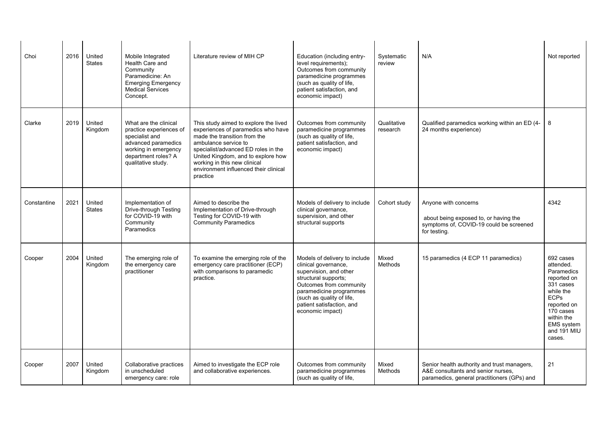| Choi        | 2016 | United<br><b>States</b> | Mobile Integrated<br>Health Care and<br>Community<br>Paramedicine: An<br><b>Emerging Emergency</b><br><b>Medical Services</b><br>Concept.                      | Literature review of MIH CP                                                                                                                                                                                                                                                                           | Education (including entry-<br>level requirements);<br>Outcomes from community<br>paramedicine programmes<br>(such as quality of life,<br>patient satisfaction, and<br>economic impact)                                                     | Systematic<br>review    | N/A                                                                                                                              | Not reported                                                                                                                                                                         |
|-------------|------|-------------------------|----------------------------------------------------------------------------------------------------------------------------------------------------------------|-------------------------------------------------------------------------------------------------------------------------------------------------------------------------------------------------------------------------------------------------------------------------------------------------------|---------------------------------------------------------------------------------------------------------------------------------------------------------------------------------------------------------------------------------------------|-------------------------|----------------------------------------------------------------------------------------------------------------------------------|--------------------------------------------------------------------------------------------------------------------------------------------------------------------------------------|
| Clarke      | 2019 | United<br>Kingdom       | What are the clinical<br>practice experiences of<br>specialist and<br>advanced paramedics<br>working in emergency<br>department roles? A<br>qualitative study. | This study aimed to explore the lived<br>experiences of paramedics who have<br>made the transition from the<br>ambulance service to<br>specialist/advanced ED roles in the<br>United Kingdom, and to explore how<br>working in this new clinical<br>environment influenced their clinical<br>practice | Outcomes from community<br>paramedicine programmes<br>(such as quality of life,<br>patient satisfaction, and<br>economic impact)                                                                                                            | Qualitative<br>research | Qualified paramedics working within an ED (4-<br>24 months experience)                                                           | 8                                                                                                                                                                                    |
| Constantine | 2021 | United<br><b>States</b> | Implementation of<br>Drive-through Testing<br>for COVID-19 with<br>Community<br>Paramedics                                                                     | Aimed to describe the<br>Implementation of Drive-through<br>Testing for COVID-19 with<br><b>Community Paramedics</b>                                                                                                                                                                                  | Models of delivery to include<br>clinical governance,<br>supervision, and other<br>structural supports                                                                                                                                      | Cohort study            | Anyone with concerns<br>about being exposed to, or having the<br>symptoms of, COVID-19 could be screened<br>for testing.         | 4342                                                                                                                                                                                 |
| Cooper      | 2004 | United<br>Kingdom       | The emerging role of<br>the emergency care<br>practitioner                                                                                                     | To examine the emerging role of the<br>emergency care practitioner (ECP)<br>with comparisons to paramedic<br>practice.                                                                                                                                                                                | Models of delivery to include<br>clinical governance,<br>supervision, and other<br>structural supports;<br>Outcomes from community<br>paramedicine programmes<br>(such as quality of life,<br>patient satisfaction, and<br>economic impact) | Mixed<br>Methods        | 15 paramedics (4 ECP 11 paramedics)                                                                                              | 692 cases<br>attended.<br>Paramedics<br>reported on<br>331 cases<br>while the<br><b>ECPs</b><br>reported on<br>170 cases<br>within the<br><b>EMS</b> system<br>and 191 MIU<br>cases. |
| Cooper      | 2007 | United<br>Kingdom       | Collaborative practices<br>in unscheduled<br>emergency care: role                                                                                              | Aimed to investigate the ECP role<br>and collaborative experiences.                                                                                                                                                                                                                                   | Outcomes from community<br>paramedicine programmes<br>(such as quality of life,                                                                                                                                                             | Mixed<br>Methods        | Senior health authority and trust managers,<br>A&E consultants and senior nurses,<br>paramedics, general practitioners (GPs) and | 21                                                                                                                                                                                   |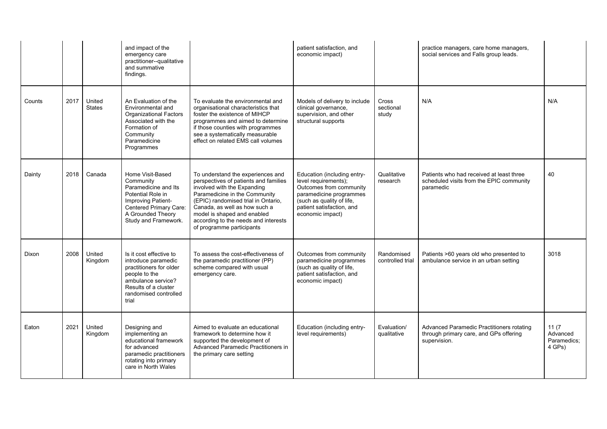|        |      |                         | and impact of the<br>emergency care<br>practitioner--qualitative<br>and summative<br>findings.                                                                             |                                                                                                                                                                                                                                                                                                                        | patient satisfaction, and<br>economic impact)                                                                                                                                           |                                | practice managers, care home managers,<br>social services and Falls group leads.                    |                                            |
|--------|------|-------------------------|----------------------------------------------------------------------------------------------------------------------------------------------------------------------------|------------------------------------------------------------------------------------------------------------------------------------------------------------------------------------------------------------------------------------------------------------------------------------------------------------------------|-----------------------------------------------------------------------------------------------------------------------------------------------------------------------------------------|--------------------------------|-----------------------------------------------------------------------------------------------------|--------------------------------------------|
| Counts | 2017 | United<br><b>States</b> | An Evaluation of the<br>Environmental and<br><b>Organizational Factors</b><br>Associated with the<br>Formation of<br>Community<br>Paramedicine<br>Programmes               | To evaluate the environmental and<br>organisational characteristics that<br>foster the existence of MIHCP<br>programmes and aimed to determine<br>if those counties with programmes<br>see a systematically measurable<br>effect on related EMS call volumes                                                           | Models of delivery to include<br>clinical governance,<br>supervision, and other<br>structural supports                                                                                  | Cross<br>sectional<br>study    | N/A                                                                                                 | N/A                                        |
| Dainty | 2018 | Canada                  | Home Visit-Based<br>Community<br>Paramedicine and Its<br>Potential Role in<br>Improving Patient-<br>Centered Primary Care:<br>A Grounded Theory<br>Study and Framework.    | To understand the experiences and<br>perspectives of patients and families<br>involved with the Expanding<br>Paramedicine in the Community<br>(EPIC) randomised trial in Ontario,<br>Canada, as well as how such a<br>model is shaped and enabled<br>according to the needs and interests<br>of programme participants | Education (including entry-<br>level requirements);<br>Outcomes from community<br>paramedicine programmes<br>(such as quality of life,<br>patient satisfaction, and<br>economic impact) | Qualitative<br>research        | Patients who had received at least three<br>scheduled visits from the EPIC community<br>paramedic   | 40                                         |
| Dixon  | 2008 | United<br>Kingdom       | Is it cost effective to<br>introduce paramedic<br>practitioners for older<br>people to the<br>ambulance service?<br>Results of a cluster<br>randomised controlled<br>trial | To assess the cost-effectiveness of<br>the paramedic practitioner (PP)<br>scheme compared with usual<br>emergency care.                                                                                                                                                                                                | Outcomes from community<br>paramedicine programmes<br>(such as quality of life,<br>patient satisfaction, and<br>economic impact)                                                        | Randomised<br>controlled trial | Patients >60 years old who presented to<br>ambulance service in an urban setting                    | 3018                                       |
| Eaton  | 2021 | United<br>Kingdom       | Designing and<br>implementing an<br>educational framework<br>for advanced<br>paramedic practitioners<br>rotating into primary<br>care in North Wales                       | Aimed to evaluate an educational<br>framework to determine how it<br>supported the development of<br>Advanced Paramedic Practitioners in<br>the primary care setting                                                                                                                                                   | Education (including entry-<br>level requirements)                                                                                                                                      | Evaluation/<br>qualitative     | Advanced Paramedic Practitioners rotating<br>through primary care, and GPs offering<br>supervision. | 11(7)<br>Advanced<br>Paramedics:<br>4 GPs) |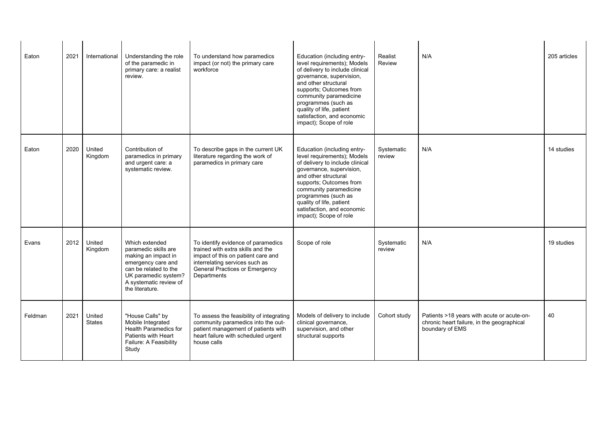| Eaton   | 2021 | International           | Understanding the role<br>of the paramedic in<br>primary care: a realist<br>review.                                                                                               | To understand how paramedics<br>impact (or not) the primary care<br>workforce                                                                                                                           | Education (including entry-<br>level requirements); Models<br>of delivery to include clinical<br>governance, supervision,<br>and other structural<br>supports; Outcomes from<br>community paramedicine<br>programmes (such as<br>quality of life, patient<br>satisfaction, and economic<br>impact); Scope of role | Realist<br>Review    | N/A                                                                                                         | 205 articles |
|---------|------|-------------------------|-----------------------------------------------------------------------------------------------------------------------------------------------------------------------------------|---------------------------------------------------------------------------------------------------------------------------------------------------------------------------------------------------------|-------------------------------------------------------------------------------------------------------------------------------------------------------------------------------------------------------------------------------------------------------------------------------------------------------------------|----------------------|-------------------------------------------------------------------------------------------------------------|--------------|
| Eaton   | 2020 | United<br>Kingdom       | Contribution of<br>paramedics in primary<br>and urgent care: a<br>systematic review.                                                                                              | To describe gaps in the current UK<br>literature regarding the work of<br>paramedics in primary care                                                                                                    | Education (including entry-<br>level requirements); Models<br>of delivery to include clinical<br>governance, supervision,<br>and other structural<br>supports; Outcomes from<br>community paramedicine<br>programmes (such as<br>quality of life, patient<br>satisfaction, and economic<br>impact); Scope of role | Systematic<br>review | N/A                                                                                                         | 14 studies   |
| Evans   | 2012 | United<br>Kingdom       | Which extended<br>paramedic skills are<br>making an impact in<br>emergency care and<br>can be related to the<br>UK paramedic system?<br>A systematic review of<br>the literature. | To identify evidence of paramedics<br>trained with extra skills and the<br>impact of this on patient care and<br>interrelating services such as<br><b>General Practices or Emergency</b><br>Departments | Scope of role                                                                                                                                                                                                                                                                                                     | Systematic<br>review | N/A                                                                                                         | 19 studies   |
| Feldman | 2021 | United<br><b>States</b> | "House Calls" by<br>Mobile Integrated<br>Health Paramedics for<br>Patients with Heart<br>Failure: A Feasibility<br>Study                                                          | To assess the feasibility of integrating<br>community paramedics into the out-<br>patient management of patients with<br>heart failure with scheduled urgent<br>house calls                             | Models of delivery to include<br>clinical governance,<br>supervision, and other<br>structural supports                                                                                                                                                                                                            | Cohort study         | Patients >18 years with acute or acute-on-<br>chronic heart failure, in the geographical<br>boundary of EMS | 40           |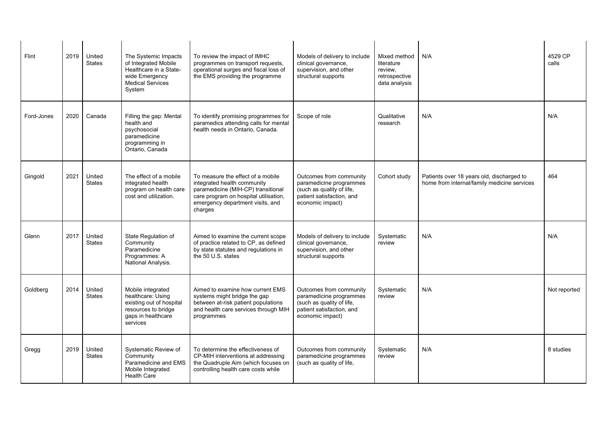| Flint      | 2019 | United<br><b>States</b> | The Systemic Impacts<br>of Integrated Mobile<br>Healthcare in a State-<br>wide Emergency<br><b>Medical Services</b><br>System | To review the impact of IMHC<br>programmes on transport requests,<br>operational surges and fiscal loss of<br>the EMS providing the programme                                                  | Models of delivery to include<br>clinical governance,<br>supervision, and other<br>structural supports                           | Mixed method<br>literature<br>review.<br>retrospective<br>data analysis | N/A                                                                                      | 4529 CP<br>calls |
|------------|------|-------------------------|-------------------------------------------------------------------------------------------------------------------------------|------------------------------------------------------------------------------------------------------------------------------------------------------------------------------------------------|----------------------------------------------------------------------------------------------------------------------------------|-------------------------------------------------------------------------|------------------------------------------------------------------------------------------|------------------|
| Ford-Jones | 2020 | Canada                  | Filling the gap: Mental<br>health and<br>psychosocial<br>paramedicine<br>programming in<br>Ontario, Canada                    | To identify promising programmes for<br>paramedics attending calls for mental<br>health needs in Ontario, Canada.                                                                              | Scope of role                                                                                                                    | Qualitative<br>research                                                 | N/A                                                                                      | N/A              |
| Gingold    | 2021 | United<br><b>States</b> | The effect of a mobile<br>integrated health<br>program on health care<br>cost and utilization.                                | To measure the effect of a mobile<br>integrated health community<br>paramedicine (MIH-CP) transitional<br>care program on hospital utilisation,<br>emergency department visits, and<br>charges | Outcomes from community<br>paramedicine programmes<br>(such as quality of life,<br>patient satisfaction, and<br>economic impact) | Cohort study                                                            | Patients over 18 years old, discharged to<br>home from internal/family medicine services | 464              |
| Glenn      | 2017 | United<br><b>States</b> | State Regulation of<br>Community<br>Paramedicine<br>Programmes: A<br>National Analysis.                                       | Aimed to examine the current scope<br>of practice related to CP, as defined<br>by state statutes and regulations in<br>the 50 U.S. states                                                      | Models of delivery to include<br>clinical governance,<br>supervision, and other<br>structural supports                           | Systematic<br>review                                                    | N/A                                                                                      | N/A              |
| Goldberg   | 2014 | United<br><b>States</b> | Mobile integrated<br>healthcare: Using<br>existing out of hospital<br>resources to bridge<br>gaps in healthcare<br>services   | Aimed to examine how current EMS<br>systems might bridge the gap<br>between at-risk patient populations<br>and health care services through MIH<br>programmes                                  | Outcomes from community<br>paramedicine programmes<br>(such as quality of life,<br>patient satisfaction, and<br>economic impact) | Systematic<br>review                                                    | N/A                                                                                      | Not reported     |
| Gregg      | 2019 | United<br><b>States</b> | Systematic Review of<br>Community<br>Paramedicine and EMS<br>Mobile Integrated<br><b>Health Care</b>                          | To determine the effectiveness of<br>CP-MIH interventions at addressing<br>the Quadruple Aim (which focuses on<br>controlling health care costs while                                          | Outcomes from community<br>paramedicine programmes<br>(such as quality of life,                                                  | Systematic<br>review                                                    | N/A                                                                                      | 8 studies        |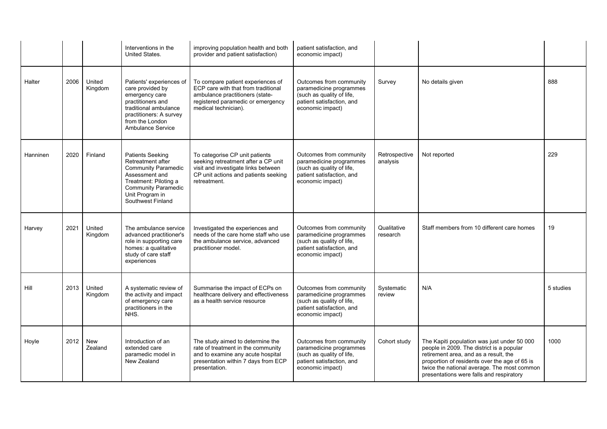|          |      |                   | Interventions in the<br>United States.                                                                                                                                                      | improving population health and both<br>provider and patient satisfaction)                                                                                               | patient satisfaction, and<br>economic impact)                                                                                    |                           |                                                                                                                                                                                                                                                                               |           |
|----------|------|-------------------|---------------------------------------------------------------------------------------------------------------------------------------------------------------------------------------------|--------------------------------------------------------------------------------------------------------------------------------------------------------------------------|----------------------------------------------------------------------------------------------------------------------------------|---------------------------|-------------------------------------------------------------------------------------------------------------------------------------------------------------------------------------------------------------------------------------------------------------------------------|-----------|
| Halter   | 2006 | United<br>Kingdom | Patients' experiences of<br>care provided by<br>emergency care<br>practitioners and<br>traditional ambulance<br>practitioners: A survey<br>from the London<br><b>Ambulance Service</b>      | To compare patient experiences of<br>ECP care with that from traditional<br>ambulance practitioners (state-<br>registered paramedic or emergency<br>medical technician). | Outcomes from community<br>paramedicine programmes<br>(such as quality of life,<br>patient satisfaction, and<br>economic impact) | Survey                    | No details given                                                                                                                                                                                                                                                              | 888       |
| Hanninen | 2020 | Finland           | <b>Patients Seeking</b><br>Retreatment after<br><b>Community Paramedic</b><br>Assessment and<br>Treatment: Piloting a<br><b>Community Paramedic</b><br>Unit Program in<br>Southwest Finland | To categorise CP unit patients<br>seeking retreatment after a CP unit<br>visit and investigate links between<br>CP unit actions and patients seeking<br>retreatment.     | Outcomes from community<br>paramedicine programmes<br>(such as quality of life,<br>patient satisfaction, and<br>economic impact) | Retrospective<br>analysis | Not reported                                                                                                                                                                                                                                                                  | 229       |
| Harvey   | 2021 | United<br>Kingdom | The ambulance service<br>advanced practitioner's<br>role in supporting care<br>homes: a qualitative<br>study of care staff<br>experiences                                                   | Investigated the experiences and<br>needs of the care home staff who use<br>the ambulance service, advanced<br>practitioner model.                                       | Outcomes from community<br>paramedicine programmes<br>(such as quality of life,<br>patient satisfaction, and<br>economic impact) | Qualitative<br>research   | Staff members from 10 different care homes                                                                                                                                                                                                                                    | 19        |
| Hill     | 2013 | United<br>Kingdom | A systematic review of<br>the activity and impact<br>of emergency care<br>practitioners in the<br>NHS.                                                                                      | Summarise the impact of ECPs on<br>healthcare delivery and effectiveness<br>as a health service resource                                                                 | Outcomes from community<br>paramedicine programmes<br>(such as quality of life,<br>patient satisfaction, and<br>economic impact) | Systematic<br>review      | N/A                                                                                                                                                                                                                                                                           | 5 studies |
| Hoyle    | 2012 | New<br>Zealand    | Introduction of an<br>extended care<br>paramedic model in<br>New Zealand                                                                                                                    | The study aimed to determine the<br>rate of treatment in the community<br>and to examine any acute hospital<br>presentation within 7 days from ECP<br>presentation.      | Outcomes from community<br>paramedicine programmes<br>(such as quality of life,<br>patient satisfaction, and<br>economic impact) | Cohort study              | The Kapiti population was just under 50 000<br>people in 2009. The district is a popular<br>retirement area, and as a result, the<br>proportion of residents over the age of 65 is<br>twice the national average. The most common<br>presentations were falls and respiratory | 1000      |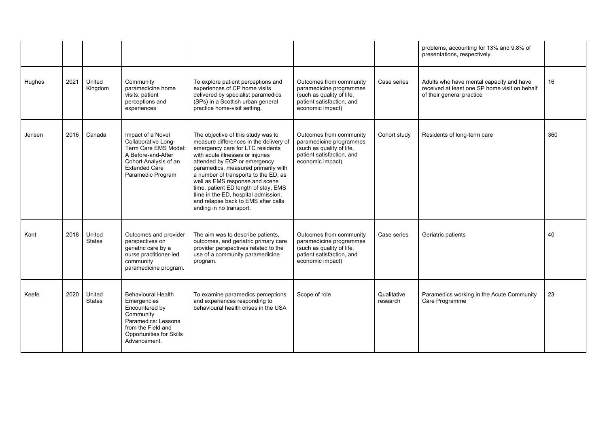|        |      |                         |                                                                                                                                                                  |                                                                                                                                                                                                                                                                                                                                                                                                                                                        |                                                                                                                                  |                         | problems, accounting for 13% and 9.8% of<br>presentations, respectively.                                               |     |
|--------|------|-------------------------|------------------------------------------------------------------------------------------------------------------------------------------------------------------|--------------------------------------------------------------------------------------------------------------------------------------------------------------------------------------------------------------------------------------------------------------------------------------------------------------------------------------------------------------------------------------------------------------------------------------------------------|----------------------------------------------------------------------------------------------------------------------------------|-------------------------|------------------------------------------------------------------------------------------------------------------------|-----|
| Hughes | 2021 | United<br>Kingdom       | Community<br>paramedicine home<br>visits: patient<br>perceptions and<br>experiences                                                                              | To explore patient perceptions and<br>experiences of CP home visits<br>delivered by specialist paramedics<br>(SPs) in a Scottish urban general<br>practice home-visit setting.                                                                                                                                                                                                                                                                         | Outcomes from community<br>paramedicine programmes<br>(such as quality of life,<br>patient satisfaction, and<br>economic impact) | Case series             | Adults who have mental capacity and have<br>received at least one SP home visit on behalf<br>of their general practice | 16  |
| Jensen | 2016 | Canada                  | Impact of a Novel<br>Collaborative Long-<br>Term Care EMS Model:<br>A Before-and-After<br>Cohort Analysis of an<br><b>Extended Care</b><br>Paramedic Program     | The objective of this study was to<br>measure differences in the delivery of<br>emergency care for LTC residents<br>with acute illnesses or iniuries<br>attended by ECP or emergency<br>paramedics, measured primarily with<br>a number of transports to the ED, as<br>well as EMS response and scene<br>time, patient ED length of stay, EMS<br>time in the ED, hospital admission,<br>and relapse back to EMS after calls<br>ending in no transport. | Outcomes from community<br>paramedicine programmes<br>(such as quality of life,<br>patient satisfaction, and<br>economic impact) | Cohort study            | Residents of long-term care                                                                                            | 360 |
| Kant   | 2018 | United<br><b>States</b> | Outcomes and provider<br>perspectives on<br>geriatric care by a<br>nurse practitioner-led<br>community<br>paramedicine program.                                  | The aim was to describe patients,<br>outcomes, and geriatric primary care<br>provider perspectives related to the<br>use of a community paramedicine<br>program.                                                                                                                                                                                                                                                                                       | Outcomes from community<br>paramedicine programmes<br>(such as quality of life,<br>patient satisfaction, and<br>economic impact) | Case series             | Geriatric patients                                                                                                     | 40  |
| Keefe  | 2020 | United<br><b>States</b> | <b>Behavioural Health</b><br>Emergencies<br>Encountered by<br>Community<br>Paramedics: Lessons<br>from the Field and<br>Opportunities for Skills<br>Advancement. | To examine paramedics perceptions<br>and experiences responding to<br>behavioural health crises in the USA                                                                                                                                                                                                                                                                                                                                             | Scope of role                                                                                                                    | Qualitative<br>research | Paramedics working in the Acute Community<br>Care Programme                                                            | 23  |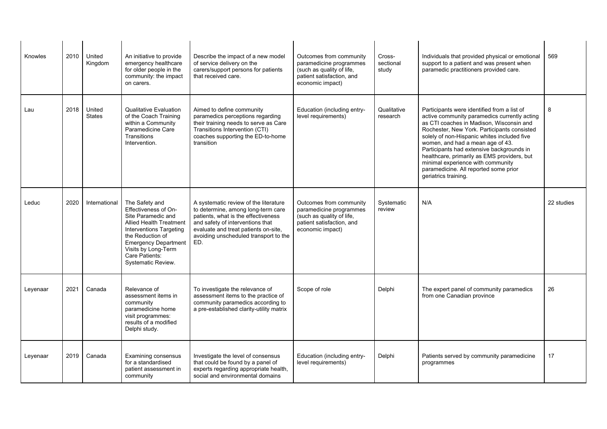| Knowles  | 2010 | United<br>Kingdom       | An initiative to provide<br>emergency healthcare<br>for older people in the<br>community: the impact<br>on carers.                                                                                                                          | Describe the impact of a new model<br>of service delivery on the<br>carers/support persons for patients<br>that received care.                                                                                                                 | Outcomes from community<br>paramedicine programmes<br>(such as quality of life,<br>patient satisfaction, and<br>economic impact) | Cross-<br>sectional<br>study | Individuals that provided physical or emotional<br>support to a patient and was present when<br>paramedic practitioners provided care.                                                                                                                                                                                                                                                                                                                                      | 569        |
|----------|------|-------------------------|---------------------------------------------------------------------------------------------------------------------------------------------------------------------------------------------------------------------------------------------|------------------------------------------------------------------------------------------------------------------------------------------------------------------------------------------------------------------------------------------------|----------------------------------------------------------------------------------------------------------------------------------|------------------------------|-----------------------------------------------------------------------------------------------------------------------------------------------------------------------------------------------------------------------------------------------------------------------------------------------------------------------------------------------------------------------------------------------------------------------------------------------------------------------------|------------|
| Lau      | 2018 | United<br><b>States</b> | <b>Qualitative Evaluation</b><br>of the Coach Training<br>within a Community<br>Paramedicine Care<br>Transitions<br>Intervention.                                                                                                           | Aimed to define community<br>paramedics perceptions regarding<br>their training needs to serve as Care<br>Transitions Intervention (CTI)<br>coaches supporting the ED-to-home<br>transition                                                    | Education (including entry-<br>level requirements)                                                                               | Qualitative<br>research      | Participants were identified from a list of<br>active community paramedics currently acting<br>as CTI coaches in Madison. Wisconsin and<br>Rochester, New York. Participants consisted<br>solely of non-Hispanic whites included five<br>women, and had a mean age of 43.<br>Participants had extensive backgrounds in<br>healthcare, primarily as EMS providers, but<br>minimal experience with community<br>paramedicine. All reported some prior<br>geriatrics training. | 8          |
| Leduc    | 2020 | International           | The Safety and<br>Effectiveness of On-<br>Site Paramedic and<br><b>Allied Health Treatment</b><br>Interventions Targeting<br>the Reduction of<br><b>Emergency Department</b><br>Visits by Long-Term<br>Care Patients:<br>Systematic Review. | A systematic review of the literature<br>to determine, among long-term care<br>patients, what is the effectiveness<br>and safety of interventions that<br>evaluate and treat patients on-site.<br>avoiding unscheduled transport to the<br>ED. | Outcomes from community<br>paramedicine programmes<br>(such as quality of life,<br>patient satisfaction, and<br>economic impact) | Systematic<br>review         | N/A                                                                                                                                                                                                                                                                                                                                                                                                                                                                         | 22 studies |
| Leyenaar | 2021 | Canada                  | Relevance of<br>assessment items in<br>community<br>paramedicine home<br>visit programmes:<br>results of a modified<br>Delphi study.                                                                                                        | To investigate the relevance of<br>assessment items to the practice of<br>community paramedics according to<br>a pre-established clarity-utility matrix                                                                                        | Scope of role                                                                                                                    | Delphi                       | The expert panel of community paramedics<br>from one Canadian province                                                                                                                                                                                                                                                                                                                                                                                                      | 26         |
| Leyenaar | 2019 | Canada                  | Examining consensus<br>for a standardised<br>patient assessment in<br>community                                                                                                                                                             | Investigate the level of consensus<br>that could be found by a panel of<br>experts regarding appropriate health,<br>social and environmental domains                                                                                           | Education (including entry-<br>level requirements)                                                                               | Delphi                       | Patients served by community paramedicine<br>programmes                                                                                                                                                                                                                                                                                                                                                                                                                     | 17         |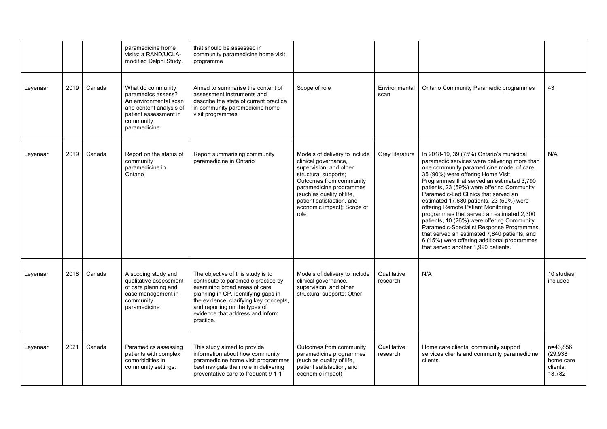|          |      |        | paramedicine home<br>visits: a RAND/UCLA-<br>modified Delphi Study.                                                                                | that should be assessed in<br>community paramedicine home visit<br>programme                                                                                                                                                                                                 |                                                                                                                                                                                                                                                               |                         |                                                                                                                                                                                                                                                                                                                                                                                                                                                                                                                                                                                                                                                                              |                                                          |
|----------|------|--------|----------------------------------------------------------------------------------------------------------------------------------------------------|------------------------------------------------------------------------------------------------------------------------------------------------------------------------------------------------------------------------------------------------------------------------------|---------------------------------------------------------------------------------------------------------------------------------------------------------------------------------------------------------------------------------------------------------------|-------------------------|------------------------------------------------------------------------------------------------------------------------------------------------------------------------------------------------------------------------------------------------------------------------------------------------------------------------------------------------------------------------------------------------------------------------------------------------------------------------------------------------------------------------------------------------------------------------------------------------------------------------------------------------------------------------------|----------------------------------------------------------|
| Leyenaar | 2019 | Canada | What do community<br>paramedics assess?<br>An environmental scan<br>and content analysis of<br>patient assessment in<br>community<br>paramedicine. | Aimed to summarise the content of<br>assessment instruments and<br>describe the state of current practice<br>in community paramedicine home<br>visit programmes                                                                                                              | Scope of role                                                                                                                                                                                                                                                 | Environmental<br>scan   | <b>Ontario Community Paramedic programmes</b>                                                                                                                                                                                                                                                                                                                                                                                                                                                                                                                                                                                                                                | 43                                                       |
| Leyenaar | 2019 | Canada | Report on the status of<br>community<br>paramedicine in<br>Ontario                                                                                 | Report summarising community<br>paramedicine in Ontario                                                                                                                                                                                                                      | Models of delivery to include<br>clinical governance,<br>supervision, and other<br>structural supports;<br>Outcomes from community<br>paramedicine programmes<br>(such as quality of life,<br>patient satisfaction, and<br>economic impact); Scope of<br>role | Grey literature         | In 2018-19, 39 (75%) Ontario's municipal<br>paramedic services were delivering more than<br>one community paramedicine model of care.<br>35 (90%) were offering Home Visit<br>Programmes that served an estimated 3,790<br>patients, 23 (59%) were offering Community<br>Paramedic-Led Clinics that served an<br>estimated 17,680 patients, 23 (59%) were<br>offering Remote Patient Monitoring<br>programmes that served an estimated 2,300<br>patients, 10 (26%) were offering Community<br>Paramedic-Specialist Response Programmes<br>that served an estimated 7,840 patients, and<br>6 (15%) were offering additional programmes<br>that served another 1,990 patients. | N/A                                                      |
| Leyenaar | 2018 | Canada | A scoping study and<br>qualitative assessment<br>of care planning and<br>case management in<br>community<br>paramedicine                           | The objective of this study is to<br>contribute to paramedic practice by<br>examining broad areas of care<br>planning in CP, identifying gaps in<br>the evidence, clarifying key concepts,<br>and reporting on the types of<br>evidence that address and inform<br>practice. | Models of delivery to include<br>clinical governance,<br>supervision, and other<br>structural supports; Other                                                                                                                                                 | Qualitative<br>research | N/A                                                                                                                                                                                                                                                                                                                                                                                                                                                                                                                                                                                                                                                                          | 10 studies<br>included                                   |
| Leyenaar | 2021 | Canada | Paramedics assessing<br>patients with complex<br>comorbidities in<br>community settings:                                                           | This study aimed to provide<br>information about how community<br>paramedicine home visit programmes<br>best navigate their role in delivering<br>preventative care to frequent 9-1-1                                                                                        | Outcomes from community<br>paramedicine programmes<br>(such as quality of life,<br>patient satisfaction, and<br>economic impact)                                                                                                                              | Qualitative<br>research | Home care clients, community support<br>services clients and community paramedicine<br>clients.                                                                                                                                                                                                                                                                                                                                                                                                                                                                                                                                                                              | n=43.856<br>(29, 938)<br>home care<br>clients.<br>13,782 |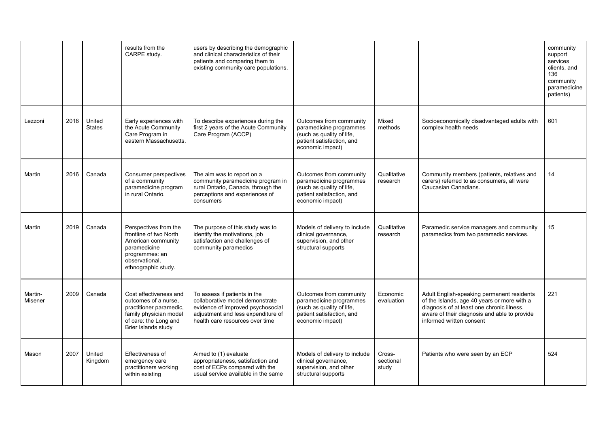|                    |      |                         | results from the<br>CARPE study.                                                                                                                    | users by describing the demographic<br>and clinical characteristics of their<br>patients and comparing them to<br>existing community care populations.                        |                                                                                                                                  |                              |                                                                                                                                                                                                                     | community<br>support<br>services<br>clients, and<br>136<br>community<br>paramedicine<br>patients) |
|--------------------|------|-------------------------|-----------------------------------------------------------------------------------------------------------------------------------------------------|-------------------------------------------------------------------------------------------------------------------------------------------------------------------------------|----------------------------------------------------------------------------------------------------------------------------------|------------------------------|---------------------------------------------------------------------------------------------------------------------------------------------------------------------------------------------------------------------|---------------------------------------------------------------------------------------------------|
| Lezzoni            | 2018 | United<br><b>States</b> | Early experiences with<br>the Acute Community<br>Care Program in<br>eastern Massachusetts.                                                          | To describe experiences during the<br>first 2 years of the Acute Community<br>Care Program (ACCP)                                                                             | Outcomes from community<br>paramedicine programmes<br>(such as quality of life,<br>patient satisfaction, and<br>economic impact) | Mixed<br>methods             | Socioeconomically disadvantaged adults with<br>complex health needs                                                                                                                                                 | 601                                                                                               |
| Martin             | 2016 | Canada                  | Consumer perspectives<br>of a community<br>paramedicine program<br>in rural Ontario.                                                                | The aim was to report on a<br>community paramedicine program in<br>rural Ontario, Canada, through the<br>perceptions and experiences of<br>consumers                          | Outcomes from community<br>paramedicine programmes<br>(such as quality of life,<br>patient satisfaction, and<br>economic impact) | Qualitative<br>research      | Community members (patients, relatives and<br>carers) referred to as consumers, all were<br>Caucasian Canadians.                                                                                                    | 14                                                                                                |
| Martin             | 2019 | Canada                  | Perspectives from the<br>frontline of two North<br>American community<br>paramedicine<br>programmes: an<br>observational,<br>ethnographic study.    | The purpose of this study was to<br>identify the motivations, job<br>satisfaction and challenges of<br>community paramedics                                                   | Models of delivery to include<br>clinical governance,<br>supervision, and other<br>structural supports                           | Qualitative<br>research      | Paramedic service managers and community<br>paramedics from two paramedic services.                                                                                                                                 | 15                                                                                                |
| Martin-<br>Misener | 2009 | Canada                  | Cost effectiveness and<br>outcomes of a nurse,<br>practitioner paramedic,<br>family physician model<br>of care: the Long and<br>Brier Islands study | To assess if patients in the<br>collaborative model demonstrate<br>evidence of improved psychosocial<br>adjustment and less expenditure of<br>health care resources over time | Outcomes from community<br>paramedicine programmes<br>(such as quality of life,<br>patient satisfaction, and<br>economic impact) | Economic<br>evaluation       | Adult English-speaking permanent residents<br>of the Islands, age 40 years or more with a<br>diagnosis of at least one chronic illness,<br>aware of their diagnosis and able to provide<br>informed written consent | 221                                                                                               |
| Mason              | 2007 | United<br>Kingdom       | Effectiveness of<br>emergency care<br>practitioners working<br>within existing                                                                      | Aimed to (1) evaluate<br>appropriateness, satisfaction and<br>cost of ECPs compared with the<br>usual service available in the same                                           | Models of delivery to include<br>clinical governance,<br>supervision, and other<br>structural supports                           | Cross-<br>sectional<br>study | Patients who were seen by an ECP                                                                                                                                                                                    | 524                                                                                               |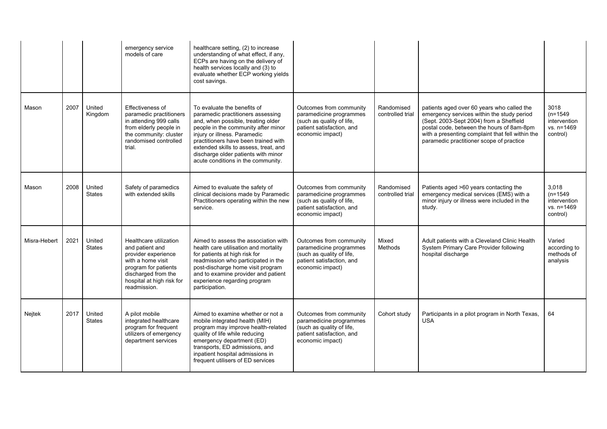|              |      |                         | emergency service<br>models of care                                                                                                                                               | healthcare setting, (2) to increase<br>understanding of what effect, if any,<br>ECPs are having on the delivery of<br>health services locally and (3) to<br>evaluate whether ECP working yields<br>cost savings.                                                                                                                            |                                                                                                                                  |                                |                                                                                                                                                                                                                                                                                  |                                                               |
|--------------|------|-------------------------|-----------------------------------------------------------------------------------------------------------------------------------------------------------------------------------|---------------------------------------------------------------------------------------------------------------------------------------------------------------------------------------------------------------------------------------------------------------------------------------------------------------------------------------------|----------------------------------------------------------------------------------------------------------------------------------|--------------------------------|----------------------------------------------------------------------------------------------------------------------------------------------------------------------------------------------------------------------------------------------------------------------------------|---------------------------------------------------------------|
| Mason        | 2007 | United<br>Kingdom       | Effectiveness of<br>paramedic practitioners<br>in attending 999 calls<br>from elderly people in<br>the community: cluster<br>randomised controlled<br>trial.                      | To evaluate the benefits of<br>paramedic practitioners assessing<br>and, when possible, treating older<br>people in the community after minor<br>injury or illness. Paramedic<br>practitioners have been trained with<br>extended skills to assess, treat, and<br>discharge older patients with minor<br>acute conditions in the community. | Outcomes from community<br>paramedicine programmes<br>(such as quality of life,<br>patient satisfaction, and<br>economic impact) | Randomised<br>controlled trial | patients aged over 60 years who called the<br>emergency services within the study period<br>(Sept. 2003-Sept 2004) from a Sheffield<br>postal code, between the hours of 8am-8pm<br>with a presenting complaint that fell within the<br>paramedic practitioner scope of practice | 3018<br>$(n=1549)$<br>intervention<br>vs. n=1469<br>control)  |
| Mason        | 2008 | United<br><b>States</b> | Safety of paramedics<br>with extended skills                                                                                                                                      | Aimed to evaluate the safety of<br>clinical decisions made by Paramedic<br>Practitioners operating within the new<br>service.                                                                                                                                                                                                               | Outcomes from community<br>paramedicine programmes<br>(such as quality of life,<br>patient satisfaction, and<br>economic impact) | Randomised<br>controlled trial | Patients aged >60 years contacting the<br>emergency medical services (EMS) with a<br>minor injury or illness were included in the<br>study.                                                                                                                                      | 3,018<br>$(n=1549)$<br>intervention<br>vs. n=1469<br>control) |
| Misra-Hebert | 2021 | United<br><b>States</b> | Healthcare utilization<br>and patient and<br>provider experience<br>with a home visit<br>program for patients<br>discharged from the<br>hospital at high risk for<br>readmission. | Aimed to assess the association with<br>health care utilisation and mortality<br>for patients at high risk for<br>readmission who participated in the<br>post-discharge home visit program<br>and to examine provider and patient<br>experience regarding program<br>participation.                                                         | Outcomes from community<br>paramedicine programmes<br>(such as quality of life,<br>patient satisfaction, and<br>economic impact) | Mixed<br>Methods               | Adult patients with a Cleveland Clinic Health<br>System Primary Care Provider following<br>hospital discharge                                                                                                                                                                    | Varied<br>according to<br>methods of<br>analysis              |
| Nejtek       | 2017 | United<br><b>States</b> | A pilot mobile<br>integrated healthcare<br>program for frequent<br>utilizers of emergency<br>department services                                                                  | Aimed to examine whether or not a<br>mobile integrated health (MIH)<br>program may improve health-related<br>quality of life while reducing<br>emergency department (ED)<br>transports, ED admissions, and<br>inpatient hospital admissions in<br>frequent utilisers of ED services                                                         | Outcomes from community<br>paramedicine programmes<br>(such as quality of life,<br>patient satisfaction, and<br>economic impact) | Cohort study                   | Participants in a pilot program in North Texas,<br><b>USA</b>                                                                                                                                                                                                                    | 64                                                            |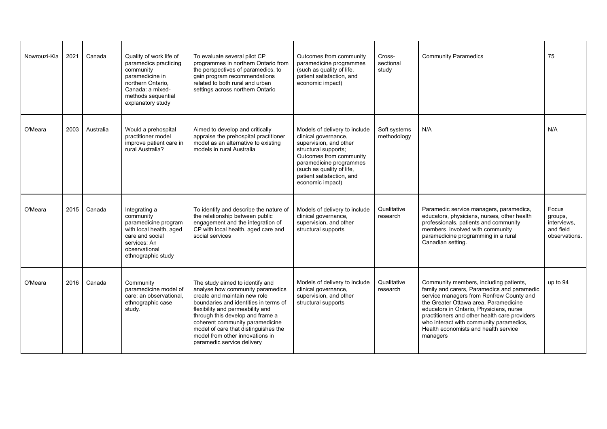| Nowrouzi-Kia | 2021 | Canada    | Quality of work life of<br>paramedics practicing<br>community<br>paramedicine in<br>northern Ontario,<br>Canada: a mixed-<br>methods sequential<br>explanatory study | To evaluate several pilot CP<br>programmes in northern Ontario from<br>the perspectives of paramedics, to<br>gain program recommendations<br>related to both rural and urban<br>settings across northern Ontario                                                                                                                                                 | Outcomes from community<br>paramedicine programmes<br>(such as quality of life,<br>patient satisfaction, and<br>economic impact)                                                                                                            | Cross-<br>sectional<br>study | <b>Community Paramedics</b>                                                                                                                                                                                                                                                                                                                                           | 75                                                            |
|--------------|------|-----------|----------------------------------------------------------------------------------------------------------------------------------------------------------------------|------------------------------------------------------------------------------------------------------------------------------------------------------------------------------------------------------------------------------------------------------------------------------------------------------------------------------------------------------------------|---------------------------------------------------------------------------------------------------------------------------------------------------------------------------------------------------------------------------------------------|------------------------------|-----------------------------------------------------------------------------------------------------------------------------------------------------------------------------------------------------------------------------------------------------------------------------------------------------------------------------------------------------------------------|---------------------------------------------------------------|
| O'Meara      | 2003 | Australia | Would a prehospital<br>practitioner model<br>improve patient care in<br>rural Australia?                                                                             | Aimed to develop and critically<br>appraise the prehospital practitioner<br>model as an alternative to existing<br>models in rural Australia                                                                                                                                                                                                                     | Models of delivery to include<br>clinical governance,<br>supervision, and other<br>structural supports;<br>Outcomes from community<br>paramedicine programmes<br>(such as quality of life,<br>patient satisfaction, and<br>economic impact) | Soft systems<br>methodology  | N/A                                                                                                                                                                                                                                                                                                                                                                   | N/A                                                           |
| O'Meara      | 2015 | Canada    | Integrating a<br>community<br>paramedicine program<br>with local health, aged<br>care and social<br>services: An<br>observational<br>ethnographic study              | To identify and describe the nature of<br>the relationship between public<br>engagement and the integration of<br>CP with local health, aged care and<br>social services                                                                                                                                                                                         | Models of delivery to include<br>clinical governance,<br>supervision, and other<br>structural supports                                                                                                                                      | Qualitative<br>research      | Paramedic service managers, paramedics,<br>educators, physicians, nurses, other health<br>professionals, patients and community<br>members. involved with community<br>paramedicine programming in a rural<br>Canadian setting.                                                                                                                                       | Focus<br>groups,<br>interviews,<br>and field<br>observations. |
| O'Meara      | 2016 | Canada    | Community<br>paramedicine model of<br>care: an observational.<br>ethnographic case<br>study.                                                                         | The study aimed to identify and<br>analyse how community paramedics<br>create and maintain new role<br>boundaries and identities in terms of<br>flexibility and permeability and<br>through this develop and frame a<br>coherent community paramedicine<br>model of care that distinguishes the<br>model from other innovations in<br>paramedic service delivery | Models of delivery to include<br>clinical governance,<br>supervision, and other<br>structural supports                                                                                                                                      | Qualitative<br>research      | Community members, including patients,<br>family and carers, Paramedics and paramedic<br>service managers from Renfrew County and<br>the Greater Ottawa area, Paramedicine<br>educators in Ontario, Physicians, nurse<br>practitioners and other health care providers<br>who interact with community paramedics,<br>Health economists and health service<br>managers | up to 94                                                      |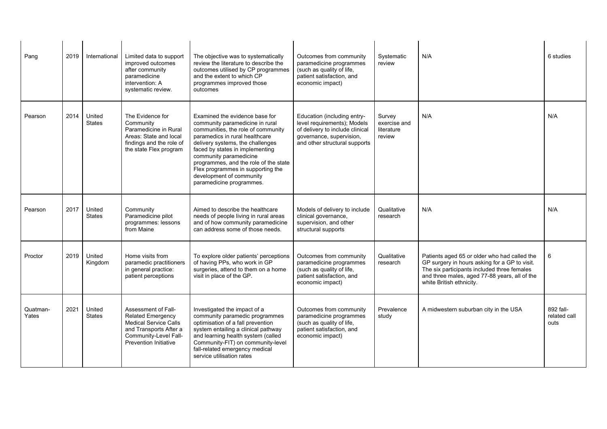| Pang              | 2019 | International           | Limited data to support<br>improved outcomes<br>after community<br>paramedicine<br>intervention: A<br>systematic review.                                           | The objective was to systematically<br>review the literature to describe the<br>outcomes utilised by CP programmes<br>and the extent to which CP<br>programmes improved those<br>outcomes                                                                                                                                                                                        | Outcomes from community<br>paramedicine programmes<br>(such as quality of life,<br>patient satisfaction, and<br>economic impact)                           | Systematic<br>review                           | N/A                                                                                                                                                                                                                       | 6 studies                         |
|-------------------|------|-------------------------|--------------------------------------------------------------------------------------------------------------------------------------------------------------------|----------------------------------------------------------------------------------------------------------------------------------------------------------------------------------------------------------------------------------------------------------------------------------------------------------------------------------------------------------------------------------|------------------------------------------------------------------------------------------------------------------------------------------------------------|------------------------------------------------|---------------------------------------------------------------------------------------------------------------------------------------------------------------------------------------------------------------------------|-----------------------------------|
| Pearson           | 2014 | United<br><b>States</b> | The Evidence for<br>Community<br>Paramedicine in Rural<br>Areas: State and local<br>findings and the role of<br>the state Flex program                             | Examined the evidence base for<br>community paramedicine in rural<br>communities, the role of community<br>paramedics in rural healthcare<br>delivery systems, the challenges<br>faced by states in implementing<br>community paramedicine<br>programmes, and the role of the state<br>Flex programmes in supporting the<br>development of community<br>paramedicine programmes. | Education (including entry-<br>level requirements); Models<br>of delivery to include clinical<br>governance, supervision,<br>and other structural supports | Survey<br>exercise and<br>literature<br>review | N/A                                                                                                                                                                                                                       | N/A                               |
| Pearson           | 2017 | United<br><b>States</b> | Community<br>Paramedicine pilot<br>programmes: lessons<br>from Maine                                                                                               | Aimed to describe the healthcare<br>needs of people living in rural areas<br>and of how community paramedicine<br>can address some of those needs.                                                                                                                                                                                                                               | Models of delivery to include<br>clinical governance,<br>supervision, and other<br>structural supports                                                     | Qualitative<br>research                        | N/A                                                                                                                                                                                                                       | N/A                               |
| Proctor           | 2019 | United<br>Kingdom       | Home visits from<br>paramedic practitioners<br>in general practice:<br>patient perceptions                                                                         | To explore older patients' perceptions<br>of having PPs, who work in GP<br>surgeries, attend to them on a home<br>visit in place of the GP.                                                                                                                                                                                                                                      | Outcomes from community<br>paramedicine programmes<br>(such as quality of life,<br>patient satisfaction, and<br>economic impact)                           | Qualitative<br>research                        | Patients aged 65 or older who had called the<br>GP surgery in hours asking for a GP to visit.<br>The six participants included three females<br>and three males, aged 77-88 years, all of the<br>white British ethnicity. | 6                                 |
| Quatman-<br>Yates | 2021 | United<br><b>States</b> | Assessment of Fall-<br><b>Related Emergency</b><br><b>Medical Service Calls</b><br>and Transports After a<br>Community-Level Fall-<br><b>Prevention Initiative</b> | Investigated the impact of a<br>community paramedic programmes<br>optimisation of a fall prevention<br>system entailing a clinical pathway<br>and learning health system (called<br>Community-FIT) on community-level<br>fall-related emergency medical<br>service utilisation rates                                                                                             | Outcomes from community<br>paramedicine programmes<br>(such as quality of life,<br>patient satisfaction, and<br>economic impact)                           | Prevalence<br>study                            | A midwestern suburban city in the USA                                                                                                                                                                                     | 892 fall-<br>related call<br>outs |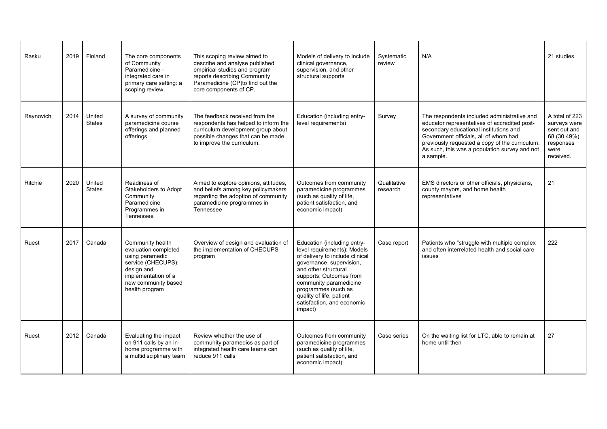| Rasku     | 2019 | Finland                 | The core components<br>of Community<br>Paramedicine -<br>integrated care in<br>primary care setting: a<br>scoping review.                                       | This scoping review aimed to<br>describe and analyse published<br>empirical studies and program<br>reports describing Community<br>Paramedicine (CP)to find out the<br>core components of CP. | Models of delivery to include<br>clinical governance,<br>supervision, and other<br>structural supports                                                                                                                                                                                             | Systematic<br>review    | N/A                                                                                                                                                                                                                                                                                            | 21 studies                                                                                      |
|-----------|------|-------------------------|-----------------------------------------------------------------------------------------------------------------------------------------------------------------|-----------------------------------------------------------------------------------------------------------------------------------------------------------------------------------------------|----------------------------------------------------------------------------------------------------------------------------------------------------------------------------------------------------------------------------------------------------------------------------------------------------|-------------------------|------------------------------------------------------------------------------------------------------------------------------------------------------------------------------------------------------------------------------------------------------------------------------------------------|-------------------------------------------------------------------------------------------------|
| Raynovich | 2014 | United<br><b>States</b> | A survey of community<br>paramedicine course<br>offerings and planned<br>offerings                                                                              | The feedback received from the<br>respondents has helped to inform the<br>curriculum development group about<br>possible changes that can be made<br>to improve the curriculum.               | Education (including entry-<br>level requirements)                                                                                                                                                                                                                                                 | Survey                  | The respondents included administrative and<br>educator representatives of accredited post-<br>secondary educational institutions and<br>Government officials, all of whom had<br>previously requested a copy of the curriculum.<br>As such, this was a population survey and not<br>a sample. | A total of 223<br>surveys were<br>sent out and<br>68 (30.49%)<br>responses<br>were<br>received. |
| Ritchie   | 2020 | United<br><b>States</b> | Readiness of<br>Stakeholders to Adopt<br>Community<br>Paramedicine<br>Programmes in<br>Tennessee                                                                | Aimed to explore opinions, attitudes,<br>and beliefs among key policymakers<br>regarding the adoption of community<br>paramedicine programmes in<br>Tennessee                                 | Outcomes from community<br>paramedicine programmes<br>(such as quality of life,<br>patient satisfaction, and<br>economic impact)                                                                                                                                                                   | Qualitative<br>research | EMS directors or other officials, physicians,<br>county mayors, and home health<br>representatives                                                                                                                                                                                             | 21                                                                                              |
| Ruest     | 2017 | Canada                  | Community health<br>evaluation completed<br>using paramedic<br>service (CHECUPS):<br>design and<br>implementation of a<br>new community based<br>health program | Overview of design and evaluation of<br>the implementation of CHECUPS<br>program                                                                                                              | Education (including entry-<br>level requirements), Models<br>of delivery to include clinical<br>governance, supervision,<br>and other structural<br>supports; Outcomes from<br>community paramedicine<br>programmes (such as<br>quality of life, patient<br>satisfaction, and economic<br>impact) | Case report             | Patients who "struggle with multiple complex<br>and often interrelated health and social care<br>issues                                                                                                                                                                                        | 222                                                                                             |
| Ruest     | 2012 | Canada                  | Evaluating the impact<br>on 911 calls by an in-<br>home programme with<br>a multidisciplinary team                                                              | Review whether the use of<br>community paramedics as part of<br>integrated health care teams can<br>reduce 911 calls                                                                          | Outcomes from community<br>paramedicine programmes<br>(such as quality of life,<br>patient satisfaction, and<br>economic impact)                                                                                                                                                                   | Case series             | On the waiting list for LTC, able to remain at<br>home until then                                                                                                                                                                                                                              | 27                                                                                              |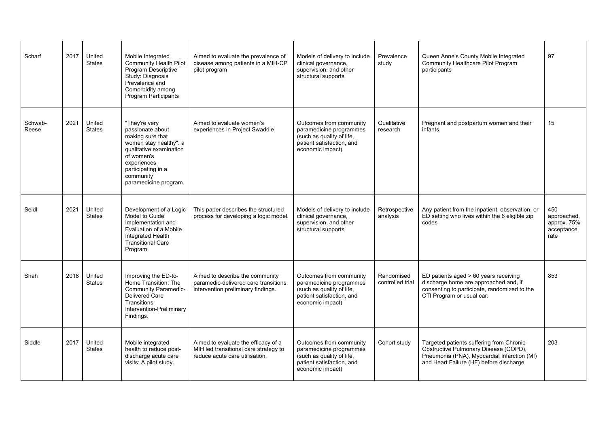| Scharf           | 2017 | United<br><b>States</b> | Mobile Integrated<br><b>Community Health Pilot</b><br>Program Descriptive<br>Study: Diagnosis<br>Prevalence and<br>Comorbidity among<br>Program Participants                                        | Aimed to evaluate the prevalence of<br>disease among patients in a MIH-CP<br>pilot program                     | Models of delivery to include<br>clinical governance,<br>supervision, and other<br>structural supports                           | Prevalence<br>study            | Queen Anne's County Mobile Integrated<br>Community Healthcare Pilot Program<br>participants                                                                                 | 97                                                      |
|------------------|------|-------------------------|-----------------------------------------------------------------------------------------------------------------------------------------------------------------------------------------------------|----------------------------------------------------------------------------------------------------------------|----------------------------------------------------------------------------------------------------------------------------------|--------------------------------|-----------------------------------------------------------------------------------------------------------------------------------------------------------------------------|---------------------------------------------------------|
| Schwab-<br>Reese | 2021 | United<br><b>States</b> | "They're very<br>passionate about<br>making sure that<br>women stay healthy": a<br>qualitative examination<br>of women's<br>experiences<br>participating in a<br>community<br>paramedicine program. | Aimed to evaluate women's<br>experiences in Project Swaddle                                                    | Outcomes from community<br>paramedicine programmes<br>(such as quality of life,<br>patient satisfaction, and<br>economic impact) | Qualitative<br>research        | Pregnant and postpartum women and their<br>infants.                                                                                                                         | 15                                                      |
| Seidl            | 2021 | United<br><b>States</b> | Development of a Logic<br>Model to Guide<br>Implementation and<br>Evaluation of a Mobile<br>Integrated Health<br><b>Transitional Care</b><br>Program.                                               | This paper describes the structured<br>process for developing a logic model.                                   | Models of delivery to include<br>clinical governance,<br>supervision, and other<br>structural supports                           | Retrospective<br>analysis      | Any patient from the inpatient, observation, or<br>ED setting who lives within the 6 eligible zip<br>codes                                                                  | 450<br>approached.<br>approx. 75%<br>acceptance<br>rate |
| Shah             | 2018 | United<br><b>States</b> | Improving the ED-to-<br>Home Transition: The<br><b>Community Paramedic-</b><br><b>Delivered Care</b><br><b>Transitions</b><br>Intervention-Preliminary<br>Findings.                                 | Aimed to describe the community<br>paramedic-delivered care transitions<br>intervention preliminary findings.  | Outcomes from community<br>paramedicine programmes<br>(such as quality of life,<br>patient satisfaction, and<br>economic impact) | Randomised<br>controlled trial | ED patients aged > 60 years receiving<br>discharge home are approached and, if<br>consenting to participate, randomized to the<br>CTI Program or usual car.                 | 853                                                     |
| Siddle           | 2017 | United<br><b>States</b> | Mobile integrated<br>health to reduce post-<br>discharge acute care<br>visits: A pilot study.                                                                                                       | Aimed to evaluate the efficacy of a<br>MIH led transitional care strategy to<br>reduce acute care utilisation. | Outcomes from community<br>paramedicine programmes<br>(such as quality of life,<br>patient satisfaction, and<br>economic impact) | Cohort study                   | Targeted patients suffering from Chronic<br>Obstructive Pulmonary Disease (COPD),<br>Pneumonia (PNA), Myocardial Infarction (MI)<br>and Heart Failure (HF) before discharge | 203                                                     |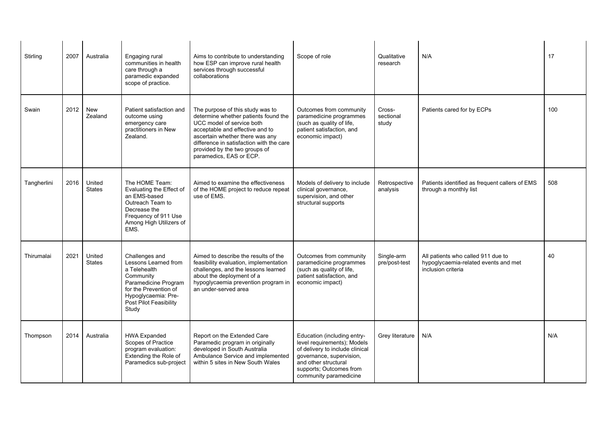| Stirling    | 2007 | Australia               | Engaging rural<br>communities in health<br>care through a<br>paramedic expanded<br>scope of practice.                                                                          | Aims to contribute to understanding<br>how ESP can improve rural health<br>services through successful<br>collaborations                                                                                                                                                            | Scope of role                                                                                                                                                                                          | Qualitative<br>research      | N/A                                                                                              | 17  |
|-------------|------|-------------------------|--------------------------------------------------------------------------------------------------------------------------------------------------------------------------------|-------------------------------------------------------------------------------------------------------------------------------------------------------------------------------------------------------------------------------------------------------------------------------------|--------------------------------------------------------------------------------------------------------------------------------------------------------------------------------------------------------|------------------------------|--------------------------------------------------------------------------------------------------|-----|
| Swain       | 2012 | <b>New</b><br>Zealand   | Patient satisfaction and<br>outcome using<br>emergency care<br>practitioners in New<br>Zealand.                                                                                | The purpose of this study was to<br>determine whether patients found the<br>UCC model of service both<br>acceptable and effective and to<br>ascertain whether there was any<br>difference in satisfaction with the care<br>provided by the two groups of<br>paramedics, EAS or ECP. | Outcomes from community<br>paramedicine programmes<br>(such as quality of life,<br>patient satisfaction, and<br>economic impact)                                                                       | Cross-<br>sectional<br>study | Patients cared for by ECPs                                                                       | 100 |
| Tangherlini | 2016 | United<br><b>States</b> | The HOME Team:<br>Evaluating the Effect of<br>an EMS-based<br>Outreach Team to<br>Decrease the<br>Frequency of 911 Use<br>Among High Utilizers of<br>EMS.                      | Aimed to examine the effectiveness<br>of the HOME project to reduce repeat<br>use of EMS.                                                                                                                                                                                           | Models of delivery to include<br>clinical governance,<br>supervision, and other<br>structural supports                                                                                                 | Retrospective<br>analysis    | Patients identified as frequent callers of EMS<br>through a monthly list                         | 508 |
| Thirumalai  | 2021 | United<br><b>States</b> | Challenges and<br>Lessons Learned from<br>a Telehealth<br>Community<br>Paramedicine Program<br>for the Prevention of<br>Hypoglycaemia: Pre-<br>Post Pilot Feasibility<br>Study | Aimed to describe the results of the<br>feasibility evaluation, implementation<br>challenges, and the lessons learned<br>about the deployment of a<br>hypoglycaemia prevention program in<br>an under-served area                                                                   | Outcomes from community<br>paramedicine programmes<br>(such as quality of life,<br>patient satisfaction, and<br>economic impact)                                                                       | Single-arm<br>pre/post-test  | All patients who called 911 due to<br>hypoglycaemia-related events and met<br>inclusion criteria | 40  |
| Thompson    | 2014 | Australia               | <b>HWA Expanded</b><br>Scopes of Practice<br>program evaluation:<br>Extending the Role of<br>Paramedics sub-project                                                            | Report on the Extended Care<br>Paramedic program in originally<br>developed in South Australia<br>Ambulance Service and implemented<br>within 5 sites in New South Wales                                                                                                            | Education (including entry-<br>level requirements); Models<br>of delivery to include clinical<br>governance, supervision,<br>and other structural<br>supports; Outcomes from<br>community paramedicine | Grey literature              | N/A                                                                                              | N/A |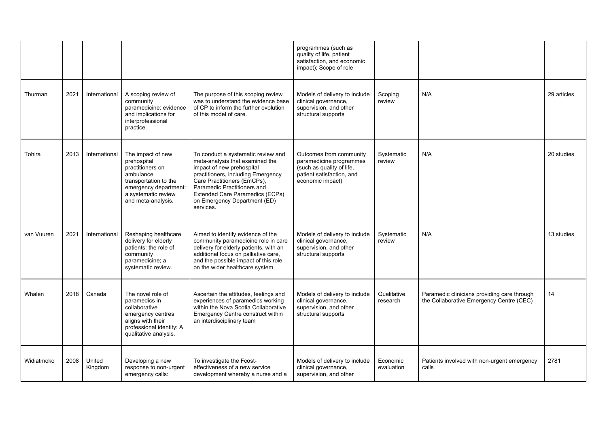|            |      |                   |                                                                                                                                                                  |                                                                                                                                                                                                                                                                                               | programmes (such as<br>quality of life, patient<br>satisfaction, and economic<br>impact); Scope of role                          |                         |                                                                                         |             |
|------------|------|-------------------|------------------------------------------------------------------------------------------------------------------------------------------------------------------|-----------------------------------------------------------------------------------------------------------------------------------------------------------------------------------------------------------------------------------------------------------------------------------------------|----------------------------------------------------------------------------------------------------------------------------------|-------------------------|-----------------------------------------------------------------------------------------|-------------|
| Thurman    | 2021 | International     | A scoping review of<br>community<br>paramedicine: evidence<br>and implications for<br>interprofessional<br>practice.                                             | The purpose of this scoping review<br>was to understand the evidence base<br>of CP to inform the further evolution<br>of this model of care.                                                                                                                                                  | Models of delivery to include<br>clinical governance,<br>supervision, and other<br>structural supports                           | Scoping<br>review       | N/A                                                                                     | 29 articles |
| Tohira     | 2013 | International     | The impact of new<br>prehospital<br>practitioners on<br>ambulance<br>transportation to the<br>emergency department:<br>a systematic review<br>and meta-analysis. | To conduct a systematic review and<br>meta-analysis that examined the<br>impact of new prehospital<br>practitioners, including Emergency<br>Care Practitioners (EmCPs),<br>Paramedic Practitioners and<br><b>Extended Care Paramedics (ECPs)</b><br>on Emergency Department (ED)<br>services. | Outcomes from community<br>paramedicine programmes<br>(such as quality of life,<br>patient satisfaction, and<br>economic impact) | Systematic<br>review    | N/A                                                                                     | 20 studies  |
| van Vuuren | 2021 | International     | Reshaping healthcare<br>delivery for elderly<br>patients: the role of<br>community<br>paramedicine; a<br>systematic review.                                      | Aimed to identify evidence of the<br>community paramedicine role in care<br>delivery for elderly patients, with an<br>additional focus on palliative care,<br>and the possible impact of this role<br>on the wider healthcare system                                                          | Models of delivery to include<br>clinical governance,<br>supervision, and other<br>structural supports                           | Systematic<br>review    | N/A                                                                                     | 13 studies  |
| Whalen     | 2018 | Canada            | The novel role of<br>paramedics in<br>collaborative<br>emergency centres<br>aligns with their<br>professional identity: A<br>qualitative analysis.               | Ascertain the attitudes, feelings and<br>experiences of paramedics working<br>within the Nova Scotia Collaborative<br>Emergency Centre construct within<br>an interdisciplinary team                                                                                                          | Models of delivery to include<br>clinical governance,<br>supervision, and other<br>structural supports                           | Qualitative<br>research | Paramedic clinicians providing care through<br>the Collaborative Emergency Centre (CEC) | 14          |
| Widiatmoko | 2008 | United<br>Kingdom | Developing a new<br>response to non-urgent<br>emergency calls:                                                                                                   | To investigate the Fcost-<br>effectiveness of a new service<br>development whereby a nurse and a                                                                                                                                                                                              | Models of delivery to include<br>clinical governance,<br>supervision, and other                                                  | Economic<br>evaluation  | Patients involved with non-urgent emergency<br>calls                                    | 2781        |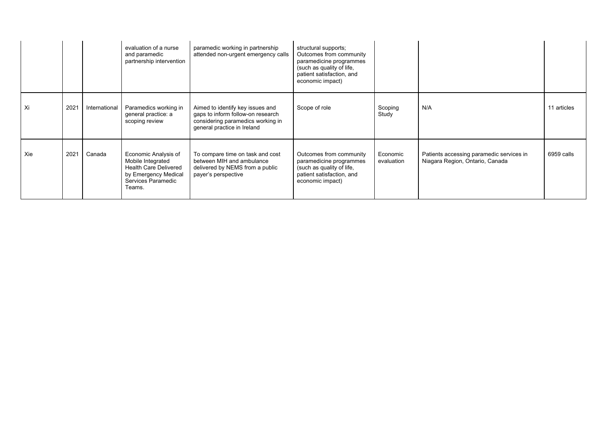|     |      |               | evaluation of a nurse<br>and paramedic<br>partnership intervention                                                                | paramedic working in partnership<br>attended non-urgent emergency calls                                                                   | structural supports;<br>Outcomes from community<br>paramedicine programmes<br>(such as quality of life,<br>patient satisfaction, and<br>economic impact) |                        |                                                                             |             |
|-----|------|---------------|-----------------------------------------------------------------------------------------------------------------------------------|-------------------------------------------------------------------------------------------------------------------------------------------|----------------------------------------------------------------------------------------------------------------------------------------------------------|------------------------|-----------------------------------------------------------------------------|-------------|
| Xi  | 2021 | International | Paramedics working in<br>general practice: a<br>scoping review                                                                    | Aimed to identify key issues and<br>gaps to inform follow-on research<br>considering paramedics working in<br>general practice in Ireland | Scope of role                                                                                                                                            | Scoping<br>Study       | N/A                                                                         | 11 articles |
| Xie | 2021 | Canada        | Economic Analysis of<br>Mobile Integrated<br><b>Health Care Delivered</b><br>by Emergency Medical<br>Services Paramedic<br>Teams. | To compare time on task and cost<br>between MIH and ambulance<br>delivered by NEMS from a public<br>payer's perspective                   | Outcomes from community<br>paramedicine programmes<br>(such as quality of life,<br>patient satisfaction, and<br>economic impact)                         | Economic<br>evaluation | Patients accessing paramedic services in<br>Niagara Region, Ontario, Canada | 6959 calls  |